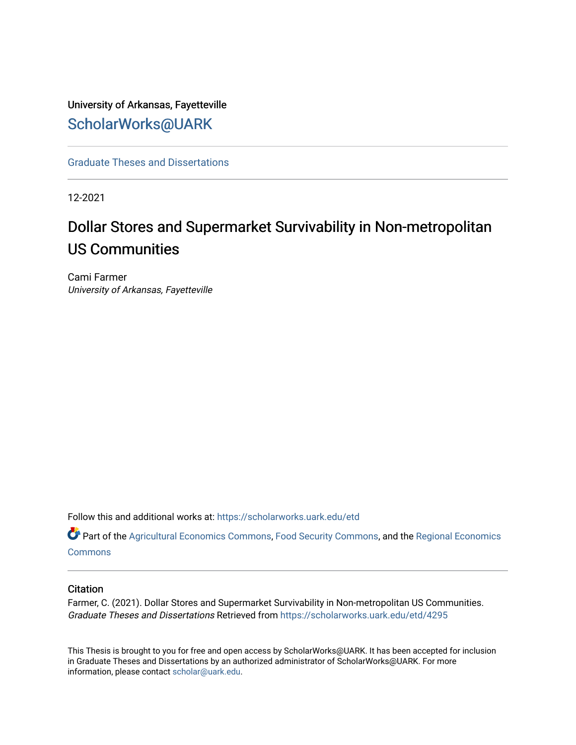# University of Arkansas, Fayetteville [ScholarWorks@UARK](https://scholarworks.uark.edu/)

[Graduate Theses and Dissertations](https://scholarworks.uark.edu/etd) 

12-2021

# Dollar Stores and Supermarket Survivability in Non-metropolitan US Communities

Cami Farmer University of Arkansas, Fayetteville

Follow this and additional works at: [https://scholarworks.uark.edu/etd](https://scholarworks.uark.edu/etd?utm_source=scholarworks.uark.edu%2Fetd%2F4295&utm_medium=PDF&utm_campaign=PDFCoverPages)

Part of the [Agricultural Economics Commons,](http://network.bepress.com/hgg/discipline/1225?utm_source=scholarworks.uark.edu%2Fetd%2F4295&utm_medium=PDF&utm_campaign=PDFCoverPages) [Food Security Commons](http://network.bepress.com/hgg/discipline/1332?utm_source=scholarworks.uark.edu%2Fetd%2F4295&utm_medium=PDF&utm_campaign=PDFCoverPages), and the [Regional Economics](http://network.bepress.com/hgg/discipline/1307?utm_source=scholarworks.uark.edu%2Fetd%2F4295&utm_medium=PDF&utm_campaign=PDFCoverPages)  **[Commons](http://network.bepress.com/hgg/discipline/1307?utm_source=scholarworks.uark.edu%2Fetd%2F4295&utm_medium=PDF&utm_campaign=PDFCoverPages)** 

#### **Citation**

Farmer, C. (2021). Dollar Stores and Supermarket Survivability in Non-metropolitan US Communities. Graduate Theses and Dissertations Retrieved from [https://scholarworks.uark.edu/etd/4295](https://scholarworks.uark.edu/etd/4295?utm_source=scholarworks.uark.edu%2Fetd%2F4295&utm_medium=PDF&utm_campaign=PDFCoverPages)

This Thesis is brought to you for free and open access by ScholarWorks@UARK. It has been accepted for inclusion in Graduate Theses and Dissertations by an authorized administrator of ScholarWorks@UARK. For more information, please contact [scholar@uark.edu.](mailto:scholar@uark.edu)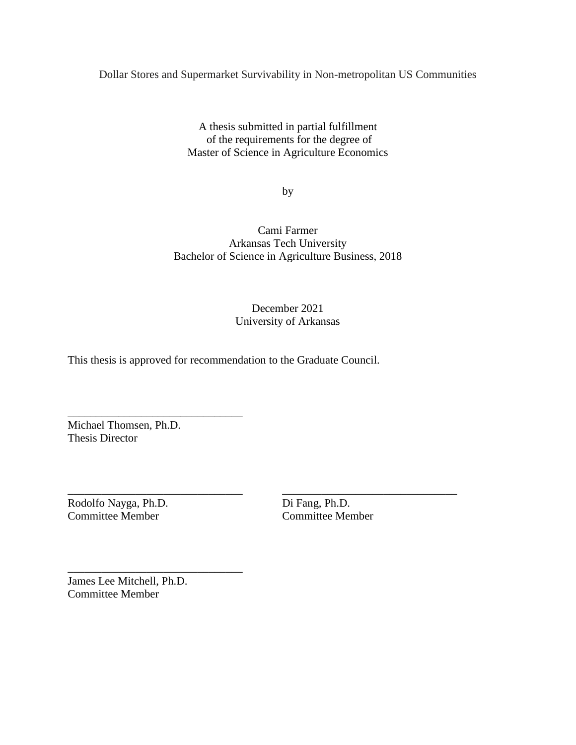Dollar Stores and Supermarket Survivability in Non-metropolitan US Communities

A thesis submitted in partial fulfillment of the requirements for the degree of Master of Science in Agriculture Economics

by

Cami Farmer Arkansas Tech University Bachelor of Science in Agriculture Business, 2018

# December 2021 University of Arkansas

\_\_\_\_\_\_\_\_\_\_\_\_\_\_\_\_\_\_\_\_\_\_\_\_\_\_\_\_\_\_\_ \_\_\_\_\_\_\_\_\_\_\_\_\_\_\_\_\_\_\_\_\_\_\_\_\_\_\_\_\_\_\_

This thesis is approved for recommendation to the Graduate Council.

Michael Thomsen, Ph.D. Thesis Director

\_\_\_\_\_\_\_\_\_\_\_\_\_\_\_\_\_\_\_\_\_\_\_\_\_\_\_\_\_\_\_

\_\_\_\_\_\_\_\_\_\_\_\_\_\_\_\_\_\_\_\_\_\_\_\_\_\_\_\_\_\_\_

Rodolfo Nayga, Ph.D. Di Fang, Ph.D. Committee Member Committee Member

James Lee Mitchell, Ph.D. Committee Member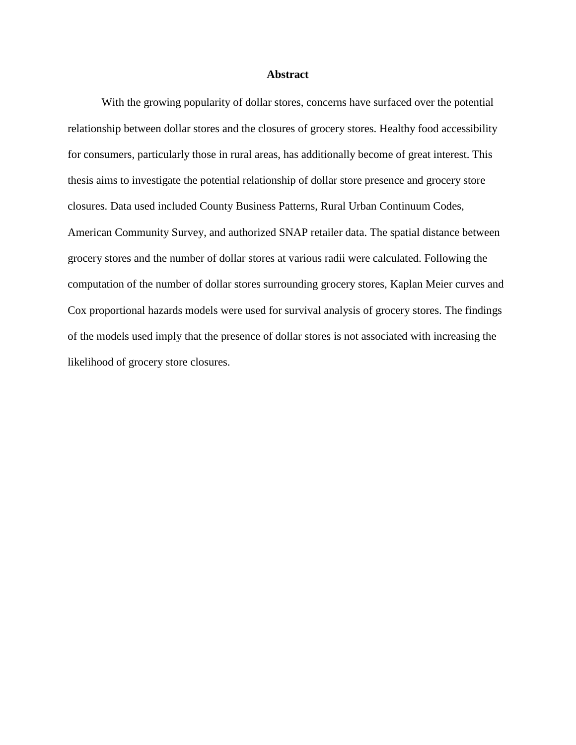#### **Abstract**

With the growing popularity of dollar stores, concerns have surfaced over the potential relationship between dollar stores and the closures of grocery stores. Healthy food accessibility for consumers, particularly those in rural areas, has additionally become of great interest. This thesis aims to investigate the potential relationship of dollar store presence and grocery store closures. Data used included County Business Patterns, Rural Urban Continuum Codes, American Community Survey, and authorized SNAP retailer data. The spatial distance between grocery stores and the number of dollar stores at various radii were calculated. Following the computation of the number of dollar stores surrounding grocery stores, Kaplan Meier curves and Cox proportional hazards models were used for survival analysis of grocery stores. The findings of the models used imply that the presence of dollar stores is not associated with increasing the likelihood of grocery store closures.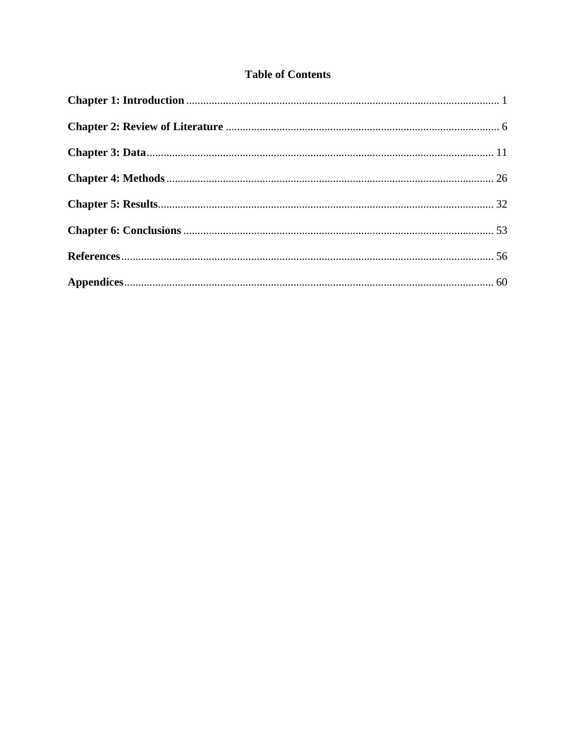# **Table of Contents**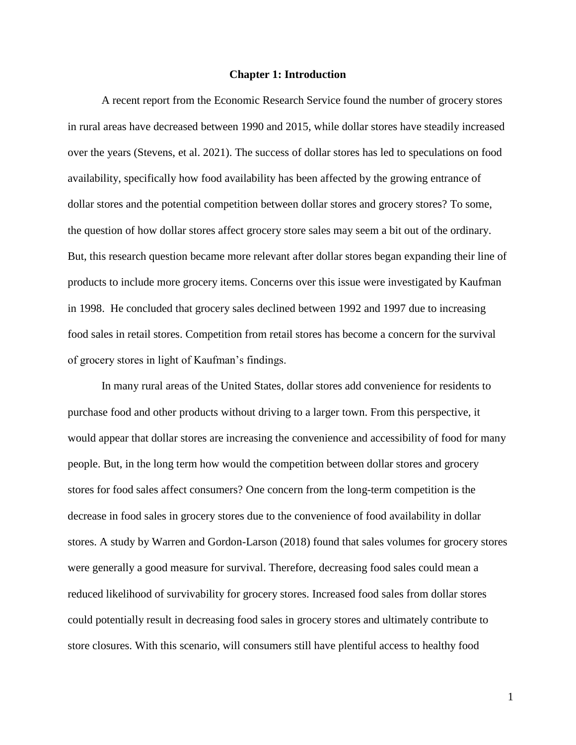#### **Chapter 1: Introduction**

<span id="page-4-0"></span>A recent report from the Economic Research Service found the number of grocery stores in rural areas have decreased between 1990 and 2015, while dollar stores have steadily increased over the years (Stevens, et al. 2021). The success of dollar stores has led to speculations on food availability, specifically how food availability has been affected by the growing entrance of dollar stores and the potential competition between dollar stores and grocery stores? To some, the question of how dollar stores affect grocery store sales may seem a bit out of the ordinary. But, this research question became more relevant after dollar stores began expanding their line of products to include more grocery items. Concerns over this issue were investigated by Kaufman in 1998. He concluded that grocery sales declined between 1992 and 1997 due to increasing food sales in retail stores. Competition from retail stores has become a concern for the survival of grocery stores in light of Kaufman's findings.

In many rural areas of the United States, dollar stores add convenience for residents to purchase food and other products without driving to a larger town. From this perspective, it would appear that dollar stores are increasing the convenience and accessibility of food for many people. But, in the long term how would the competition between dollar stores and grocery stores for food sales affect consumers? One concern from the long-term competition is the decrease in food sales in grocery stores due to the convenience of food availability in dollar stores. A study by Warren and Gordon-Larson (2018) found that sales volumes for grocery stores were generally a good measure for survival. Therefore, decreasing food sales could mean a reduced likelihood of survivability for grocery stores. Increased food sales from dollar stores could potentially result in decreasing food sales in grocery stores and ultimately contribute to store closures. With this scenario, will consumers still have plentiful access to healthy food

1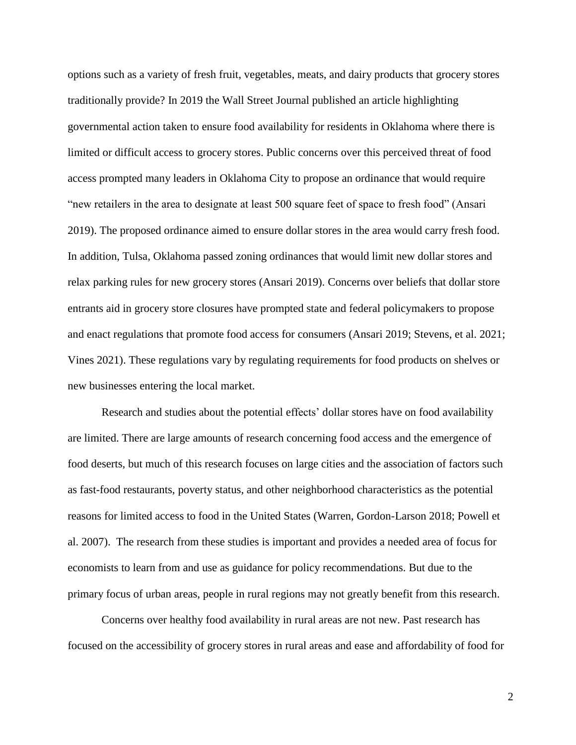options such as a variety of fresh fruit, vegetables, meats, and dairy products that grocery stores traditionally provide? In 2019 the Wall Street Journal published an article highlighting governmental action taken to ensure food availability for residents in Oklahoma where there is limited or difficult access to grocery stores. Public concerns over this perceived threat of food access prompted many leaders in Oklahoma City to propose an ordinance that would require "new retailers in the area to designate at least 500 square feet of space to fresh food" (Ansari 2019). The proposed ordinance aimed to ensure dollar stores in the area would carry fresh food. In addition, Tulsa, Oklahoma passed zoning ordinances that would limit new dollar stores and relax parking rules for new grocery stores (Ansari 2019). Concerns over beliefs that dollar store entrants aid in grocery store closures have prompted state and federal policymakers to propose and enact regulations that promote food access for consumers (Ansari 2019; Stevens, et al. 2021; Vines 2021). These regulations vary by regulating requirements for food products on shelves or new businesses entering the local market.

Research and studies about the potential effects' dollar stores have on food availability are limited. There are large amounts of research concerning food access and the emergence of food deserts, but much of this research focuses on large cities and the association of factors such as fast-food restaurants, poverty status, and other neighborhood characteristics as the potential reasons for limited access to food in the United States (Warren, Gordon-Larson 2018; Powell et al. 2007). The research from these studies is important and provides a needed area of focus for economists to learn from and use as guidance for policy recommendations. But due to the primary focus of urban areas, people in rural regions may not greatly benefit from this research.

Concerns over healthy food availability in rural areas are not new. Past research has focused on the accessibility of grocery stores in rural areas and ease and affordability of food for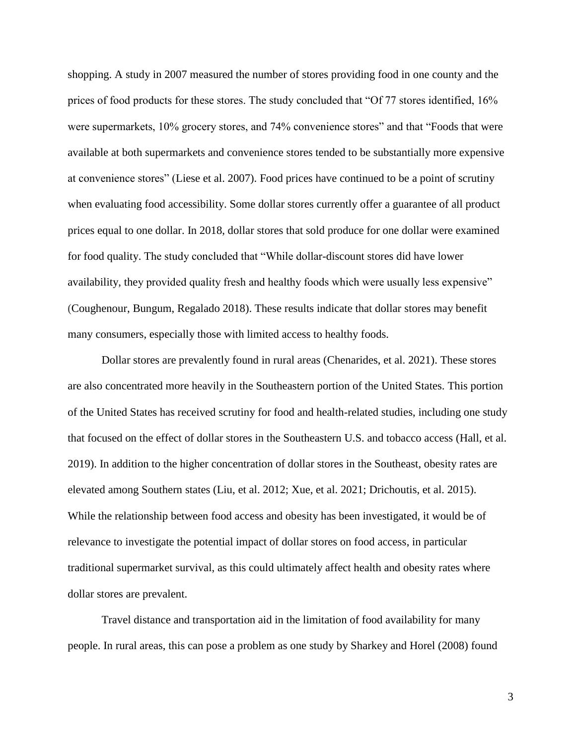shopping. A study in 2007 measured the number of stores providing food in one county and the prices of food products for these stores. The study concluded that "Of 77 stores identified, 16% were supermarkets, 10% grocery stores, and 74% convenience stores" and that "Foods that were available at both supermarkets and convenience stores tended to be substantially more expensive at convenience stores" (Liese et al. 2007). Food prices have continued to be a point of scrutiny when evaluating food accessibility. Some dollar stores currently offer a guarantee of all product prices equal to one dollar. In 2018, dollar stores that sold produce for one dollar were examined for food quality. The study concluded that "While dollar-discount stores did have lower availability, they provided quality fresh and healthy foods which were usually less expensive" (Coughenour, Bungum, Regalado 2018). These results indicate that dollar stores may benefit many consumers, especially those with limited access to healthy foods.

Dollar stores are prevalently found in rural areas (Chenarides, et al. 2021). These stores are also concentrated more heavily in the Southeastern portion of the United States. This portion of the United States has received scrutiny for food and health-related studies, including one study that focused on the effect of dollar stores in the Southeastern U.S. and tobacco access (Hall, et al. 2019). In addition to the higher concentration of dollar stores in the Southeast, obesity rates are elevated among Southern states (Liu, et al. 2012; Xue, et al. 2021; Drichoutis, et al. 2015). While the relationship between food access and obesity has been investigated, it would be of relevance to investigate the potential impact of dollar stores on food access, in particular traditional supermarket survival, as this could ultimately affect health and obesity rates where dollar stores are prevalent.

Travel distance and transportation aid in the limitation of food availability for many people. In rural areas, this can pose a problem as one study by Sharkey and Horel (2008) found

3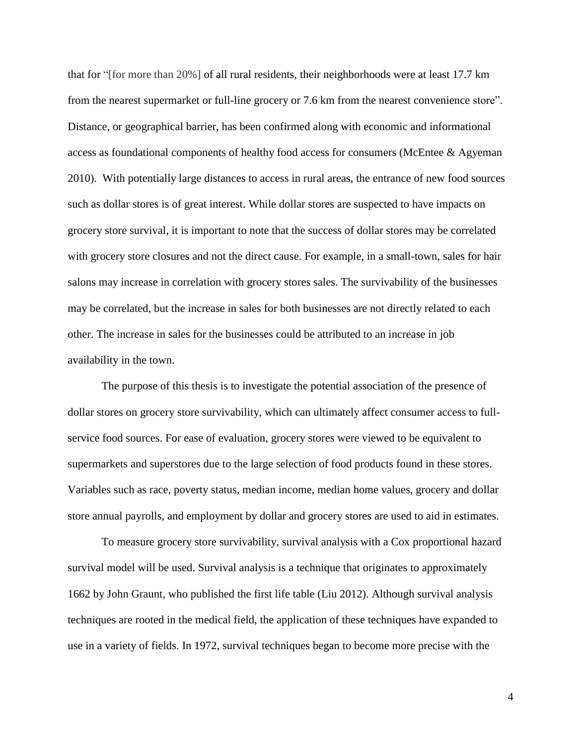that for "[for more than 20%] of all rural residents, their neighborhoods were at least 17.7 km from the nearest supermarket or full-line grocery or 7.6 km from the nearest convenience store". Distance, or geographical barrier, has been confirmed along with economic and informational access as foundational components of healthy food access for consumers (McEntee & Agyeman 2010). With potentially large distances to access in rural areas, the entrance of new food sources such as dollar stores is of great interest. While dollar stores are suspected to have impacts on grocery store survival, it is important to note that the success of dollar stores may be correlated with grocery store closures and not the direct cause. For example, in a small-town, sales for hair salons may increase in correlation with grocery stores sales. The survivability of the businesses may be correlated, but the increase in sales for both businesses are not directly related to each other. The increase in sales for the businesses could be attributed to an increase in job availability in the town.

The purpose of this thesis is to investigate the potential association of the presence of dollar stores on grocery store survivability, which can ultimately affect consumer access to fullservice food sources. For ease of evaluation, grocery stores were viewed to be equivalent to supermarkets and superstores due to the large selection of food products found in these stores. Variables such as race, poverty status, median income, median home values, grocery and dollar store annual payrolls, and employment by dollar and grocery stores are used to aid in estimates.

To measure grocery store survivability, survival analysis with a Cox proportional hazard survival model will be used. Survival analysis is a technique that originates to approximately 1662 by John Graunt, who published the first life table (Liu 2012). Although survival analysis techniques are rooted in the medical field, the application of these techniques have expanded to use in a variety of fields. In 1972, survival techniques began to become more precise with the

4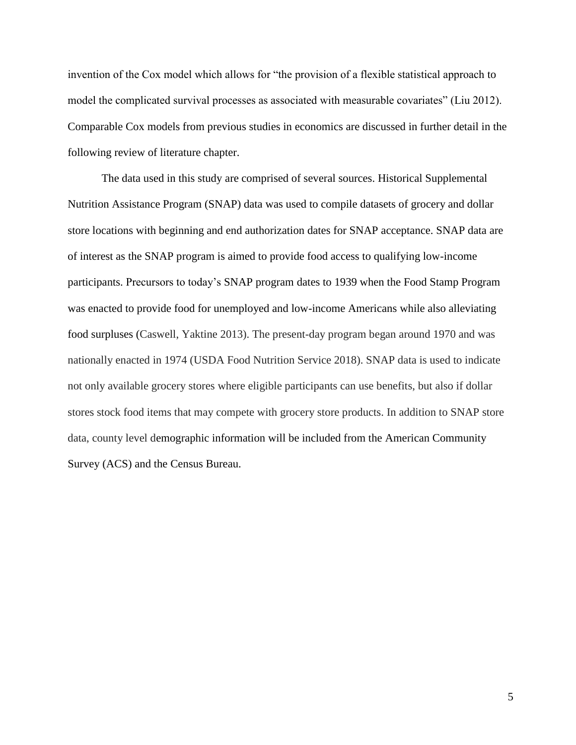invention of the Cox model which allows for "the provision of a flexible statistical approach to model the complicated survival processes as associated with measurable covariates" (Liu 2012). Comparable Cox models from previous studies in economics are discussed in further detail in the following review of literature chapter.

The data used in this study are comprised of several sources. Historical Supplemental Nutrition Assistance Program (SNAP) data was used to compile datasets of grocery and dollar store locations with beginning and end authorization dates for SNAP acceptance. SNAP data are of interest as the SNAP program is aimed to provide food access to qualifying low-income participants. Precursors to today's SNAP program dates to 1939 when the Food Stamp Program was enacted to provide food for unemployed and low-income Americans while also alleviating food surpluses (Caswell, Yaktine 2013). The present-day program began around 1970 and was nationally enacted in 1974 (USDA Food Nutrition Service 2018). SNAP data is used to indicate not only available grocery stores where eligible participants can use benefits, but also if dollar stores stock food items that may compete with grocery store products. In addition to SNAP store data, county level demographic information will be included from the American Community Survey (ACS) and the Census Bureau.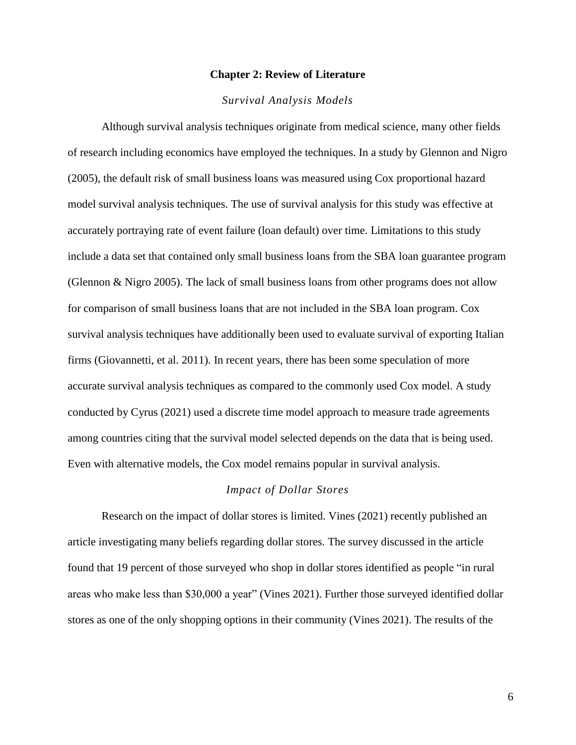#### **Chapter 2: Review of Literature**

#### *Survival Analysis Models*

<span id="page-9-0"></span>Although survival analysis techniques originate from medical science, many other fields of research including economics have employed the techniques. In a study by Glennon and Nigro (2005), the default risk of small business loans was measured using Cox proportional hazard model survival analysis techniques. The use of survival analysis for this study was effective at accurately portraying rate of event failure (loan default) over time. Limitations to this study include a data set that contained only small business loans from the SBA loan guarantee program (Glennon & Nigro 2005). The lack of small business loans from other programs does not allow for comparison of small business loans that are not included in the SBA loan program. Cox survival analysis techniques have additionally been used to evaluate survival of exporting Italian firms (Giovannetti, et al. 2011). In recent years, there has been some speculation of more accurate survival analysis techniques as compared to the commonly used Cox model. A study conducted by Cyrus (2021) used a discrete time model approach to measure trade agreements among countries citing that the survival model selected depends on the data that is being used. Even with alternative models, the Cox model remains popular in survival analysis.

#### *Impact of Dollar Stores*

Research on the impact of dollar stores is limited. Vines (2021) recently published an article investigating many beliefs regarding dollar stores. The survey discussed in the article found that 19 percent of those surveyed who shop in dollar stores identified as people "in rural areas who make less than \$30,000 a year" (Vines 2021). Further those surveyed identified dollar stores as one of the only shopping options in their community (Vines 2021). The results of the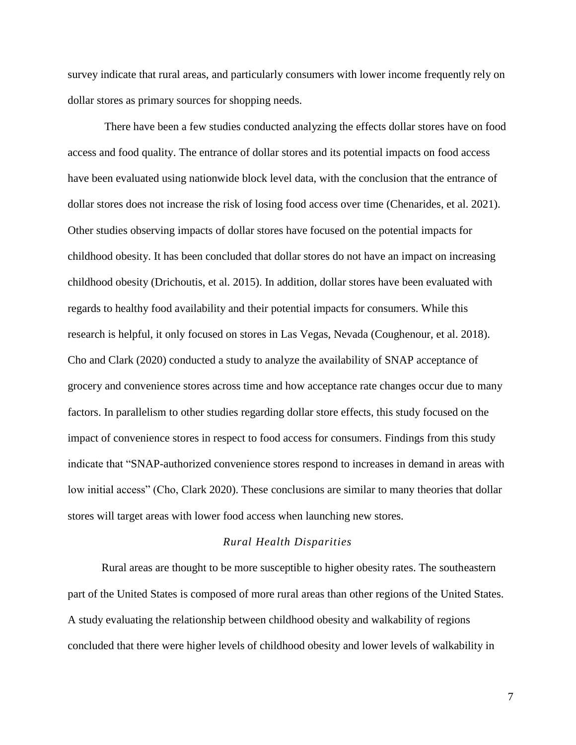survey indicate that rural areas, and particularly consumers with lower income frequently rely on dollar stores as primary sources for shopping needs.

There have been a few studies conducted analyzing the effects dollar stores have on food access and food quality. The entrance of dollar stores and its potential impacts on food access have been evaluated using nationwide block level data, with the conclusion that the entrance of dollar stores does not increase the risk of losing food access over time (Chenarides, et al. 2021). Other studies observing impacts of dollar stores have focused on the potential impacts for childhood obesity. It has been concluded that dollar stores do not have an impact on increasing childhood obesity (Drichoutis, et al. 2015). In addition, dollar stores have been evaluated with regards to healthy food availability and their potential impacts for consumers. While this research is helpful, it only focused on stores in Las Vegas, Nevada (Coughenour, et al. 2018). Cho and Clark (2020) conducted a study to analyze the availability of SNAP acceptance of grocery and convenience stores across time and how acceptance rate changes occur due to many factors. In parallelism to other studies regarding dollar store effects, this study focused on the impact of convenience stores in respect to food access for consumers. Findings from this study indicate that "SNAP-authorized convenience stores respond to increases in demand in areas with low initial access" (Cho, Clark 2020). These conclusions are similar to many theories that dollar stores will target areas with lower food access when launching new stores.

#### *Rural Health Disparities*

Rural areas are thought to be more susceptible to higher obesity rates. The southeastern part of the United States is composed of more rural areas than other regions of the United States. A study evaluating the relationship between childhood obesity and walkability of regions concluded that there were higher levels of childhood obesity and lower levels of walkability in

7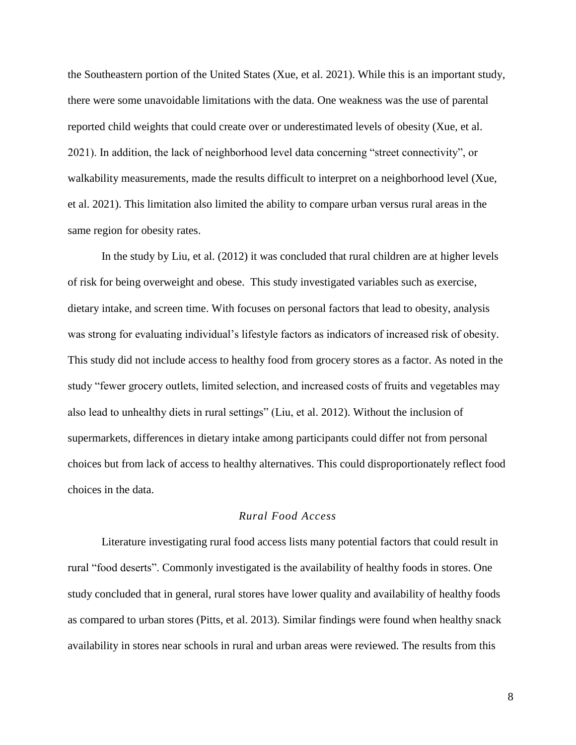the Southeastern portion of the United States (Xue, et al. 2021). While this is an important study, there were some unavoidable limitations with the data. One weakness was the use of parental reported child weights that could create over or underestimated levels of obesity (Xue, et al. 2021). In addition, the lack of neighborhood level data concerning "street connectivity", or walkability measurements, made the results difficult to interpret on a neighborhood level (Xue, et al. 2021). This limitation also limited the ability to compare urban versus rural areas in the same region for obesity rates.

In the study by Liu, et al. (2012) it was concluded that rural children are at higher levels of risk for being overweight and obese. This study investigated variables such as exercise, dietary intake, and screen time. With focuses on personal factors that lead to obesity, analysis was strong for evaluating individual's lifestyle factors as indicators of increased risk of obesity. This study did not include access to healthy food from grocery stores as a factor. As noted in the study "fewer grocery outlets, limited selection, and increased costs of fruits and vegetables may also lead to unhealthy diets in rural settings" (Liu, et al. 2012). Without the inclusion of supermarkets, differences in dietary intake among participants could differ not from personal choices but from lack of access to healthy alternatives. This could disproportionately reflect food choices in the data.

# *Rural Food Access*

Literature investigating rural food access lists many potential factors that could result in rural "food deserts". Commonly investigated is the availability of healthy foods in stores. One study concluded that in general, rural stores have lower quality and availability of healthy foods as compared to urban stores (Pitts, et al. 2013). Similar findings were found when healthy snack availability in stores near schools in rural and urban areas were reviewed. The results from this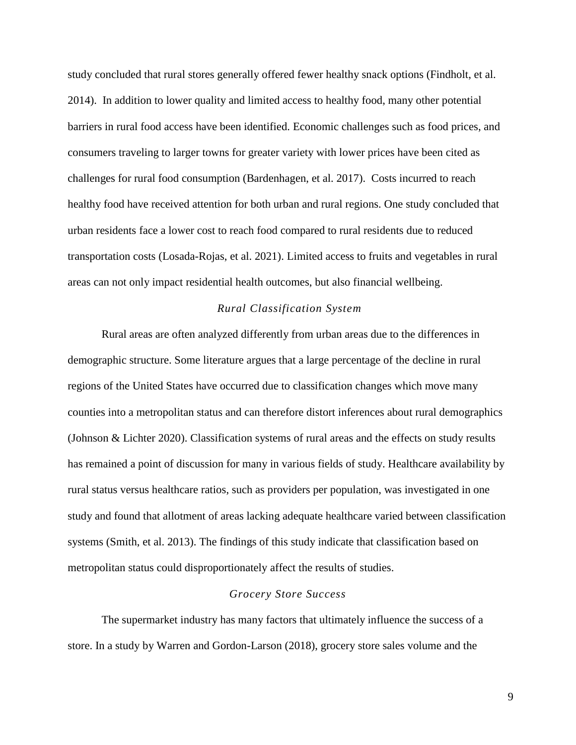study concluded that rural stores generally offered fewer healthy snack options (Findholt, et al. 2014). In addition to lower quality and limited access to healthy food, many other potential barriers in rural food access have been identified. Economic challenges such as food prices, and consumers traveling to larger towns for greater variety with lower prices have been cited as challenges for rural food consumption (Bardenhagen, et al. 2017). Costs incurred to reach healthy food have received attention for both urban and rural regions. One study concluded that urban residents face a lower cost to reach food compared to rural residents due to reduced transportation costs (Losada-Rojas, et al. 2021). Limited access to fruits and vegetables in rural areas can not only impact residential health outcomes, but also financial wellbeing.

#### *Rural Classification System*

Rural areas are often analyzed differently from urban areas due to the differences in demographic structure. Some literature argues that a large percentage of the decline in rural regions of the United States have occurred due to classification changes which move many counties into a metropolitan status and can therefore distort inferences about rural demographics (Johnson & Lichter 2020). Classification systems of rural areas and the effects on study results has remained a point of discussion for many in various fields of study. Healthcare availability by rural status versus healthcare ratios, such as providers per population, was investigated in one study and found that allotment of areas lacking adequate healthcare varied between classification systems (Smith, et al. 2013). The findings of this study indicate that classification based on metropolitan status could disproportionately affect the results of studies.

#### *Grocery Store Success*

The supermarket industry has many factors that ultimately influence the success of a store. In a study by Warren and Gordon-Larson (2018), grocery store sales volume and the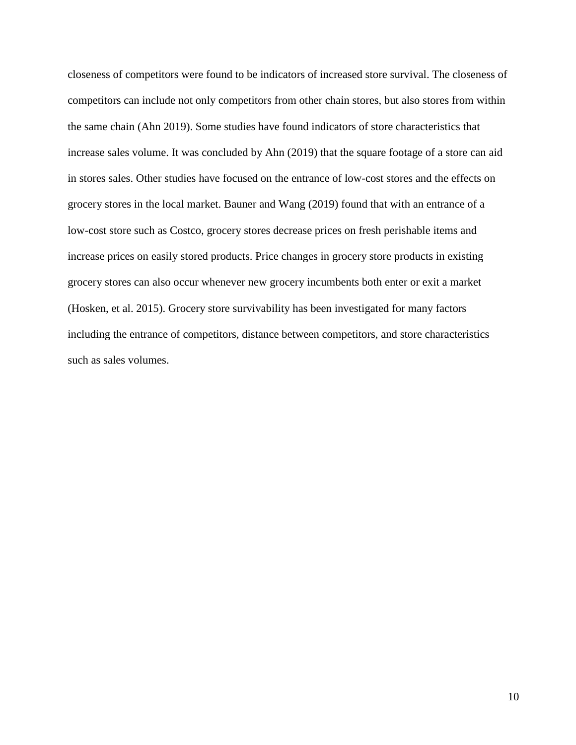closeness of competitors were found to be indicators of increased store survival. The closeness of competitors can include not only competitors from other chain stores, but also stores from within the same chain (Ahn 2019). Some studies have found indicators of store characteristics that increase sales volume. It was concluded by Ahn (2019) that the square footage of a store can aid in stores sales. Other studies have focused on the entrance of low-cost stores and the effects on grocery stores in the local market. Bauner and Wang (2019) found that with an entrance of a low-cost store such as Costco, grocery stores decrease prices on fresh perishable items and increase prices on easily stored products. Price changes in grocery store products in existing grocery stores can also occur whenever new grocery incumbents both enter or exit a market (Hosken, et al. 2015). Grocery store survivability has been investigated for many factors including the entrance of competitors, distance between competitors, and store characteristics such as sales volumes.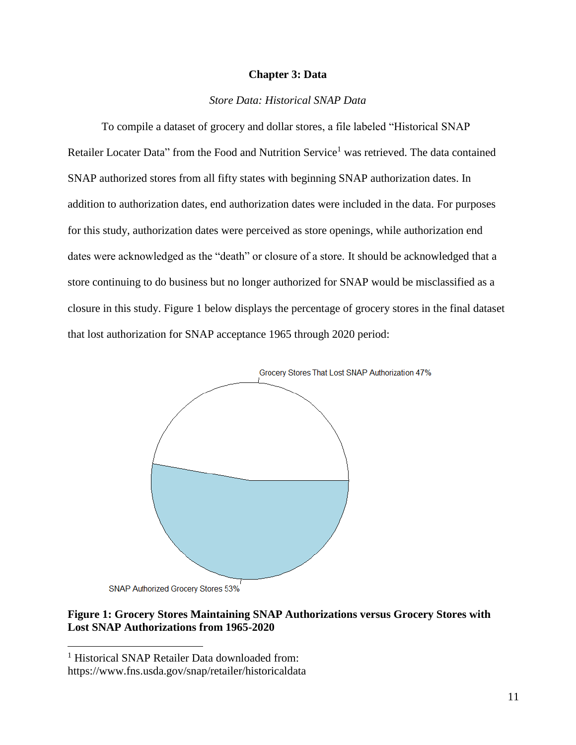#### **Chapter 3: Data**

# *Store Data: Historical SNAP Data*

<span id="page-14-0"></span>To compile a dataset of grocery and dollar stores, a file labeled "Historical SNAP Retailer Locater Data" from the Food and Nutrition Service<sup>1</sup> was retrieved. The data contained SNAP authorized stores from all fifty states with beginning SNAP authorization dates. In addition to authorization dates, end authorization dates were included in the data. For purposes for this study, authorization dates were perceived as store openings, while authorization end dates were acknowledged as the "death" or closure of a store. It should be acknowledged that a store continuing to do business but no longer authorized for SNAP would be misclassified as a closure in this study. Figure 1 below displays the percentage of grocery stores in the final dataset that lost authorization for SNAP acceptance 1965 through 2020 period:



SNAP Authorized Grocery Stores 53%

 $\overline{a}$ 

# **Figure 1: Grocery Stores Maintaining SNAP Authorizations versus Grocery Stores with Lost SNAP Authorizations from 1965-2020**

<sup>&</sup>lt;sup>1</sup> Historical SNAP Retailer Data downloaded from:

https://www.fns.usda.gov/snap/retailer/historicaldata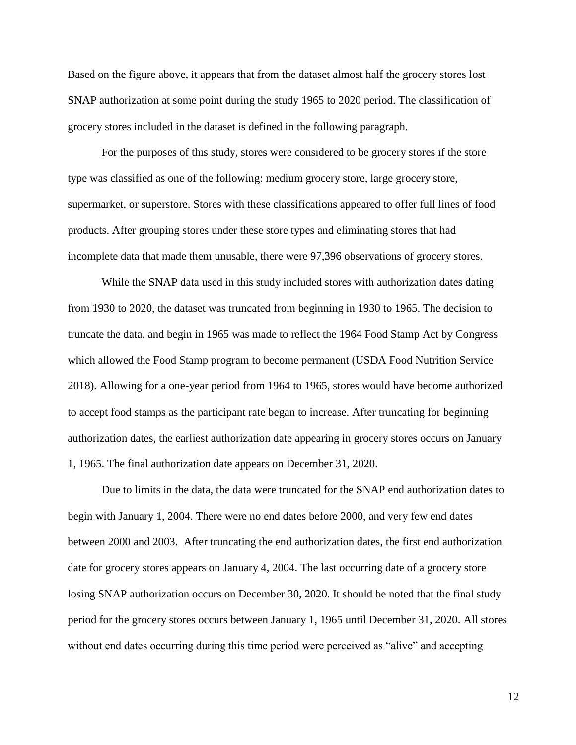Based on the figure above, it appears that from the dataset almost half the grocery stores lost SNAP authorization at some point during the study 1965 to 2020 period. The classification of grocery stores included in the dataset is defined in the following paragraph.

For the purposes of this study, stores were considered to be grocery stores if the store type was classified as one of the following: medium grocery store, large grocery store, supermarket, or superstore. Stores with these classifications appeared to offer full lines of food products. After grouping stores under these store types and eliminating stores that had incomplete data that made them unusable, there were 97,396 observations of grocery stores.

While the SNAP data used in this study included stores with authorization dates dating from 1930 to 2020, the dataset was truncated from beginning in 1930 to 1965. The decision to truncate the data, and begin in 1965 was made to reflect the 1964 Food Stamp Act by Congress which allowed the Food Stamp program to become permanent (USDA Food Nutrition Service 2018). Allowing for a one-year period from 1964 to 1965, stores would have become authorized to accept food stamps as the participant rate began to increase. After truncating for beginning authorization dates, the earliest authorization date appearing in grocery stores occurs on January 1, 1965. The final authorization date appears on December 31, 2020.

Due to limits in the data, the data were truncated for the SNAP end authorization dates to begin with January 1, 2004. There were no end dates before 2000, and very few end dates between 2000 and 2003. After truncating the end authorization dates, the first end authorization date for grocery stores appears on January 4, 2004. The last occurring date of a grocery store losing SNAP authorization occurs on December 30, 2020. It should be noted that the final study period for the grocery stores occurs between January 1, 1965 until December 31, 2020. All stores without end dates occurring during this time period were perceived as "alive" and accepting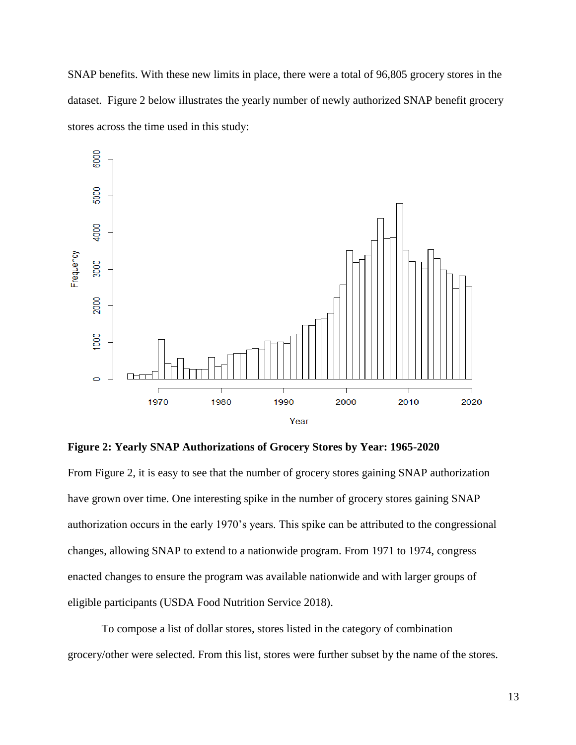SNAP benefits. With these new limits in place, there were a total of 96,805 grocery stores in the dataset. Figure 2 below illustrates the yearly number of newly authorized SNAP benefit grocery stores across the time used in this study:



**Figure 2: Yearly SNAP Authorizations of Grocery Stores by Year: 1965-2020**

From Figure 2, it is easy to see that the number of grocery stores gaining SNAP authorization have grown over time. One interesting spike in the number of grocery stores gaining SNAP authorization occurs in the early 1970's years. This spike can be attributed to the congressional changes, allowing SNAP to extend to a nationwide program. From 1971 to 1974, congress enacted changes to ensure the program was available nationwide and with larger groups of eligible participants (USDA Food Nutrition Service 2018).

To compose a list of dollar stores, stores listed in the category of combination grocery/other were selected. From this list, stores were further subset by the name of the stores.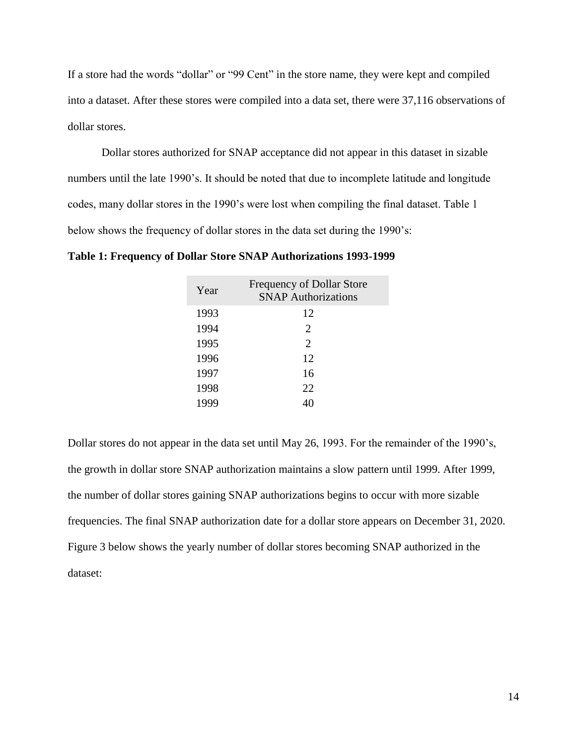If a store had the words "dollar" or "99 Cent" in the store name, they were kept and compiled into a dataset. After these stores were compiled into a data set, there were 37,116 observations of dollar stores.

Dollar stores authorized for SNAP acceptance did not appear in this dataset in sizable numbers until the late 1990's. It should be noted that due to incomplete latitude and longitude codes, many dollar stores in the 1990's were lost when compiling the final dataset. Table 1 below shows the frequency of dollar stores in the data set during the 1990's:

| Year | <b>Frequency of Dollar Store</b><br><b>SNAP Authorizations</b> |
|------|----------------------------------------------------------------|
| 1993 | 12                                                             |
| 1994 | $\mathcal{D}_{\cdot}$                                          |
| 1995 | $\mathcal{D}_{\cdot}$                                          |
| 1996 | 12                                                             |
| 1997 | 16                                                             |
| 1998 | 22                                                             |
| 1999 |                                                                |

**Table 1: Frequency of Dollar Store SNAP Authorizations 1993-1999**

Dollar stores do not appear in the data set until May 26, 1993. For the remainder of the 1990's, the growth in dollar store SNAP authorization maintains a slow pattern until 1999. After 1999, the number of dollar stores gaining SNAP authorizations begins to occur with more sizable frequencies. The final SNAP authorization date for a dollar store appears on December 31, 2020. Figure 3 below shows the yearly number of dollar stores becoming SNAP authorized in the dataset: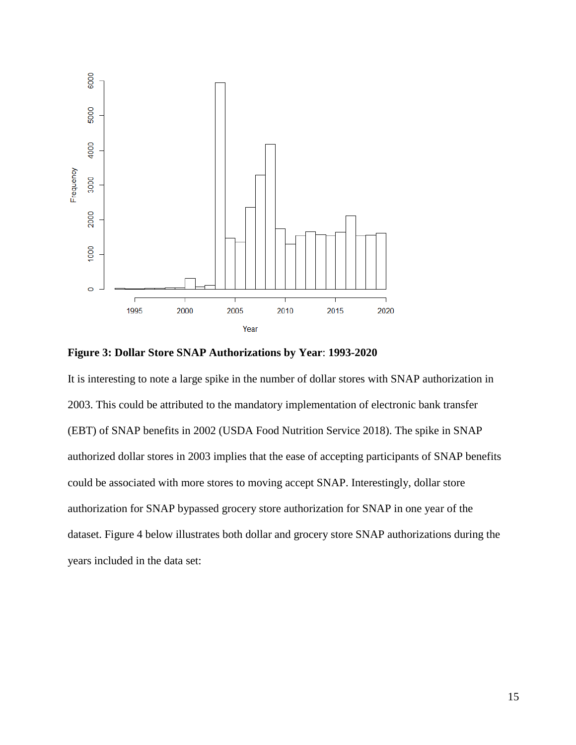

**Figure 3: Dollar Store SNAP Authorizations by Year**: **1993-2020**

It is interesting to note a large spike in the number of dollar stores with SNAP authorization in 2003. This could be attributed to the mandatory implementation of electronic bank transfer (EBT) of SNAP benefits in 2002 (USDA Food Nutrition Service 2018). The spike in SNAP authorized dollar stores in 2003 implies that the ease of accepting participants of SNAP benefits could be associated with more stores to moving accept SNAP. Interestingly, dollar store authorization for SNAP bypassed grocery store authorization for SNAP in one year of the dataset. Figure 4 below illustrates both dollar and grocery store SNAP authorizations during the years included in the data set: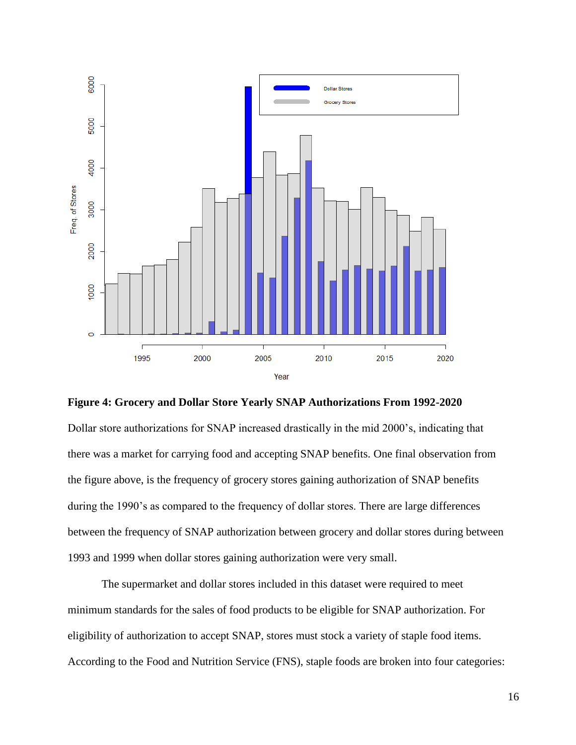

**Figure 4: Grocery and Dollar Store Yearly SNAP Authorizations From 1992-2020**

Dollar store authorizations for SNAP increased drastically in the mid 2000's, indicating that there was a market for carrying food and accepting SNAP benefits. One final observation from the figure above, is the frequency of grocery stores gaining authorization of SNAP benefits during the 1990's as compared to the frequency of dollar stores. There are large differences between the frequency of SNAP authorization between grocery and dollar stores during between 1993 and 1999 when dollar stores gaining authorization were very small.

The supermarket and dollar stores included in this dataset were required to meet minimum standards for the sales of food products to be eligible for SNAP authorization. For eligibility of authorization to accept SNAP, stores must stock a variety of staple food items. According to the Food and Nutrition Service (FNS), staple foods are broken into four categories: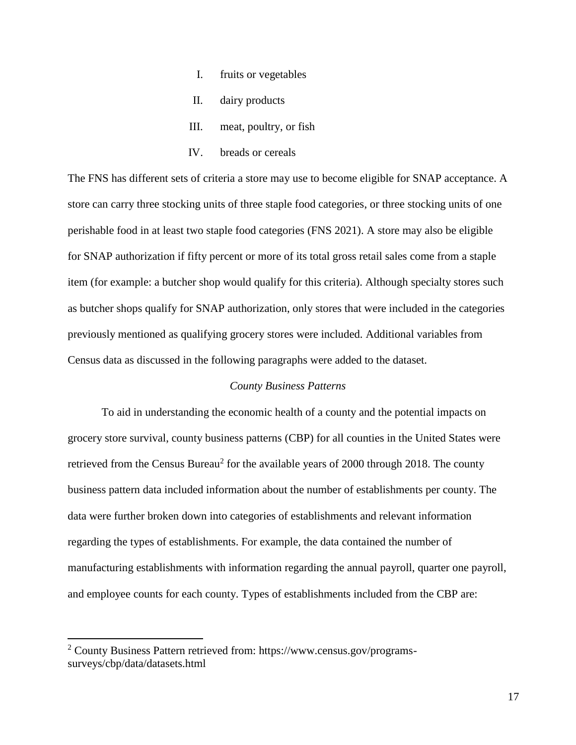- I. fruits or vegetables
- II. dairy products
- III. meat, poultry, or fish
- IV. breads or cereals

The FNS has different sets of criteria a store may use to become eligible for SNAP acceptance. A store can carry three stocking units of three staple food categories, or three stocking units of one perishable food in at least two staple food categories (FNS 2021). A store may also be eligible for SNAP authorization if fifty percent or more of its total gross retail sales come from a staple item (for example: a butcher shop would qualify for this criteria). Although specialty stores such as butcher shops qualify for SNAP authorization, only stores that were included in the categories previously mentioned as qualifying grocery stores were included. Additional variables from Census data as discussed in the following paragraphs were added to the dataset.

#### *County Business Patterns*

To aid in understanding the economic health of a county and the potential impacts on grocery store survival, county business patterns (CBP) for all counties in the United States were retrieved from the Census Bureau<sup>2</sup> for the available years of 2000 through 2018. The county business pattern data included information about the number of establishments per county. The data were further broken down into categories of establishments and relevant information regarding the types of establishments. For example, the data contained the number of manufacturing establishments with information regarding the annual payroll, quarter one payroll, and employee counts for each county. Types of establishments included from the CBP are:

 $\overline{\phantom{a}}$ 

<sup>2</sup> County Business Pattern retrieved from: https://www.census.gov/programssurveys/cbp/data/datasets.html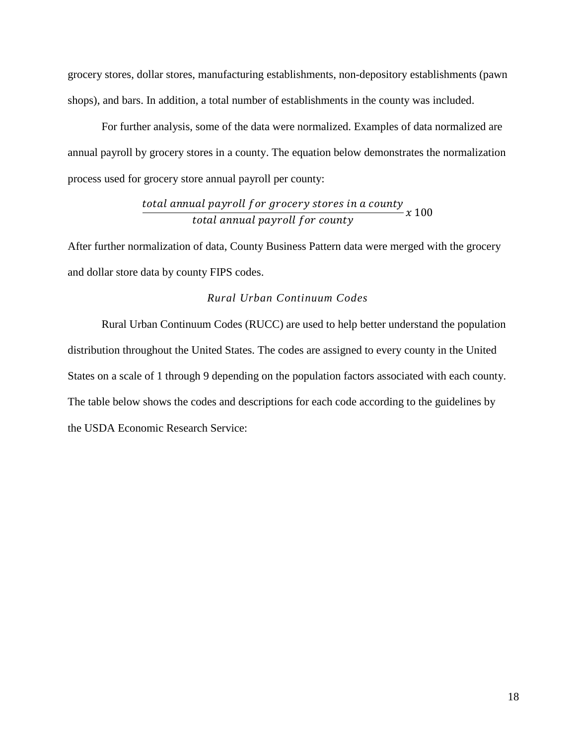grocery stores, dollar stores, manufacturing establishments, non-depository establishments (pawn shops), and bars. In addition, a total number of establishments in the county was included.

For further analysis, some of the data were normalized. Examples of data normalized are annual payroll by grocery stores in a county. The equation below demonstrates the normalization process used for grocery store annual payroll per county:

#### total annual payroll for grocery stores in a county total annual payroll for county  $\chi$  100

After further normalization of data, County Business Pattern data were merged with the grocery and dollar store data by county FIPS codes.

#### *Rural Urban Continuum Codes*

Rural Urban Continuum Codes (RUCC) are used to help better understand the population distribution throughout the United States. The codes are assigned to every county in the United States on a scale of 1 through 9 depending on the population factors associated with each county. The table below shows the codes and descriptions for each code according to the guidelines by the USDA Economic Research Service: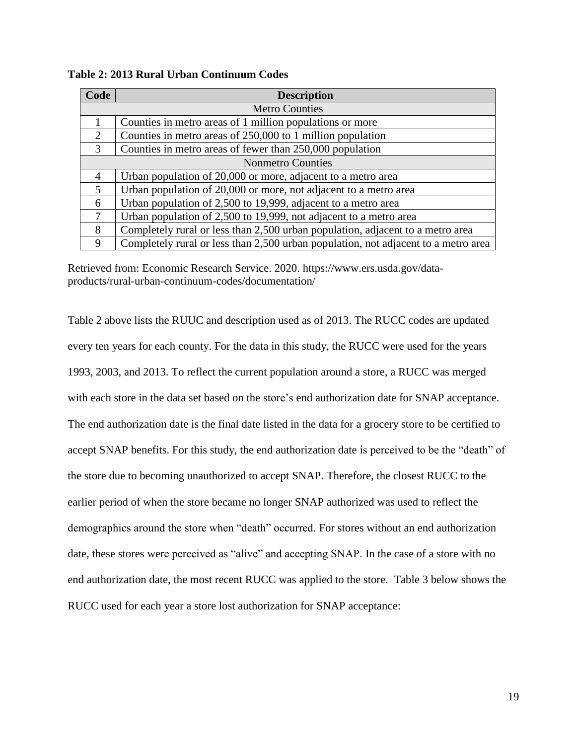| Code                     | <b>Description</b>                                                                 |  |  |  |
|--------------------------|------------------------------------------------------------------------------------|--|--|--|
| <b>Metro Counties</b>    |                                                                                    |  |  |  |
| 1                        | Counties in metro areas of 1 million populations or more                           |  |  |  |
| 2                        | Counties in metro areas of 250,000 to 1 million population                         |  |  |  |
| 3                        | Counties in metro areas of fewer than 250,000 population                           |  |  |  |
| <b>Nonmetro Counties</b> |                                                                                    |  |  |  |
| $\overline{A}$           | Urban population of 20,000 or more, adjacent to a metro area                       |  |  |  |
| $\overline{5}$           | Urban population of 20,000 or more, not adjacent to a metro area                   |  |  |  |
| 6                        | Urban population of 2,500 to 19,999, adjacent to a metro area                      |  |  |  |
| $\tau$                   | Urban population of 2,500 to 19,999, not adjacent to a metro area                  |  |  |  |
| 8                        | Completely rural or less than 2,500 urban population, adjacent to a metro area     |  |  |  |
| 9                        | Completely rural or less than 2,500 urban population, not adjacent to a metro area |  |  |  |

**Table 2: 2013 Rural Urban Continuum Codes**

Retrieved from: Economic Research Service. 2020. https://www.ers.usda.gov/dataproducts/rural-urban-continuum-codes/documentation/

Table 2 above lists the RUUC and description used as of 2013. The RUCC codes are updated every ten years for each county. For the data in this study, the RUCC were used for the years 1993, 2003, and 2013. To reflect the current population around a store, a RUCC was merged with each store in the data set based on the store's end authorization date for SNAP acceptance. The end authorization date is the final date listed in the data for a grocery store to be certified to accept SNAP benefits. For this study, the end authorization date is perceived to be the "death" of the store due to becoming unauthorized to accept SNAP. Therefore, the closest RUCC to the earlier period of when the store became no longer SNAP authorized was used to reflect the demographics around the store when "death" occurred. For stores without an end authorization date, these stores were perceived as "alive" and accepting SNAP. In the case of a store with no end authorization date, the most recent RUCC was applied to the store. Table 3 below shows the RUCC used for each year a store lost authorization for SNAP acceptance: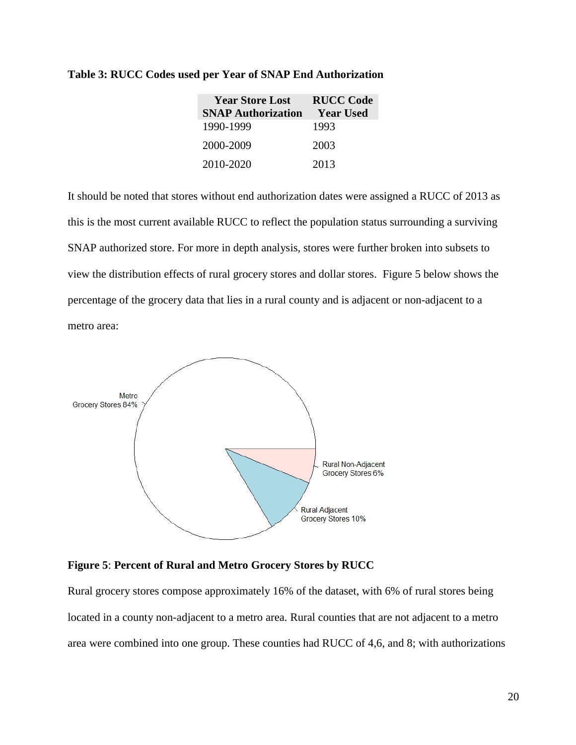| <b>Year Store Lost</b>    | <b>RUCC Code</b> |
|---------------------------|------------------|
| <b>SNAP Authorization</b> | <b>Year Used</b> |
| 1990-1999                 | 1993             |
| 2000-2009                 | 2003             |
| 2010-2020                 | 2013             |

#### **Table 3: RUCC Codes used per Year of SNAP End Authorization**

It should be noted that stores without end authorization dates were assigned a RUCC of 2013 as this is the most current available RUCC to reflect the population status surrounding a surviving SNAP authorized store. For more in depth analysis, stores were further broken into subsets to view the distribution effects of rural grocery stores and dollar stores. Figure 5 below shows the percentage of the grocery data that lies in a rural county and is adjacent or non-adjacent to a metro area:



# **Figure 5**: **Percent of Rural and Metro Grocery Stores by RUCC**

Rural grocery stores compose approximately 16% of the dataset, with 6% of rural stores being located in a county non-adjacent to a metro area. Rural counties that are not adjacent to a metro area were combined into one group. These counties had RUCC of 4,6, and 8; with authorizations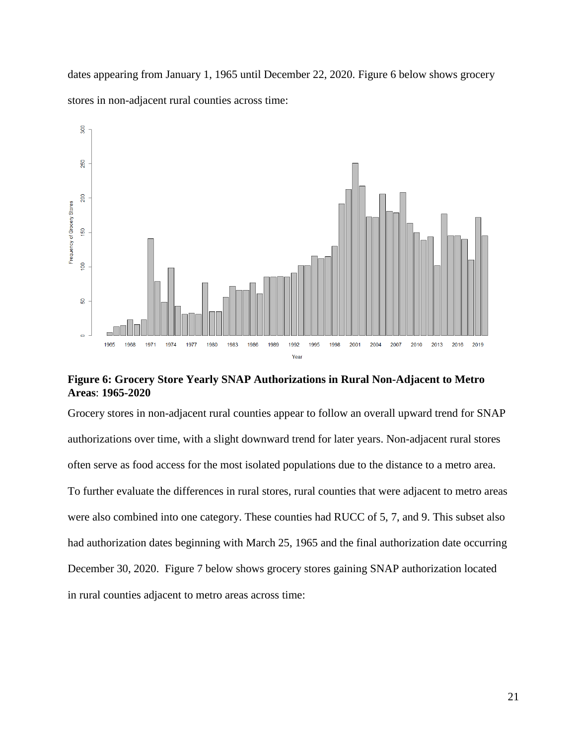dates appearing from January 1, 1965 until December 22, 2020. Figure 6 below shows grocery stores in non-adjacent rural counties across time:



**Figure 6: Grocery Store Yearly SNAP Authorizations in Rural Non-Adjacent to Metro Areas**: **1965-2020**

Grocery stores in non-adjacent rural counties appear to follow an overall upward trend for SNAP authorizations over time, with a slight downward trend for later years. Non-adjacent rural stores often serve as food access for the most isolated populations due to the distance to a metro area. To further evaluate the differences in rural stores, rural counties that were adjacent to metro areas were also combined into one category. These counties had RUCC of 5, 7, and 9. This subset also had authorization dates beginning with March 25, 1965 and the final authorization date occurring December 30, 2020. Figure 7 below shows grocery stores gaining SNAP authorization located in rural counties adjacent to metro areas across time: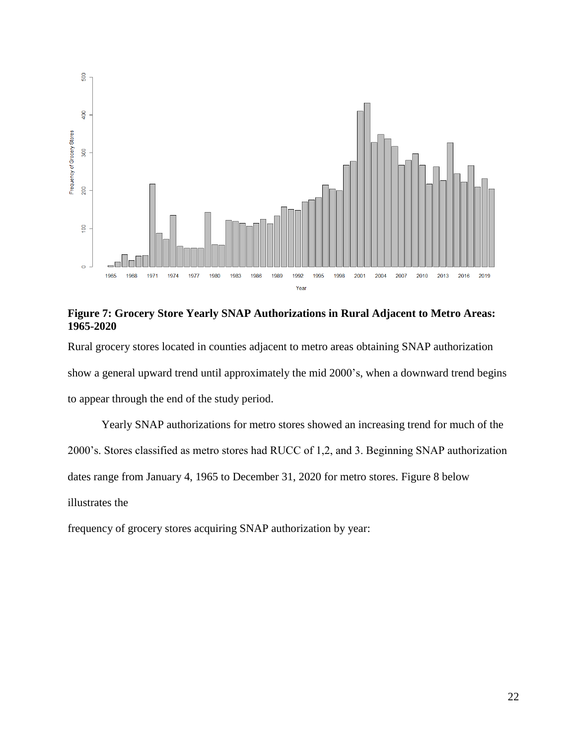

**Figure 7: Grocery Store Yearly SNAP Authorizations in Rural Adjacent to Metro Areas: 1965-2020**

Rural grocery stores located in counties adjacent to metro areas obtaining SNAP authorization show a general upward trend until approximately the mid 2000's, when a downward trend begins to appear through the end of the study period.

Yearly SNAP authorizations for metro stores showed an increasing trend for much of the 2000's. Stores classified as metro stores had RUCC of 1,2, and 3. Beginning SNAP authorization dates range from January 4, 1965 to December 31, 2020 for metro stores. Figure 8 below illustrates the

frequency of grocery stores acquiring SNAP authorization by year: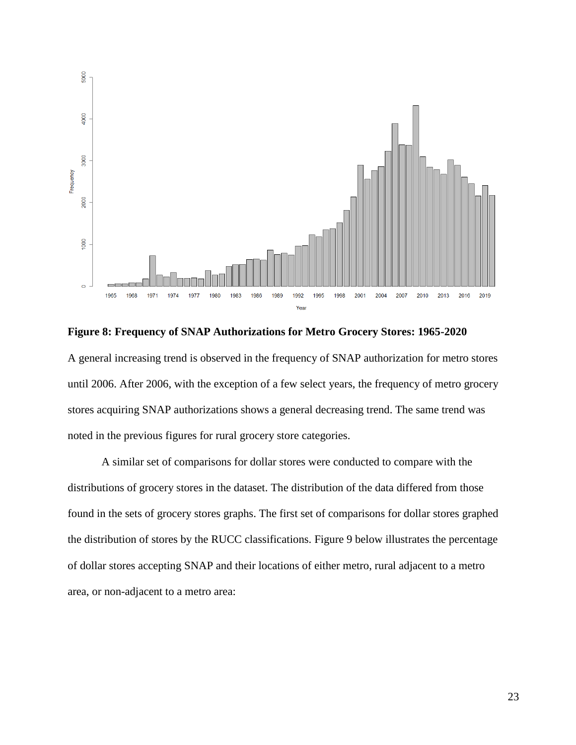

**Figure 8: Frequency of SNAP Authorizations for Metro Grocery Stores: 1965-2020** A general increasing trend is observed in the frequency of SNAP authorization for metro stores until 2006. After 2006, with the exception of a few select years, the frequency of metro grocery stores acquiring SNAP authorizations shows a general decreasing trend. The same trend was noted in the previous figures for rural grocery store categories.

A similar set of comparisons for dollar stores were conducted to compare with the distributions of grocery stores in the dataset. The distribution of the data differed from those found in the sets of grocery stores graphs. The first set of comparisons for dollar stores graphed the distribution of stores by the RUCC classifications. Figure 9 below illustrates the percentage of dollar stores accepting SNAP and their locations of either metro, rural adjacent to a metro area, or non-adjacent to a metro area: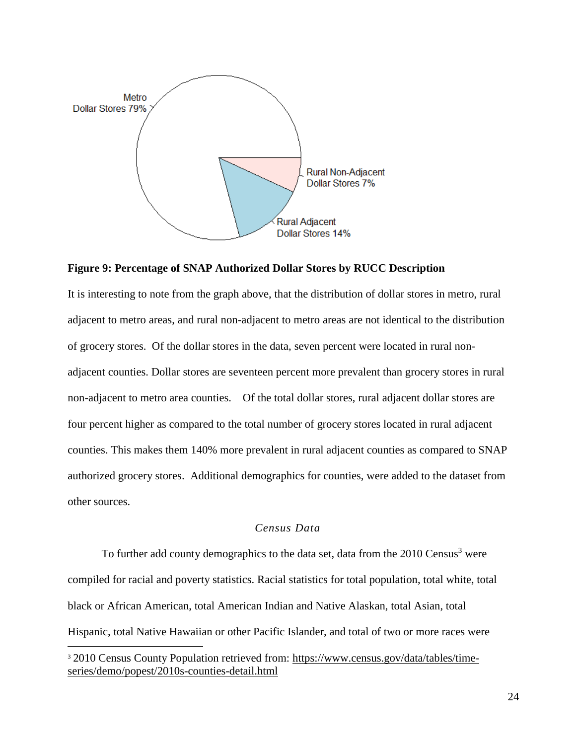

**Figure 9: Percentage of SNAP Authorized Dollar Stores by RUCC Description**

It is interesting to note from the graph above, that the distribution of dollar stores in metro, rural adjacent to metro areas, and rural non-adjacent to metro areas are not identical to the distribution of grocery stores. Of the dollar stores in the data, seven percent were located in rural nonadjacent counties. Dollar stores are seventeen percent more prevalent than grocery stores in rural non-adjacent to metro area counties. Of the total dollar stores, rural adjacent dollar stores are four percent higher as compared to the total number of grocery stores located in rural adjacent counties. This makes them 140% more prevalent in rural adjacent counties as compared to SNAP authorized grocery stores. Additional demographics for counties, were added to the dataset from other sources.

# *Census Data*

To further add county demographics to the data set, data from the 2010 Census<sup>3</sup> were compiled for racial and poverty statistics. Racial statistics for total population, total white, total black or African American, total American Indian and Native Alaskan, total Asian, total Hispanic, total Native Hawaiian or other Pacific Islander, and total of two or more races were

 $\overline{a}$ 

<sup>&</sup>lt;sup>3</sup> 2010 Census County Population retrieved from: [https://www.census.gov/data/tables/time](https://www.census.gov/data/tables/time-series/demo/popest/2010s-counties-detail.html)[series/demo/popest/2010s-counties-detail.html](https://www.census.gov/data/tables/time-series/demo/popest/2010s-counties-detail.html)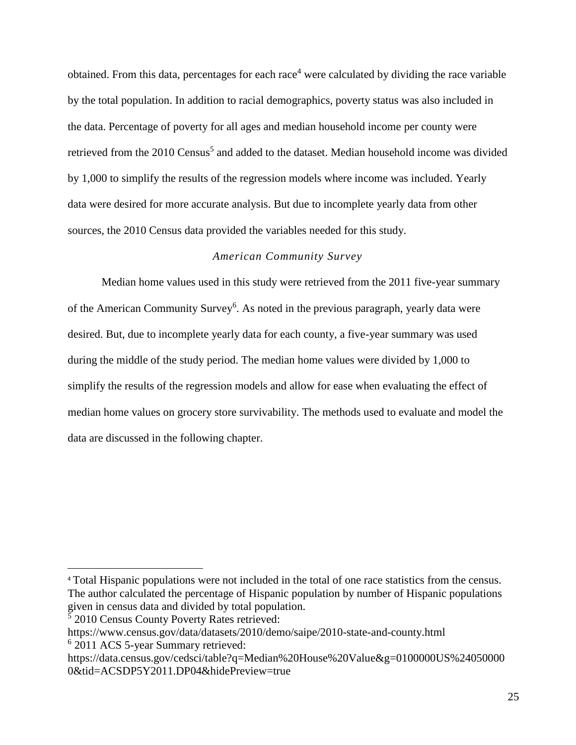obtained. From this data, percentages for each race<sup>4</sup> were calculated by dividing the race variable by the total population. In addition to racial demographics, poverty status was also included in the data. Percentage of poverty for all ages and median household income per county were retrieved from the 2010 Census<sup>5</sup> and added to the dataset. Median household income was divided by 1,000 to simplify the results of the regression models where income was included. Yearly data were desired for more accurate analysis. But due to incomplete yearly data from other sources, the 2010 Census data provided the variables needed for this study.

### *American Community Survey*

Median home values used in this study were retrieved from the 2011 five-year summary of the American Community Survey<sup>6</sup>. As noted in the previous paragraph, yearly data were desired. But, due to incomplete yearly data for each county, a five-year summary was used during the middle of the study period. The median home values were divided by 1,000 to simplify the results of the regression models and allow for ease when evaluating the effect of median home values on grocery store survivability. The methods used to evaluate and model the data are discussed in the following chapter.

5 2010 Census County Poverty Rates retrieved:

 $\overline{\phantom{a}}$ 

<sup>4</sup> Total Hispanic populations were not included in the total of one race statistics from the census. The author calculated the percentage of Hispanic population by number of Hispanic populations given in census data and divided by total population.

https://www.census.gov/data/datasets/2010/demo/saipe/2010-state-and-county.html

<sup>6</sup> 2011 ACS 5-year Summary retrieved:

https://data.census.gov/cedsci/table?q=Median%20House%20Value&g=0100000US%24050000 0&tid=ACSDP5Y2011.DP04&hidePreview=true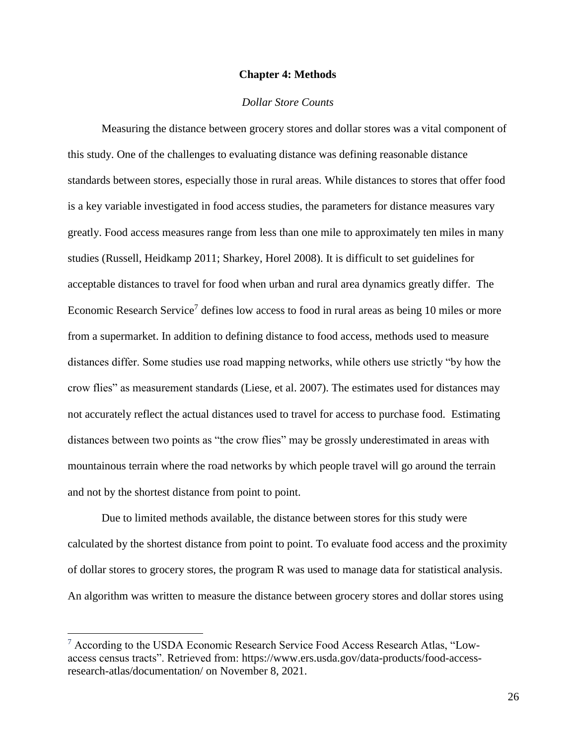#### **Chapter 4: Methods**

#### *Dollar Store Counts*

<span id="page-29-0"></span>Measuring the distance between grocery stores and dollar stores was a vital component of this study. One of the challenges to evaluating distance was defining reasonable distance standards between stores, especially those in rural areas. While distances to stores that offer food is a key variable investigated in food access studies, the parameters for distance measures vary greatly. Food access measures range from less than one mile to approximately ten miles in many studies (Russell, Heidkamp 2011; Sharkey, Horel 2008). It is difficult to set guidelines for acceptable distances to travel for food when urban and rural area dynamics greatly differ. The Economic Research Service<sup>7</sup> defines low access to food in rural areas as being 10 miles or more from a supermarket. In addition to defining distance to food access, methods used to measure distances differ. Some studies use road mapping networks, while others use strictly "by how the crow flies" as measurement standards (Liese, et al. 2007). The estimates used for distances may not accurately reflect the actual distances used to travel for access to purchase food. Estimating distances between two points as "the crow flies" may be grossly underestimated in areas with mountainous terrain where the road networks by which people travel will go around the terrain and not by the shortest distance from point to point.

Due to limited methods available, the distance between stores for this study were calculated by the shortest distance from point to point. To evaluate food access and the proximity of dollar stores to grocery stores, the program R was used to manage data for statistical analysis. An algorithm was written to measure the distance between grocery stores and dollar stores using

 $\overline{a}$ 

 $7$  According to the USDA Economic Research Service Food Access Research Atlas, "Lowaccess census tracts". Retrieved from: [https://www.ers.usda.gov/data-products/food-access](https://www.ers.usda.gov/data-products/food-access-research-atlas/documentation/)[research-atlas/documentation/](https://www.ers.usda.gov/data-products/food-access-research-atlas/documentation/) on November 8, 2021.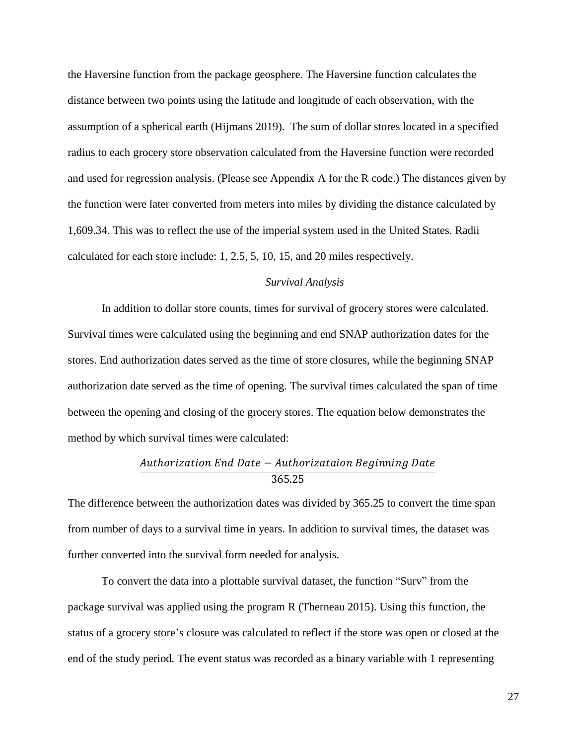the Haversine function from the package geosphere. The Haversine function calculates the distance between two points using the latitude and longitude of each observation, with the assumption of a spherical earth (Hijmans 2019). The sum of dollar stores located in a specified radius to each grocery store observation calculated from the Haversine function were recorded and used for regression analysis. (Please see Appendix A for the R code.) The distances given by the function were later converted from meters into miles by dividing the distance calculated by 1,609.34. This was to reflect the use of the imperial system used in the United States. Radii calculated for each store include: 1, 2.5, 5, 10, 15, and 20 miles respectively.

#### *Survival Analysis*

In addition to dollar store counts, times for survival of grocery stores were calculated. Survival times were calculated using the beginning and end SNAP authorization dates for the stores. End authorization dates served as the time of store closures, while the beginning SNAP authorization date served as the time of opening. The survival times calculated the span of time between the opening and closing of the grocery stores. The equation below demonstrates the method by which survival times were calculated:

# Authorization End Date - Authorizataion Beginning Date  $365.25$

The difference between the authorization dates was divided by 365.25 to convert the time span from number of days to a survival time in years. In addition to survival times, the dataset was further converted into the survival form needed for analysis.

To convert the data into a plottable survival dataset, the function "Surv" from the package survival was applied using the program R (Therneau 2015). Using this function, the status of a grocery store's closure was calculated to reflect if the store was open or closed at the end of the study period. The event status was recorded as a binary variable with 1 representing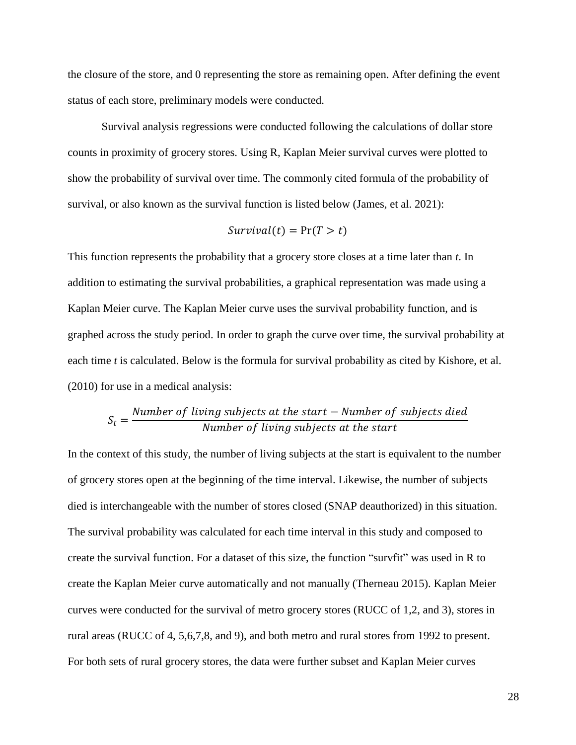the closure of the store, and 0 representing the store as remaining open. After defining the event status of each store, preliminary models were conducted.

Survival analysis regressions were conducted following the calculations of dollar store counts in proximity of grocery stores. Using R, Kaplan Meier survival curves were plotted to show the probability of survival over time. The commonly cited formula of the probability of survival, or also known as the survival function is listed below (James, et al. 2021):

$$
Survival(t) = \Pr(T > t)
$$

This function represents the probability that a grocery store closes at a time later than *t*. In addition to estimating the survival probabilities, a graphical representation was made using a Kaplan Meier curve. The Kaplan Meier curve uses the survival probability function, and is graphed across the study period. In order to graph the curve over time, the survival probability at each time *t* is calculated. Below is the formula for survival probability as cited by Kishore, et al. (2010) for use in a medical analysis:

#### $S_t =$ Number of living subjects at the start – Number of subjects died Number of living subjects at the start

In the context of this study, the number of living subjects at the start is equivalent to the number of grocery stores open at the beginning of the time interval. Likewise, the number of subjects died is interchangeable with the number of stores closed (SNAP deauthorized) in this situation. The survival probability was calculated for each time interval in this study and composed to create the survival function. For a dataset of this size, the function "survfit" was used in R to create the Kaplan Meier curve automatically and not manually (Therneau 2015). Kaplan Meier curves were conducted for the survival of metro grocery stores (RUCC of 1,2, and 3), stores in rural areas (RUCC of 4, 5,6,7,8, and 9), and both metro and rural stores from 1992 to present. For both sets of rural grocery stores, the data were further subset and Kaplan Meier curves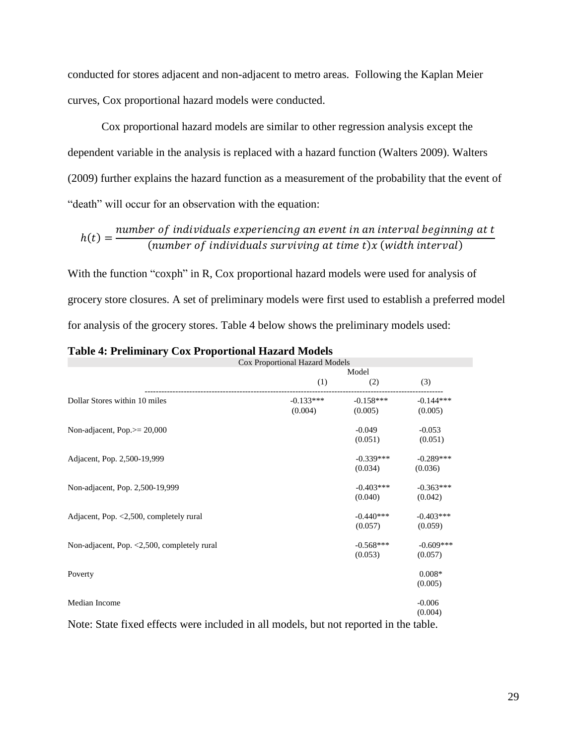conducted for stores adjacent and non-adjacent to metro areas. Following the Kaplan Meier curves, Cox proportional hazard models were conducted.

Cox proportional hazard models are similar to other regression analysis except the dependent variable in the analysis is replaced with a hazard function (Walters 2009). Walters (2009) further explains the hazard function as a measurement of the probability that the event of "death" will occur for an observation with the equation:

$$
h(t) = \frac{number\ of\ individuals\ experiencing\ an\ event\ in\ an\ interval\ beginning\ at\ t}{(number\ of\ individuals\ surviving\ at\ time\ t)x\ (width\ interval)}
$$

With the function "coxph" in R, Cox proportional hazard models were used for analysis of grocery store closures. A set of preliminary models were first used to establish a preferred model for analysis of the grocery stores. Table 4 below shows the preliminary models used:

|                                                                                     | Cox Proportional Hazard Models |                        |                        |  |
|-------------------------------------------------------------------------------------|--------------------------------|------------------------|------------------------|--|
|                                                                                     |                                | Model                  |                        |  |
|                                                                                     | (1)                            | (2)                    | (3)                    |  |
| Dollar Stores within 10 miles                                                       | $-0.133***$<br>(0.004)         | $-0.158***$<br>(0.005) | $-0.144***$<br>(0.005) |  |
| Non-adjacent, Pop. $> = 20,000$                                                     |                                | $-0.049$<br>(0.051)    | $-0.053$<br>(0.051)    |  |
| Adjacent, Pop. 2,500-19,999                                                         |                                | $-0.339***$<br>(0.034) | $-0.289***$<br>(0.036) |  |
| Non-adjacent, Pop. 2,500-19,999                                                     |                                | $-0.403***$<br>(0.040) | $-0.363***$<br>(0.042) |  |
| Adjacent, Pop. <2,500, completely rural                                             |                                | $-0.440***$<br>(0.057) | $-0.403***$<br>(0.059) |  |
| Non-adjacent, Pop. <2,500, completely rural                                         |                                | $-0.568***$<br>(0.053) | $-0.609***$<br>(0.057) |  |
| Poverty                                                                             |                                |                        | $0.008*$<br>(0.005)    |  |
| Median Income                                                                       |                                |                        | $-0.006$<br>(0.004)    |  |
| Note: State fixed effects were included in all models but not reported in the table |                                |                        |                        |  |

Note: State fixed effects were included in all models, but not reported in the table.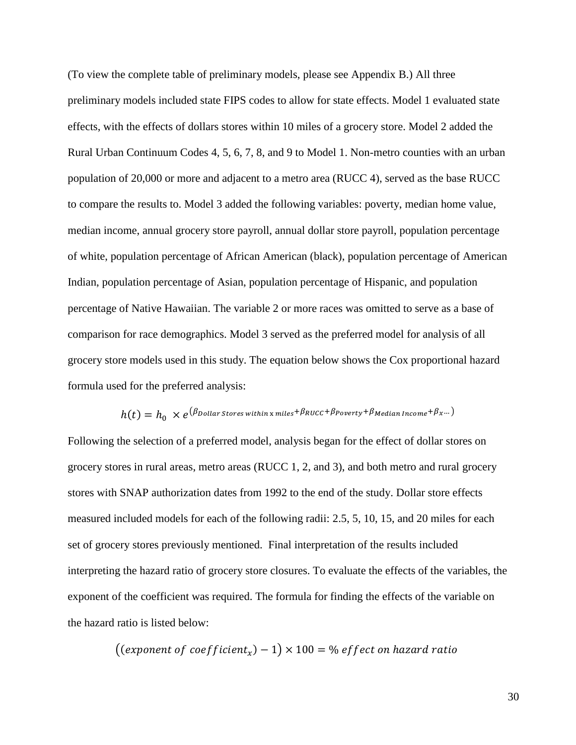(To view the complete table of preliminary models, please see Appendix B.) All three preliminary models included state FIPS codes to allow for state effects. Model 1 evaluated state effects, with the effects of dollars stores within 10 miles of a grocery store. Model 2 added the Rural Urban Continuum Codes 4, 5, 6, 7, 8, and 9 to Model 1. Non-metro counties with an urban population of 20,000 or more and adjacent to a metro area (RUCC 4), served as the base RUCC to compare the results to. Model 3 added the following variables: poverty, median home value, median income, annual grocery store payroll, annual dollar store payroll, population percentage of white, population percentage of African American (black), population percentage of American Indian, population percentage of Asian, population percentage of Hispanic, and population percentage of Native Hawaiian. The variable 2 or more races was omitted to serve as a base of comparison for race demographics. Model 3 served as the preferred model for analysis of all grocery store models used in this study. The equation below shows the Cox proportional hazard formula used for the preferred analysis:

$$
h(t) = h_0 \times e^{(\beta_{\text{Dollar\,Stores\,within\,x\,miles} + \beta_{\text{RUCC} + \beta_{\text{Poverty}} + \beta_{\text{Median\,Income} + \beta_{\text{x}}...})}
$$

Following the selection of a preferred model, analysis began for the effect of dollar stores on grocery stores in rural areas, metro areas (RUCC 1, 2, and 3), and both metro and rural grocery stores with SNAP authorization dates from 1992 to the end of the study. Dollar store effects measured included models for each of the following radii: 2.5, 5, 10, 15, and 20 miles for each set of grocery stores previously mentioned. Final interpretation of the results included interpreting the hazard ratio of grocery store closures. To evaluate the effects of the variables, the exponent of the coefficient was required. The formula for finding the effects of the variable on the hazard ratio is listed below:

((exponent of coefficient $_{\mathrm{x}}$ )  $-$  1)  $\times$  100 = % effect on hazard ratio

30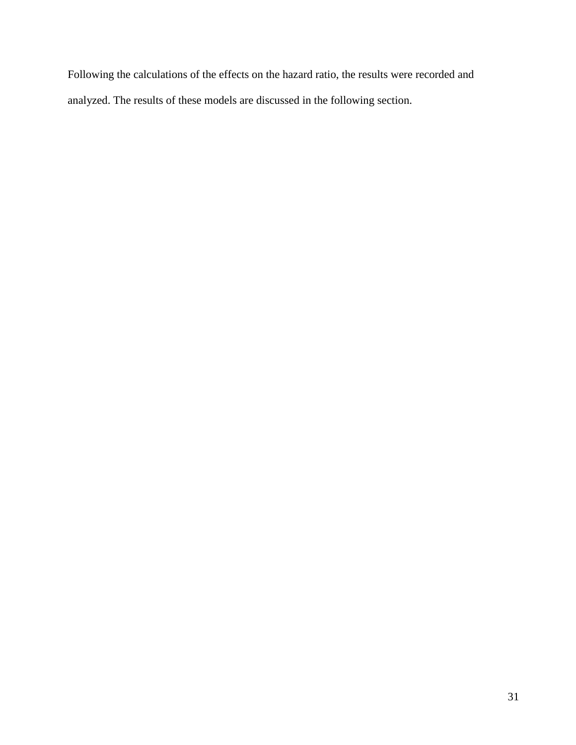Following the calculations of the effects on the hazard ratio, the results were recorded and analyzed. The results of these models are discussed in the following section.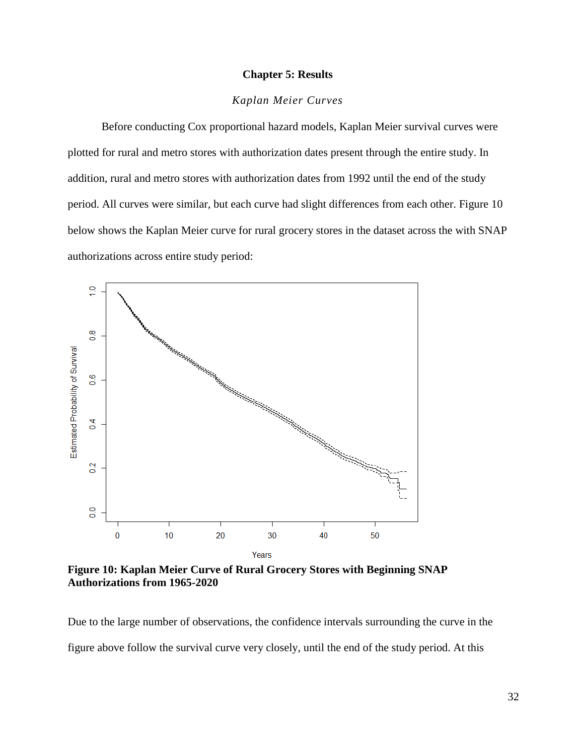## **Chapter 5: Results**

# *Kaplan Meier Curves*

<span id="page-35-0"></span>Before conducting Cox proportional hazard models, Kaplan Meier survival curves were plotted for rural and metro stores with authorization dates present through the entire study. In addition, rural and metro stores with authorization dates from 1992 until the end of the study period. All curves were similar, but each curve had slight differences from each other. Figure 10 below shows the Kaplan Meier curve for rural grocery stores in the dataset across the with SNAP authorizations across entire study period:



**Figure 10: Kaplan Meier Curve of Rural Grocery Stores with Beginning SNAP Authorizations from 1965-2020**

Due to the large number of observations, the confidence intervals surrounding the curve in the figure above follow the survival curve very closely, until the end of the study period. At this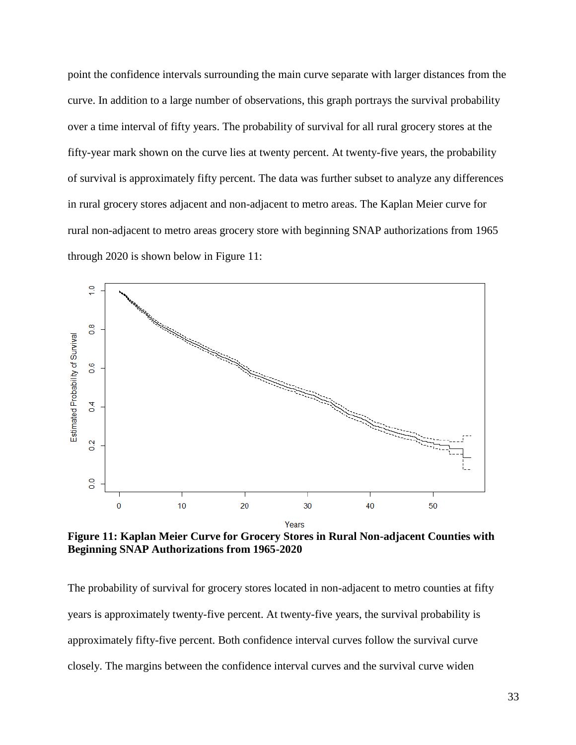point the confidence intervals surrounding the main curve separate with larger distances from the curve. In addition to a large number of observations, this graph portrays the survival probability over a time interval of fifty years. The probability of survival for all rural grocery stores at the fifty-year mark shown on the curve lies at twenty percent. At twenty-five years, the probability of survival is approximately fifty percent. The data was further subset to analyze any differences in rural grocery stores adjacent and non-adjacent to metro areas. The Kaplan Meier curve for rural non-adjacent to metro areas grocery store with beginning SNAP authorizations from 1965 through 2020 is shown below in Figure 11:



**Figure 11: Kaplan Meier Curve for Grocery Stores in Rural Non-adjacent Counties with Beginning SNAP Authorizations from 1965-2020**

The probability of survival for grocery stores located in non-adjacent to metro counties at fifty years is approximately twenty-five percent. At twenty-five years, the survival probability is approximately fifty-five percent. Both confidence interval curves follow the survival curve closely. The margins between the confidence interval curves and the survival curve widen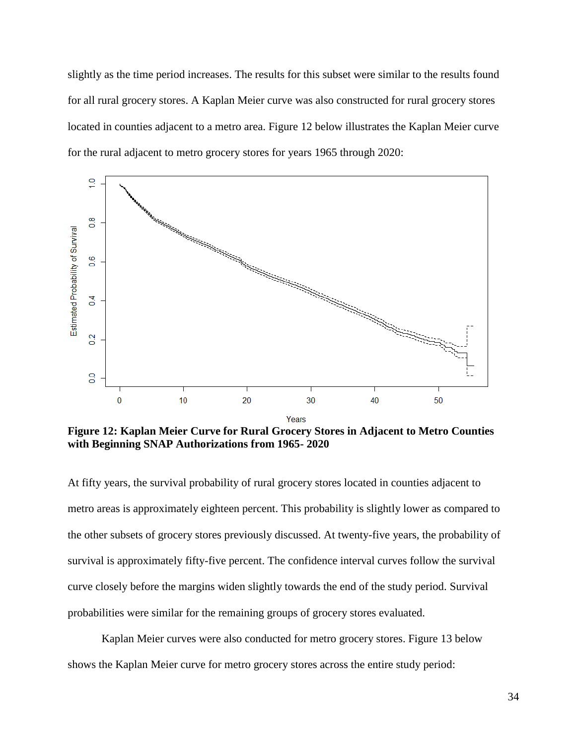slightly as the time period increases. The results for this subset were similar to the results found for all rural grocery stores. A Kaplan Meier curve was also constructed for rural grocery stores located in counties adjacent to a metro area. Figure 12 below illustrates the Kaplan Meier curve for the rural adjacent to metro grocery stores for years 1965 through 2020:



**Figure 12: Kaplan Meier Curve for Rural Grocery Stores in Adjacent to Metro Counties with Beginning SNAP Authorizations from 1965- 2020**

At fifty years, the survival probability of rural grocery stores located in counties adjacent to metro areas is approximately eighteen percent. This probability is slightly lower as compared to the other subsets of grocery stores previously discussed. At twenty-five years, the probability of survival is approximately fifty-five percent. The confidence interval curves follow the survival curve closely before the margins widen slightly towards the end of the study period. Survival probabilities were similar for the remaining groups of grocery stores evaluated.

Kaplan Meier curves were also conducted for metro grocery stores. Figure 13 below shows the Kaplan Meier curve for metro grocery stores across the entire study period: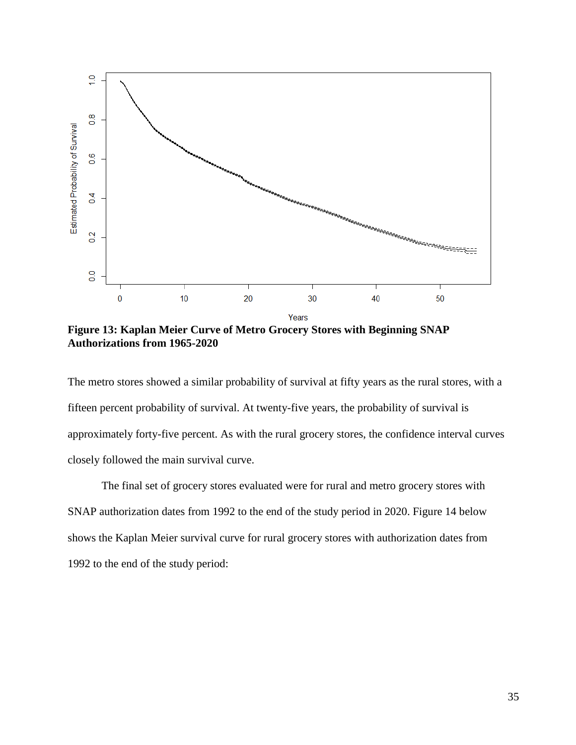

**Figure 13: Kaplan Meier Curve of Metro Grocery Stores with Beginning SNAP Authorizations from 1965-2020**

The metro stores showed a similar probability of survival at fifty years as the rural stores, with a fifteen percent probability of survival. At twenty-five years, the probability of survival is approximately forty-five percent. As with the rural grocery stores, the confidence interval curves closely followed the main survival curve.

The final set of grocery stores evaluated were for rural and metro grocery stores with SNAP authorization dates from 1992 to the end of the study period in 2020. Figure 14 below shows the Kaplan Meier survival curve for rural grocery stores with authorization dates from 1992 to the end of the study period: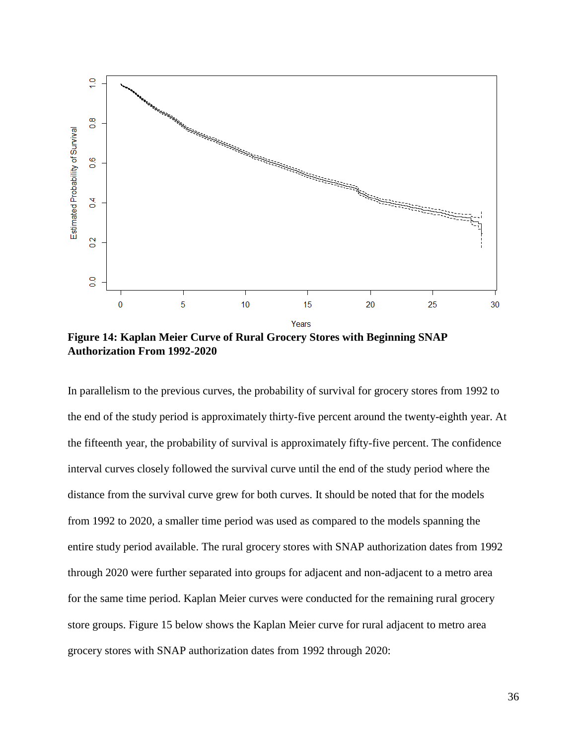

**Figure 14: Kaplan Meier Curve of Rural Grocery Stores with Beginning SNAP Authorization From 1992-2020**

In parallelism to the previous curves, the probability of survival for grocery stores from 1992 to the end of the study period is approximately thirty-five percent around the twenty-eighth year. At the fifteenth year, the probability of survival is approximately fifty-five percent. The confidence interval curves closely followed the survival curve until the end of the study period where the distance from the survival curve grew for both curves. It should be noted that for the models from 1992 to 2020, a smaller time period was used as compared to the models spanning the entire study period available. The rural grocery stores with SNAP authorization dates from 1992 through 2020 were further separated into groups for adjacent and non-adjacent to a metro area for the same time period. Kaplan Meier curves were conducted for the remaining rural grocery store groups. Figure 15 below shows the Kaplan Meier curve for rural adjacent to metro area grocery stores with SNAP authorization dates from 1992 through 2020: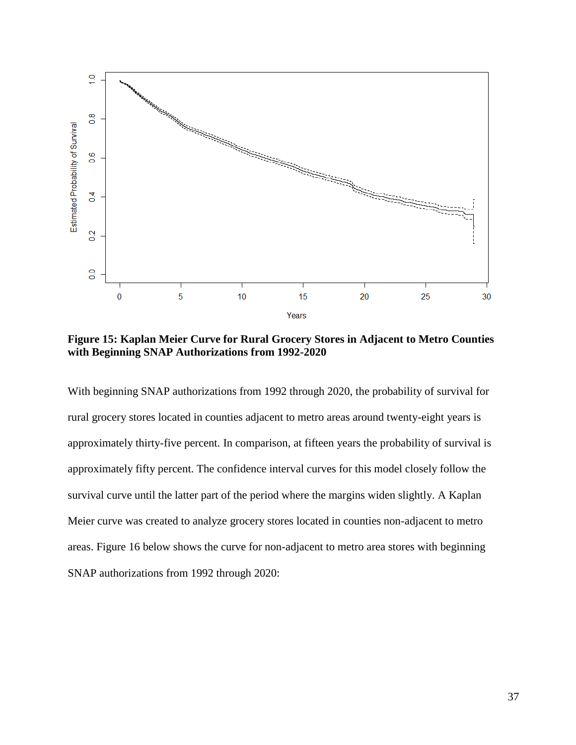

**Figure 15: Kaplan Meier Curve for Rural Grocery Stores in Adjacent to Metro Counties with Beginning SNAP Authorizations from 1992-2020**

With beginning SNAP authorizations from 1992 through 2020, the probability of survival for rural grocery stores located in counties adjacent to metro areas around twenty-eight years is approximately thirty-five percent. In comparison, at fifteen years the probability of survival is approximately fifty percent. The confidence interval curves for this model closely follow the survival curve until the latter part of the period where the margins widen slightly. A Kaplan Meier curve was created to analyze grocery stores located in counties non-adjacent to metro areas. Figure 16 below shows the curve for non-adjacent to metro area stores with beginning SNAP authorizations from 1992 through 2020: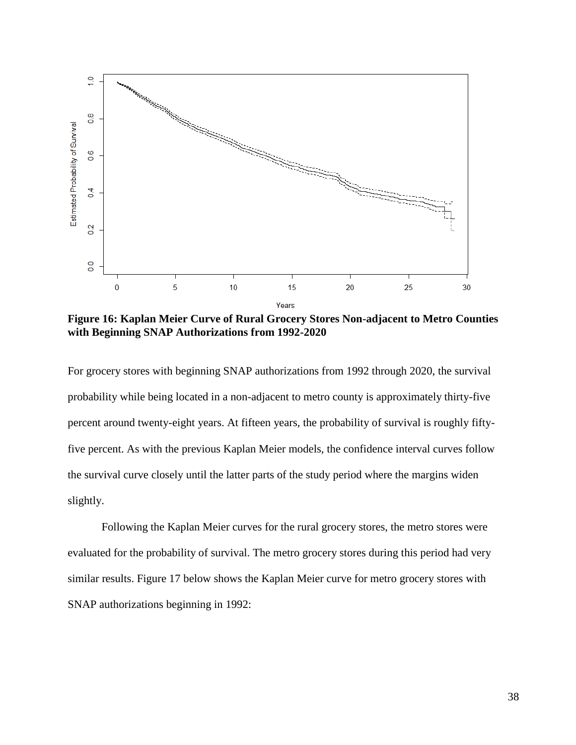

**Figure 16: Kaplan Meier Curve of Rural Grocery Stores Non-adjacent to Metro Counties with Beginning SNAP Authorizations from 1992-2020**

For grocery stores with beginning SNAP authorizations from 1992 through 2020, the survival probability while being located in a non-adjacent to metro county is approximately thirty-five percent around twenty-eight years. At fifteen years, the probability of survival is roughly fiftyfive percent. As with the previous Kaplan Meier models, the confidence interval curves follow the survival curve closely until the latter parts of the study period where the margins widen slightly.

Following the Kaplan Meier curves for the rural grocery stores, the metro stores were evaluated for the probability of survival. The metro grocery stores during this period had very similar results. Figure 17 below shows the Kaplan Meier curve for metro grocery stores with SNAP authorizations beginning in 1992: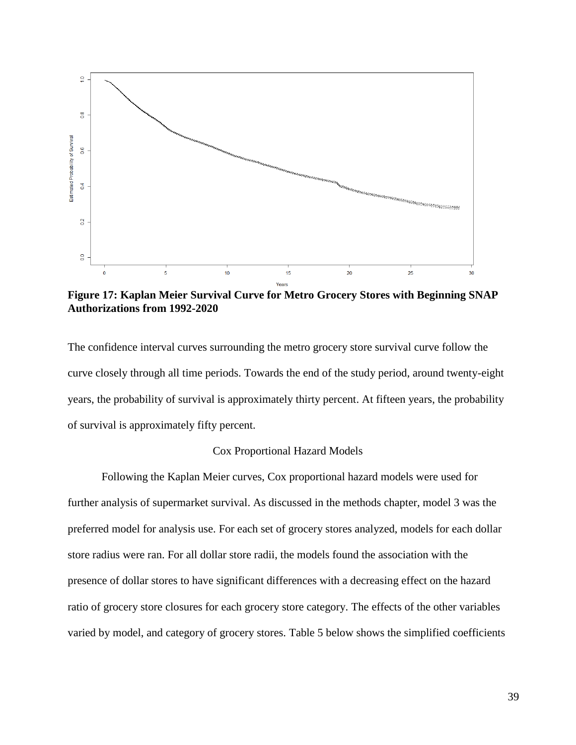

**Figure 17: Kaplan Meier Survival Curve for Metro Grocery Stores with Beginning SNAP Authorizations from 1992-2020**

The confidence interval curves surrounding the metro grocery store survival curve follow the curve closely through all time periods. Towards the end of the study period, around twenty-eight years, the probability of survival is approximately thirty percent. At fifteen years, the probability of survival is approximately fifty percent.

### Cox Proportional Hazard Models

Following the Kaplan Meier curves, Cox proportional hazard models were used for further analysis of supermarket survival. As discussed in the methods chapter, model 3 was the preferred model for analysis use. For each set of grocery stores analyzed, models for each dollar store radius were ran. For all dollar store radii, the models found the association with the presence of dollar stores to have significant differences with a decreasing effect on the hazard ratio of grocery store closures for each grocery store category. The effects of the other variables varied by model, and category of grocery stores. Table 5 below shows the simplified coefficients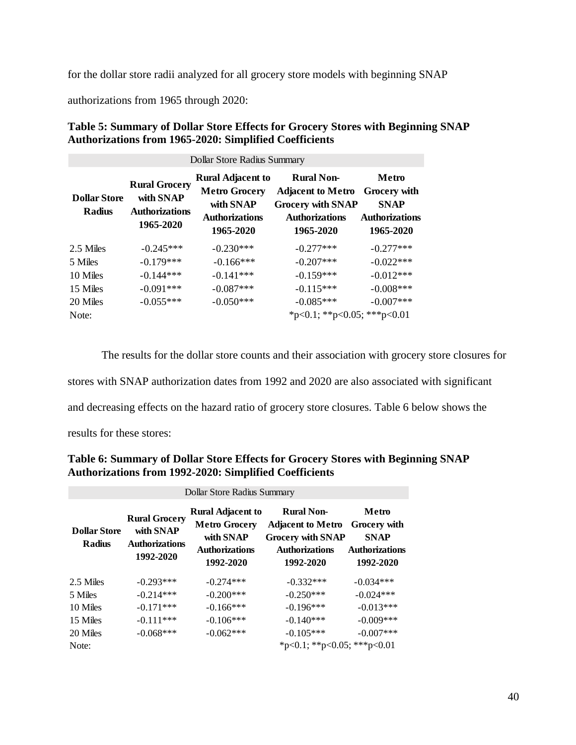for the dollar store radii analyzed for all grocery store models with beginning SNAP

authorizations from 1965 through 2020:

### **Table 5: Summary of Dollar Store Effects for Grocery Stores with Beginning SNAP Authorizations from 1965-2020: Simplified Coefficients**

| Dollar Store Radius Summary          |                                                                         |                                                                                                     |                                                                                                                 |                                                                                   |  |
|--------------------------------------|-------------------------------------------------------------------------|-----------------------------------------------------------------------------------------------------|-----------------------------------------------------------------------------------------------------------------|-----------------------------------------------------------------------------------|--|
| <b>Dollar Store</b><br><b>Radius</b> | <b>Rural Grocery</b><br>with SNAP<br><b>Authorizations</b><br>1965-2020 | <b>Rural Adjacent to</b><br><b>Metro Grocery</b><br>with SNAP<br><b>Authorizations</b><br>1965-2020 | <b>Rural Non-</b><br><b>Adjacent to Metro</b><br><b>Grocery with SNAP</b><br><b>Authorizations</b><br>1965-2020 | Metro<br><b>Grocery</b> with<br><b>SNAP</b><br><b>Authorizations</b><br>1965-2020 |  |
| 2.5 Miles                            | $-0.245***$                                                             | $-0.230***$                                                                                         | $-0.277***$                                                                                                     | $-0.277***$                                                                       |  |
| 5 Miles                              | $-0.179***$                                                             | $-0.166***$                                                                                         | $-0.207***$                                                                                                     | $-0.022***$                                                                       |  |
| 10 Miles                             | $-0.144***$                                                             | $-0.141***$                                                                                         | $-0.159***$                                                                                                     | $-0.012***$                                                                       |  |
| 15 Miles                             | $-0.091***$                                                             | $-0.087***$                                                                                         | $-0.115***$                                                                                                     | $-0.008***$                                                                       |  |
| 20 Miles                             | $-0.055***$                                                             | $-0.050***$                                                                                         | $-0.085***$                                                                                                     | $-0.007***$                                                                       |  |
| Note:                                |                                                                         |                                                                                                     | *p<0.1; **p<0.05; ***p<0.01                                                                                     |                                                                                   |  |

The results for the dollar store counts and their association with grocery store closures for stores with SNAP authorization dates from 1992 and 2020 are also associated with significant and decreasing effects on the hazard ratio of grocery store closures. Table 6 below shows the results for these stores:

### **Table 6: Summary of Dollar Store Effects for Grocery Stores with Beginning SNAP Authorizations from 1992-2020: Simplified Coefficients**

| DOLLAR STORE RAGIUS SUMMARY          |                                                                         |                                                                                                     |                                                                                                                 |                                                                            |
|--------------------------------------|-------------------------------------------------------------------------|-----------------------------------------------------------------------------------------------------|-----------------------------------------------------------------------------------------------------------------|----------------------------------------------------------------------------|
| <b>Dollar Store</b><br><b>Radius</b> | <b>Rural Grocery</b><br>with SNAP<br><b>Authorizations</b><br>1992-2020 | <b>Rural Adjacent to</b><br><b>Metro Grocery</b><br>with SNAP<br><b>Authorizations</b><br>1992-2020 | <b>Rural Non-</b><br><b>Adjacent to Metro</b><br><b>Grocery with SNAP</b><br><b>Authorizations</b><br>1992-2020 | Metro<br>Grocery with<br><b>SNAP</b><br><b>Authorizations</b><br>1992-2020 |
| 2.5 Miles                            | $-0.293***$                                                             | $-0.274***$                                                                                         | $-0.332***$                                                                                                     | $-0.034***$                                                                |
| 5 Miles                              | $-0.214***$                                                             | $-0.200***$                                                                                         | $-0.250***$                                                                                                     | $-0.024***$                                                                |
| 10 Miles                             | $-0.171***$                                                             | $-0.166***$                                                                                         | $-0.196***$                                                                                                     | $-0.013***$                                                                |
| 15 Miles                             | $-0.111***$                                                             | $-0.106***$                                                                                         | $-0.140***$                                                                                                     | $-0.009***$                                                                |
| 20 Miles                             | $-0.068***$                                                             | $-0.062***$                                                                                         | $-0.105***$                                                                                                     | $-0.007***$                                                                |
| Note:                                |                                                                         |                                                                                                     | *p<0.1; **p<0.05; ***p<0.01                                                                                     |                                                                            |

 $D \parallel C \parallel D \parallel C$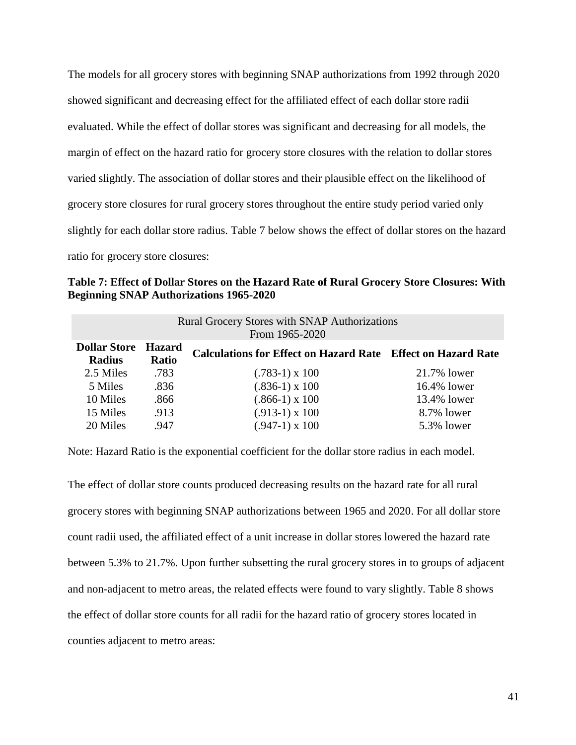The models for all grocery stores with beginning SNAP authorizations from 1992 through 2020 showed significant and decreasing effect for the affiliated effect of each dollar store radii evaluated. While the effect of dollar stores was significant and decreasing for all models, the margin of effect on the hazard ratio for grocery store closures with the relation to dollar stores varied slightly. The association of dollar stores and their plausible effect on the likelihood of grocery store closures for rural grocery stores throughout the entire study period varied only slightly for each dollar store radius. Table 7 below shows the effect of dollar stores on the hazard ratio for grocery store closures:

**Table 7: Effect of Dollar Stores on the Hazard Rate of Rural Grocery Store Closures: With Beginning SNAP Authorizations 1965-2020** 

| <b>Rural Grocery Stores with SNAP Authorizations</b><br>From 1965-2020 |                        |                                                                     |             |  |
|------------------------------------------------------------------------|------------------------|---------------------------------------------------------------------|-------------|--|
| <b>Dollar Store</b><br><b>Radius</b>                                   | <b>Hazard</b><br>Ratio | <b>Calculations for Effect on Hazard Rate</b> Effect on Hazard Rate |             |  |
| 2.5 Miles                                                              | .783                   | $(.783-1) \times 100$                                               | 21.7% lower |  |
| 5 Miles                                                                | .836                   | $(.836-1) \times 100$                                               | 16.4% lower |  |
| 10 Miles                                                               | .866                   | $(.866-1) \times 100$                                               | 13.4% lower |  |
| 15 Miles                                                               | .913                   | $(.913-1) \times 100$                                               | 8.7% lower  |  |
| 20 Miles                                                               | .947                   | $(.947-1) \times 100$                                               | 5.3% lower  |  |

Note: Hazard Ratio is the exponential coefficient for the dollar store radius in each model.

The effect of dollar store counts produced decreasing results on the hazard rate for all rural grocery stores with beginning SNAP authorizations between 1965 and 2020. For all dollar store count radii used, the affiliated effect of a unit increase in dollar stores lowered the hazard rate between 5.3% to 21.7%. Upon further subsetting the rural grocery stores in to groups of adjacent and non-adjacent to metro areas, the related effects were found to vary slightly. Table 8 shows the effect of dollar store counts for all radii for the hazard ratio of grocery stores located in counties adjacent to metro areas: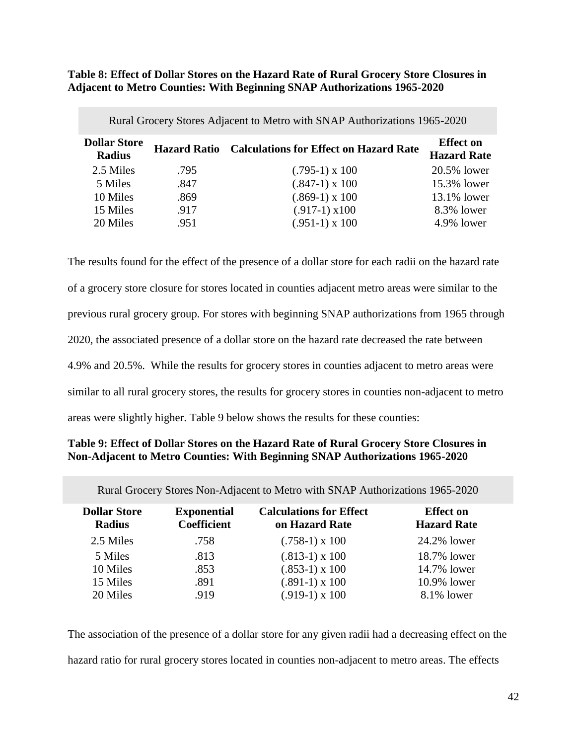**Table 8: Effect of Dollar Stores on the Hazard Rate of Rural Grocery Store Closures in Adjacent to Metro Counties: With Beginning SNAP Authorizations 1965-2020**

| Rural Grocery Stores Adjacent to Metro with SNAP Authorizations 1965-2020 |      |                                                            |                                        |  |
|---------------------------------------------------------------------------|------|------------------------------------------------------------|----------------------------------------|--|
| <b>Dollar Store</b><br><b>Radius</b>                                      |      | <b>Hazard Ratio</b> Calculations for Effect on Hazard Rate | <b>Effect on</b><br><b>Hazard Rate</b> |  |
| 2.5 Miles                                                                 | .795 | $(.795-1) \times 100$                                      | 20.5% lower                            |  |
| 5 Miles                                                                   | .847 | $(.847-1) \times 100$                                      | 15.3% lower                            |  |
| 10 Miles                                                                  | .869 | $(.869-1) \times 100$                                      | 13.1% lower                            |  |
| 15 Miles                                                                  | .917 | $(.917-1) \times 100$                                      | 8.3% lower                             |  |
| 20 Miles                                                                  | .951 | $(.951-1) \times 100$                                      | 4.9% lower                             |  |

The results found for the effect of the presence of a dollar store for each radii on the hazard rate of a grocery store closure for stores located in counties adjacent metro areas were similar to the previous rural grocery group. For stores with beginning SNAP authorizations from 1965 through 2020, the associated presence of a dollar store on the hazard rate decreased the rate between 4.9% and 20.5%. While the results for grocery stores in counties adjacent to metro areas were similar to all rural grocery stores, the results for grocery stores in counties non-adjacent to metro areas were slightly higher. Table 9 below shows the results for these counties:

## **Table 9: Effect of Dollar Stores on the Hazard Rate of Rural Grocery Store Closures in Non-Adjacent to Metro Counties: With Beginning SNAP Authorizations 1965-2020**

| Rural Grocery Stores Non-Adjacent to Metro with SNAP Authorizations 1965-2020 |                                          |                                                  |                                        |  |
|-------------------------------------------------------------------------------|------------------------------------------|--------------------------------------------------|----------------------------------------|--|
| <b>Dollar Store</b><br><b>Radius</b>                                          | <b>Exponential</b><br><b>Coefficient</b> | <b>Calculations for Effect</b><br>on Hazard Rate | <b>Effect on</b><br><b>Hazard Rate</b> |  |
| 2.5 Miles                                                                     | .758                                     | $(.758-1) \times 100$                            | 24.2% lower                            |  |
| 5 Miles                                                                       | .813                                     | $(.813-1) \times 100$                            | 18.7% lower                            |  |
| 10 Miles                                                                      | .853                                     | $(.853-1) \times 100$                            | 14.7% lower                            |  |
| 15 Miles                                                                      | .891                                     | $(.891-1) \times 100$                            | 10.9% lower                            |  |
| 20 Miles                                                                      | .919                                     | $(.919-1) \times 100$                            | 8.1% lower                             |  |

The association of the presence of a dollar store for any given radii had a decreasing effect on the hazard ratio for rural grocery stores located in counties non-adjacent to metro areas. The effects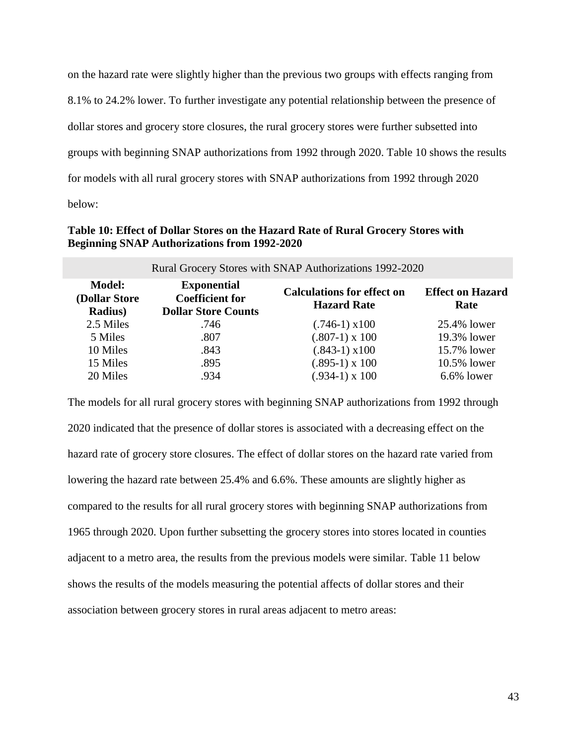on the hazard rate were slightly higher than the previous two groups with effects ranging from 8.1% to 24.2% lower. To further investigate any potential relationship between the presence of dollar stores and grocery store closures, the rural grocery stores were further subsetted into groups with beginning SNAP authorizations from 1992 through 2020. Table 10 shows the results for models with all rural grocery stores with SNAP authorizations from 1992 through 2020 below:

### **Table 10: Effect of Dollar Stores on the Hazard Rate of Rural Grocery Stores with Beginning SNAP Authorizations from 1992-2020**

| Rural Grocery Stores with SNAP Authorizations 1992-2020 |                                                                            |                                                         |                                 |  |
|---------------------------------------------------------|----------------------------------------------------------------------------|---------------------------------------------------------|---------------------------------|--|
| <b>Model:</b><br>(Dollar Store<br><b>Radius</b> )       | <b>Exponential</b><br><b>Coefficient for</b><br><b>Dollar Store Counts</b> | <b>Calculations for effect on</b><br><b>Hazard Rate</b> | <b>Effect on Hazard</b><br>Rate |  |
| 2.5 Miles                                               | .746                                                                       | $(.746-1) \times 100$                                   | 25.4% lower                     |  |
| 5 Miles                                                 | .807                                                                       | $(.807-1) \times 100$                                   | 19.3% lower                     |  |
| 10 Miles                                                | .843                                                                       | $(.843-1) \times 100$                                   | 15.7% lower                     |  |
| 15 Miles                                                | .895                                                                       | $(.895-1) \times 100$                                   | 10.5% lower                     |  |
| 20 Miles                                                | .934                                                                       | $(.934-1) \times 100$                                   | 6.6% lower                      |  |

The models for all rural grocery stores with beginning SNAP authorizations from 1992 through 2020 indicated that the presence of dollar stores is associated with a decreasing effect on the hazard rate of grocery store closures. The effect of dollar stores on the hazard rate varied from lowering the hazard rate between 25.4% and 6.6%. These amounts are slightly higher as compared to the results for all rural grocery stores with beginning SNAP authorizations from 1965 through 2020. Upon further subsetting the grocery stores into stores located in counties adjacent to a metro area, the results from the previous models were similar. Table 11 below shows the results of the models measuring the potential affects of dollar stores and their association between grocery stores in rural areas adjacent to metro areas: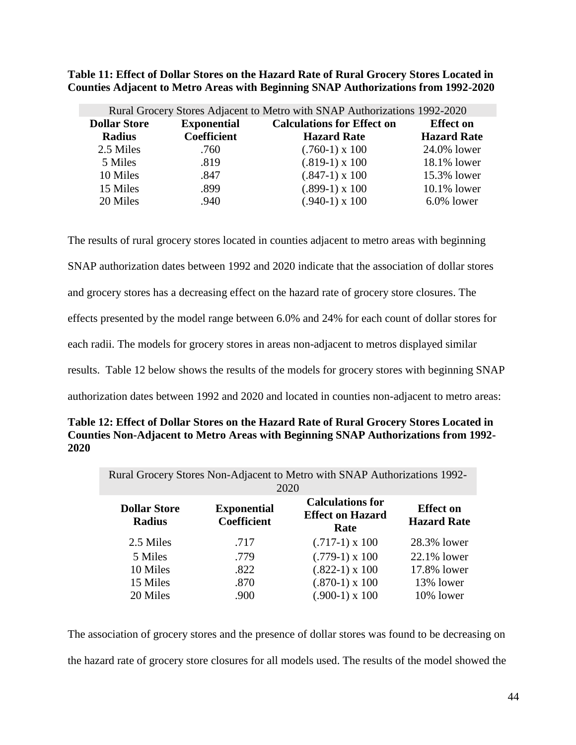**Table 11: Effect of Dollar Stores on the Hazard Rate of Rural Grocery Stores Located in Counties Adjacent to Metro Areas with Beginning SNAP Authorizations from 1992-2020**

|                     |                    | Rural Grocery Stores Adjacent to Metro with SNAP Authorizations 1992-2020 |                    |
|---------------------|--------------------|---------------------------------------------------------------------------|--------------------|
| <b>Dollar Store</b> | <b>Exponential</b> | <b>Calculations for Effect on</b>                                         | <b>Effect on</b>   |
| <b>Radius</b>       | <b>Coefficient</b> | <b>Hazard Rate</b>                                                        | <b>Hazard Rate</b> |
| 2.5 Miles           | .760               | $(.760-1) \times 100$                                                     | 24.0% lower        |
| 5 Miles             | .819               | $(.819-1) \times 100$                                                     | 18.1% lower        |
| 10 Miles            | .847               | $(.847-1) \times 100$                                                     | 15.3% lower        |
| 15 Miles            | .899               | $(.899-1) \times 100$                                                     | $10.1\%$ lower     |
| 20 Miles            | .940               | $(.940-1) \times 100$                                                     | $6.0\%$ lower      |

The results of rural grocery stores located in counties adjacent to metro areas with beginning SNAP authorization dates between 1992 and 2020 indicate that the association of dollar stores and grocery stores has a decreasing effect on the hazard rate of grocery store closures. The effects presented by the model range between 6.0% and 24% for each count of dollar stores for each radii. The models for grocery stores in areas non-adjacent to metros displayed similar results. Table 12 below shows the results of the models for grocery stores with beginning SNAP authorization dates between 1992 and 2020 and located in counties non-adjacent to metro areas:

| Table 12: Effect of Dollar Stores on the Hazard Rate of Rural Grocery Stores Located in |
|-----------------------------------------------------------------------------------------|
| Counties Non-Adjacent to Metro Areas with Beginning SNAP Authorizations from 1992-      |
| 2020                                                                                    |

| Rural Grocery Stores Non-Adjacent to Metro with SNAP Authorizations 1992-<br>2020 |                                          |                                                            |                                        |  |
|-----------------------------------------------------------------------------------|------------------------------------------|------------------------------------------------------------|----------------------------------------|--|
| <b>Dollar Store</b><br><b>Radius</b>                                              | <b>Exponential</b><br><b>Coefficient</b> | <b>Calculations for</b><br><b>Effect on Hazard</b><br>Rate | <b>Effect</b> on<br><b>Hazard Rate</b> |  |
| 2.5 Miles                                                                         | .717                                     | $(.717-1) \times 100$                                      | 28.3% lower                            |  |
| 5 Miles                                                                           | .779                                     | $(.779-1) \times 100$                                      | 22.1% lower                            |  |
| 10 Miles                                                                          | .822                                     | $(.822-1) \times 100$                                      | 17.8% lower                            |  |
| 15 Miles                                                                          | .870                                     | $(.870-1) \times 100$                                      | 13% lower                              |  |
| 20 Miles                                                                          | .900                                     | $(.900-1) \times 100$                                      | 10% lower                              |  |

The association of grocery stores and the presence of dollar stores was found to be decreasing on the hazard rate of grocery store closures for all models used. The results of the model showed the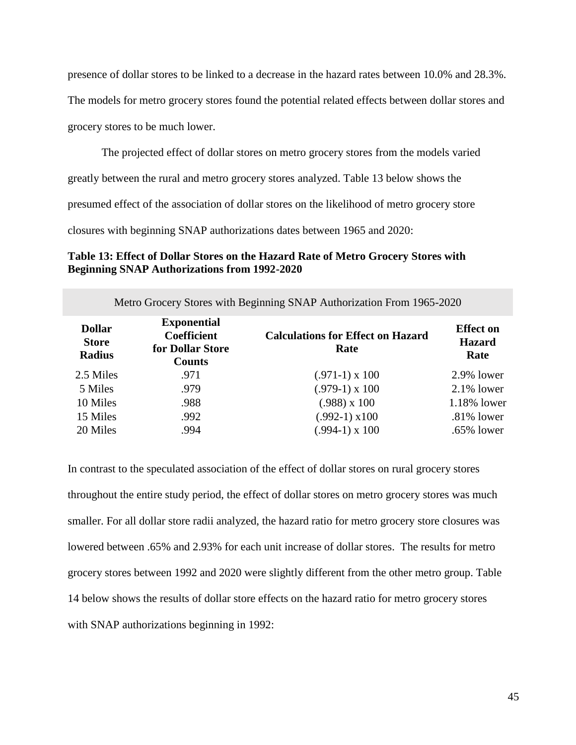presence of dollar stores to be linked to a decrease in the hazard rates between 10.0% and 28.3%.

The models for metro grocery stores found the potential related effects between dollar stores and

grocery stores to be much lower.

The projected effect of dollar stores on metro grocery stores from the models varied

greatly between the rural and metro grocery stores analyzed. Table 13 below shows the

presumed effect of the association of dollar stores on the likelihood of metro grocery store

closures with beginning SNAP authorizations dates between 1965 and 2020:

### **Table 13: Effect of Dollar Stores on the Hazard Rate of Metro Grocery Stores with Beginning SNAP Authorizations from 1992-2020**

| Metro Grocery Stores with Beginning SNAP Authorization From 1965-2020 |                                                                               |                                                  |                                           |  |
|-----------------------------------------------------------------------|-------------------------------------------------------------------------------|--------------------------------------------------|-------------------------------------------|--|
| <b>Dollar</b><br><b>Store</b><br><b>Radius</b>                        | <b>Exponential</b><br><b>Coefficient</b><br>for Dollar Store<br><b>Counts</b> | <b>Calculations for Effect on Hazard</b><br>Rate | <b>Effect</b> on<br><b>Hazard</b><br>Rate |  |
| 2.5 Miles                                                             | .971                                                                          | $(.971-1) \times 100$                            | $2.9\%$ lower                             |  |
| 5 Miles                                                               | .979                                                                          | $(.979-1) \times 100$                            | $2.1\%$ lower                             |  |
| 10 Miles                                                              | .988                                                                          | $(.988)$ x 100                                   | 1.18% lower                               |  |
| 15 Miles                                                              | .992                                                                          | $(.992-1) \times 100$                            | $.81\%$ lower                             |  |
| 20 Miles                                                              | .994                                                                          | $(.994-1) \times 100$                            | .65% lower                                |  |

In contrast to the speculated association of the effect of dollar stores on rural grocery stores throughout the entire study period, the effect of dollar stores on metro grocery stores was much smaller. For all dollar store radii analyzed, the hazard ratio for metro grocery store closures was lowered between .65% and 2.93% for each unit increase of dollar stores. The results for metro grocery stores between 1992 and 2020 were slightly different from the other metro group. Table 14 below shows the results of dollar store effects on the hazard ratio for metro grocery stores with SNAP authorizations beginning in 1992: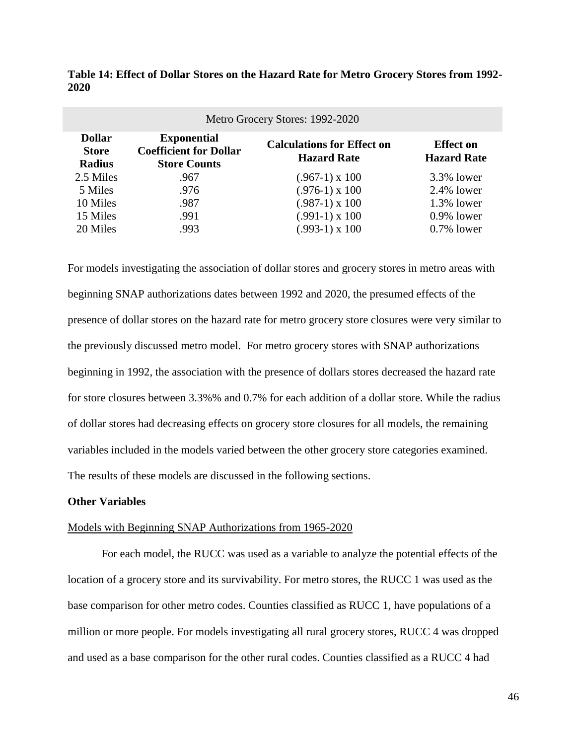| Metro Grocery Stores: 1992-2020                |                                                                            |                                                         |                                        |  |
|------------------------------------------------|----------------------------------------------------------------------------|---------------------------------------------------------|----------------------------------------|--|
| <b>Dollar</b><br><b>Store</b><br><b>Radius</b> | <b>Exponential</b><br><b>Coefficient for Dollar</b><br><b>Store Counts</b> | <b>Calculations for Effect on</b><br><b>Hazard Rate</b> | <b>Effect</b> on<br><b>Hazard Rate</b> |  |
| 2.5 Miles                                      | .967                                                                       | $(.967-1) \times 100$                                   | 3.3% lower                             |  |
| 5 Miles                                        | .976                                                                       | $(.976-1) \times 100$                                   | $2.4\%$ lower                          |  |
| 10 Miles                                       | .987                                                                       | $(.987-1) \times 100$                                   | $1.3\%$ lower                          |  |
| 15 Miles                                       | .991                                                                       | $(.991-1) \times 100$                                   | $0.9\%$ lower                          |  |
| 20 Miles                                       | .993                                                                       | $(.993-1) \times 100$                                   | $0.7\%$ lower                          |  |

**Table 14: Effect of Dollar Stores on the Hazard Rate for Metro Grocery Stores from 1992- 2020**

For models investigating the association of dollar stores and grocery stores in metro areas with beginning SNAP authorizations dates between 1992 and 2020, the presumed effects of the presence of dollar stores on the hazard rate for metro grocery store closures were very similar to the previously discussed metro model. For metro grocery stores with SNAP authorizations beginning in 1992, the association with the presence of dollars stores decreased the hazard rate for store closures between 3.3%% and 0.7% for each addition of a dollar store. While the radius of dollar stores had decreasing effects on grocery store closures for all models, the remaining variables included in the models varied between the other grocery store categories examined. The results of these models are discussed in the following sections.

### **Other Variables**

### Models with Beginning SNAP Authorizations from 1965-2020

For each model, the RUCC was used as a variable to analyze the potential effects of the location of a grocery store and its survivability. For metro stores, the RUCC 1 was used as the base comparison for other metro codes. Counties classified as RUCC 1, have populations of a million or more people. For models investigating all rural grocery stores, RUCC 4 was dropped and used as a base comparison for the other rural codes. Counties classified as a RUCC 4 had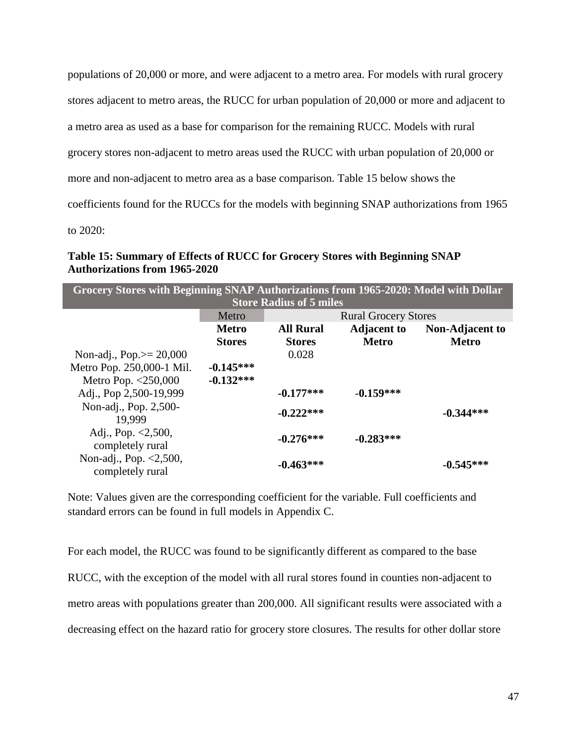populations of 20,000 or more, and were adjacent to a metro area. For models with rural grocery

stores adjacent to metro areas, the RUCC for urban population of 20,000 or more and adjacent to

a metro area as used as a base for comparison for the remaining RUCC. Models with rural

grocery stores non-adjacent to metro areas used the RUCC with urban population of 20,000 or

more and non-adjacent to metro area as a base comparison. Table 15 below shows the

coefficients found for the RUCCs for the models with beginning SNAP authorizations from 1965

to 2020:

### **Table 15: Summary of Effects of RUCC for Grocery Stores with Beginning SNAP Authorizations from 1965-2020**

| Grocery Stores with Beginning SNAP Authorizations from 1965-2020: Model with Dollar<br><b>Store Radius of 5 miles</b> |               |                             |                    |                        |
|-----------------------------------------------------------------------------------------------------------------------|---------------|-----------------------------|--------------------|------------------------|
|                                                                                                                       | Metro         | <b>Rural Grocery Stores</b> |                    |                        |
|                                                                                                                       | <b>Metro</b>  | <b>All Rural</b>            | <b>Adjacent to</b> | <b>Non-Adjacent to</b> |
|                                                                                                                       | <b>Stores</b> | <b>Stores</b>               | <b>Metro</b>       | <b>Metro</b>           |
| Non-adj., Pop. $> = 20,000$                                                                                           |               | 0.028                       |                    |                        |
| Metro Pop. 250,000-1 Mil.                                                                                             | $-0.145***$   |                             |                    |                        |
| Metro Pop. <250,000                                                                                                   | $-0.132***$   |                             |                    |                        |
| Adj., Pop 2,500-19,999                                                                                                |               | $-0.177***$                 | $-0.159***$        |                        |
| Non-adj., Pop. 2,500-<br>19.999                                                                                       |               | $-0.222***$                 |                    | $-0.344***$            |
| Adj., Pop. $\langle 2, 500, \rangle$<br>completely rural                                                              |               | $-0.276***$                 | $-0.283***$        |                        |
| Non-adj., Pop. <2,500,<br>completely rural                                                                            |               | $-0.463***$                 |                    | $-0.545***$            |

Note: Values given are the corresponding coefficient for the variable. Full coefficients and standard errors can be found in full models in Appendix C.

For each model, the RUCC was found to be significantly different as compared to the base RUCC, with the exception of the model with all rural stores found in counties non-adjacent to metro areas with populations greater than 200,000. All significant results were associated with a decreasing effect on the hazard ratio for grocery store closures. The results for other dollar store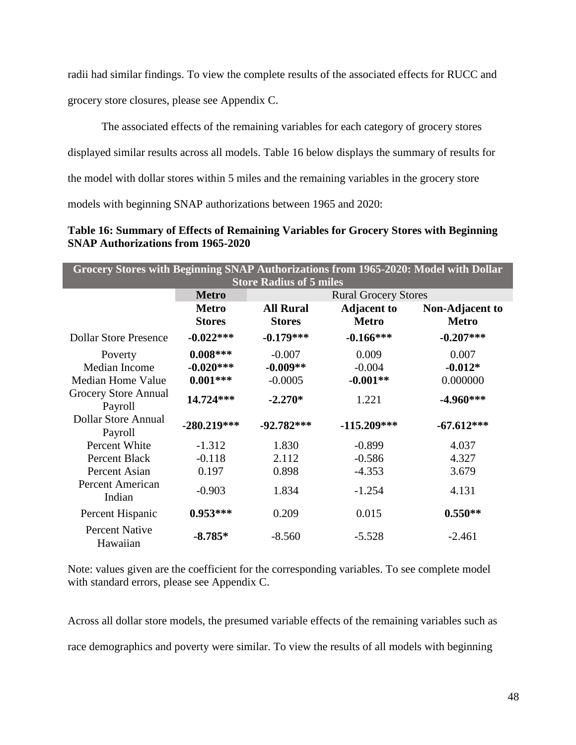radii had similar findings. To view the complete results of the associated effects for RUCC and grocery store closures, please see Appendix C.

The associated effects of the remaining variables for each category of grocery stores displayed similar results across all models. Table 16 below displays the summary of results for the model with dollar stores within 5 miles and the remaining variables in the grocery store models with beginning SNAP authorizations between 1965 and 2020:

**Table 16: Summary of Effects of Remaining Variables for Grocery Stores with Beginning SNAP Authorizations from 1965-2020**

| Grocery Stores with Beginning SNAP Authorizations from 1965-2020: Model with Dollar<br><b>Store Radius of 5 miles</b> |                               |                                   |                                    |                                        |
|-----------------------------------------------------------------------------------------------------------------------|-------------------------------|-----------------------------------|------------------------------------|----------------------------------------|
|                                                                                                                       | <b>Metro</b>                  | <b>Rural Grocery Stores</b>       |                                    |                                        |
|                                                                                                                       | <b>Metro</b><br><b>Stores</b> | <b>All Rural</b><br><b>Stores</b> | <b>Adjacent to</b><br><b>Metro</b> | <b>Non-Adjacent to</b><br><b>Metro</b> |
| <b>Dollar Store Presence</b>                                                                                          | $-0.022***$                   | $-0.179***$                       | $-0.166***$                        | $-0.207***$                            |
| Poverty                                                                                                               | $0.008***$                    | $-0.007$                          | 0.009                              | 0.007                                  |
| Median Income                                                                                                         | $-0.020***$                   | $-0.009**$                        | $-0.004$                           | $-0.012*$                              |
| Median Home Value                                                                                                     | $0.001***$                    | $-0.0005$                         | $-0.001**$                         | 0.000000                               |
| <b>Grocery Store Annual</b><br>Payroll                                                                                | 14.724***                     | $-2.270*$                         | 1.221                              | $-4.960***$                            |
| <b>Dollar Store Annual</b><br>Payroll                                                                                 | $-280.219***$                 | $-92.782***$                      | $-115.209***$                      | $-67.612***$                           |
| Percent White                                                                                                         | $-1.312$                      | 1.830                             | $-0.899$                           | 4.037                                  |
| Percent Black                                                                                                         | $-0.118$                      | 2.112                             | $-0.586$                           | 4.327                                  |
| Percent Asian                                                                                                         | 0.197                         | 0.898                             | $-4.353$                           | 3.679                                  |
| Percent American<br>Indian                                                                                            | $-0.903$                      | 1.834                             | $-1.254$                           | 4.131                                  |
| Percent Hispanic                                                                                                      | $0.953***$                    | 0.209                             | 0.015                              | $0.550**$                              |
| <b>Percent Native</b><br>Hawaiian                                                                                     | $-8.785*$                     | $-8.560$                          | $-5.528$                           | $-2.461$                               |

Note: values given are the coefficient for the corresponding variables. To see complete model with standard errors, please see Appendix C.

Across all dollar store models, the presumed variable effects of the remaining variables such as race demographics and poverty were similar. To view the results of all models with beginning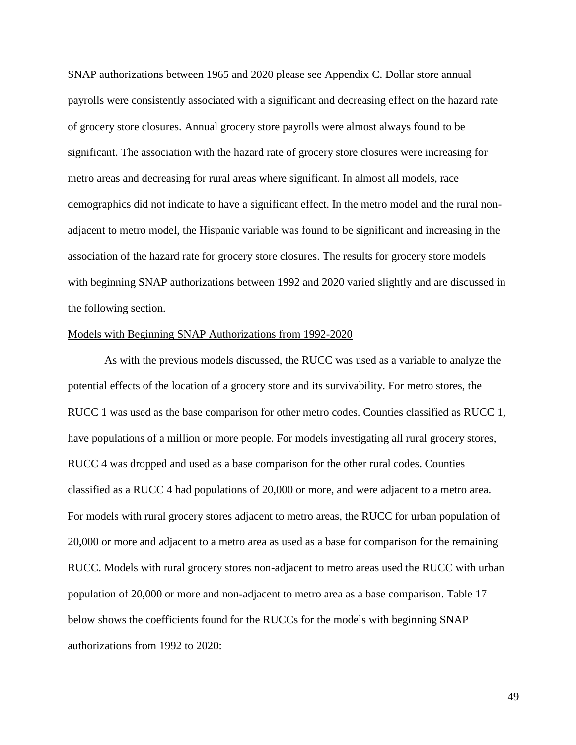SNAP authorizations between 1965 and 2020 please see Appendix C. Dollar store annual payrolls were consistently associated with a significant and decreasing effect on the hazard rate of grocery store closures. Annual grocery store payrolls were almost always found to be significant. The association with the hazard rate of grocery store closures were increasing for metro areas and decreasing for rural areas where significant. In almost all models, race demographics did not indicate to have a significant effect. In the metro model and the rural nonadjacent to metro model, the Hispanic variable was found to be significant and increasing in the association of the hazard rate for grocery store closures. The results for grocery store models with beginning SNAP authorizations between 1992 and 2020 varied slightly and are discussed in the following section.

#### Models with Beginning SNAP Authorizations from 1992-2020

As with the previous models discussed, the RUCC was used as a variable to analyze the potential effects of the location of a grocery store and its survivability. For metro stores, the RUCC 1 was used as the base comparison for other metro codes. Counties classified as RUCC 1, have populations of a million or more people. For models investigating all rural grocery stores, RUCC 4 was dropped and used as a base comparison for the other rural codes. Counties classified as a RUCC 4 had populations of 20,000 or more, and were adjacent to a metro area. For models with rural grocery stores adjacent to metro areas, the RUCC for urban population of 20,000 or more and adjacent to a metro area as used as a base for comparison for the remaining RUCC. Models with rural grocery stores non-adjacent to metro areas used the RUCC with urban population of 20,000 or more and non-adjacent to metro area as a base comparison. Table 17 below shows the coefficients found for the RUCCs for the models with beginning SNAP authorizations from 1992 to 2020: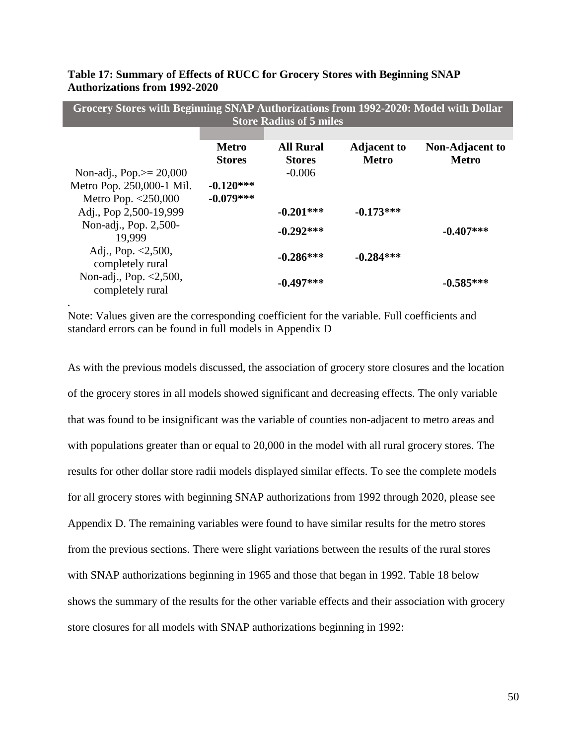|                             |               | <b>Store Radius of 5 miles</b> |                    |                        |
|-----------------------------|---------------|--------------------------------|--------------------|------------------------|
|                             |               |                                |                    |                        |
|                             | <b>Metro</b>  | <b>All Rural</b>               | <b>Adjacent to</b> | <b>Non-Adjacent to</b> |
|                             | <b>Stores</b> | <b>Stores</b>                  | Metro              | <b>Metro</b>           |
| Non-adj., Pop. $> = 20,000$ |               | $-0.006$                       |                    |                        |
| Metro Pop. 250,000-1 Mil.   | $-0.120***$   |                                |                    |                        |
| Metro Pop. <250,000         | $-0.079***$   |                                |                    |                        |
| Adj., Pop 2,500-19,999      |               | $-0.201***$                    | $-0.173***$        |                        |
| Non-adj., Pop. 2,500-       |               | $-0.292***$                    |                    | $-0.407***$            |
| 19.999                      |               |                                |                    |                        |
| Adj., Pop. $< 2,500$ ,      |               |                                |                    |                        |
| completely rural            |               | $-0.286***$                    | $-0.284***$        |                        |
| Non-adj., Pop. $< 2,500$ ,  |               |                                |                    |                        |
| completely rural            |               | $-0.497***$                    |                    | $-0.585***$            |

**Grocery Stores with Beginning SNAP Authorizations from 1992-2020: Model with Dollar** 

**Table 17: Summary of Effects of RUCC for Grocery Stores with Beginning SNAP Authorizations from 1992-2020**

Note: Values given are the corresponding coefficient for the variable. Full coefficients and standard errors can be found in full models in Appendix D

*.*

As with the previous models discussed, the association of grocery store closures and the location of the grocery stores in all models showed significant and decreasing effects. The only variable that was found to be insignificant was the variable of counties non-adjacent to metro areas and with populations greater than or equal to 20,000 in the model with all rural grocery stores. The results for other dollar store radii models displayed similar effects. To see the complete models for all grocery stores with beginning SNAP authorizations from 1992 through 2020, please see Appendix D. The remaining variables were found to have similar results for the metro stores from the previous sections. There were slight variations between the results of the rural stores with SNAP authorizations beginning in 1965 and those that began in 1992. Table 18 below shows the summary of the results for the other variable effects and their association with grocery store closures for all models with SNAP authorizations beginning in 1992: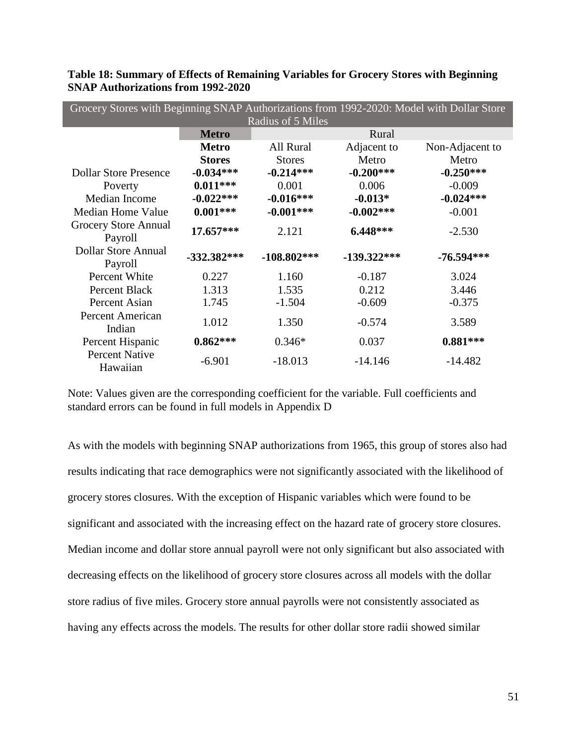| Grocery Stores with Beginning SNAP Authorizations from 1992-2020: Model with Dollar Store |               |                   |               |                 |
|-------------------------------------------------------------------------------------------|---------------|-------------------|---------------|-----------------|
|                                                                                           |               | Radius of 5 Miles |               |                 |
|                                                                                           | <b>Metro</b>  |                   | Rural         |                 |
|                                                                                           | <b>Metro</b>  | All Rural         | Adjacent to   | Non-Adjacent to |
|                                                                                           | <b>Stores</b> | <b>Stores</b>     | Metro         | Metro           |
| <b>Dollar Store Presence</b>                                                              | $-0.034***$   | $-0.214***$       | $-0.200***$   | $-0.250***$     |
| Poverty                                                                                   | $0.011***$    | 0.001             | 0.006         | $-0.009$        |
| Median Income                                                                             | $-0.022***$   | $-0.016***$       | $-0.013*$     | $-0.024***$     |
| Median Home Value                                                                         | $0.001***$    | $-0.001***$       | $-0.002***$   | $-0.001$        |
| Grocery Store Annual<br>Payroll                                                           | 17.657***     | 2.121             | 6.448***      | $-2.530$        |
| Dollar Store Annual<br>Payroll                                                            | $-332.382***$ | $-108.802***$     | $-139.322***$ | $-76.594***$    |
| Percent White                                                                             | 0.227         | 1.160             | $-0.187$      | 3.024           |
| <b>Percent Black</b>                                                                      | 1.313         | 1.535             | 0.212         | 3.446           |
| Percent Asian                                                                             | 1.745         | $-1.504$          | $-0.609$      | $-0.375$        |
| Percent American<br>Indian                                                                | 1.012         | 1.350             | $-0.574$      | 3.589           |
| Percent Hispanic                                                                          | $0.862***$    | $0.346*$          | 0.037         | $0.881***$      |
| <b>Percent Native</b><br>Hawaiian                                                         | $-6.901$      | $-18.013$         | $-14.146$     | $-14.482$       |

**Table 18: Summary of Effects of Remaining Variables for Grocery Stores with Beginning SNAP Authorizations from 1992-2020**

As with the models with beginning SNAP authorizations from 1965, this group of stores also had results indicating that race demographics were not significantly associated with the likelihood of grocery stores closures. With the exception of Hispanic variables which were found to be significant and associated with the increasing effect on the hazard rate of grocery store closures. Median income and dollar store annual payroll were not only significant but also associated with decreasing effects on the likelihood of grocery store closures across all models with the dollar store radius of five miles. Grocery store annual payrolls were not consistently associated as having any effects across the models. The results for other dollar store radii showed similar

Note: Values given are the corresponding coefficient for the variable. Full coefficients and standard errors can be found in full models in Appendix D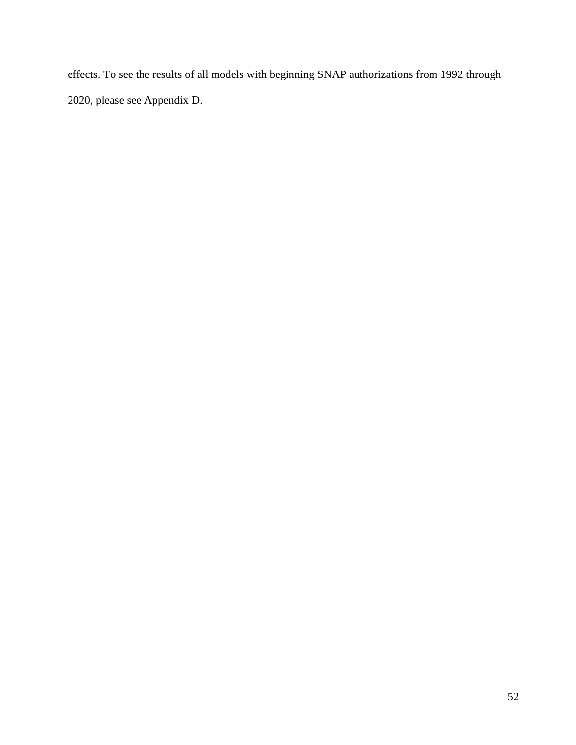effects. To see the results of all models with beginning SNAP authorizations from 1992 through 2020, please see Appendix D.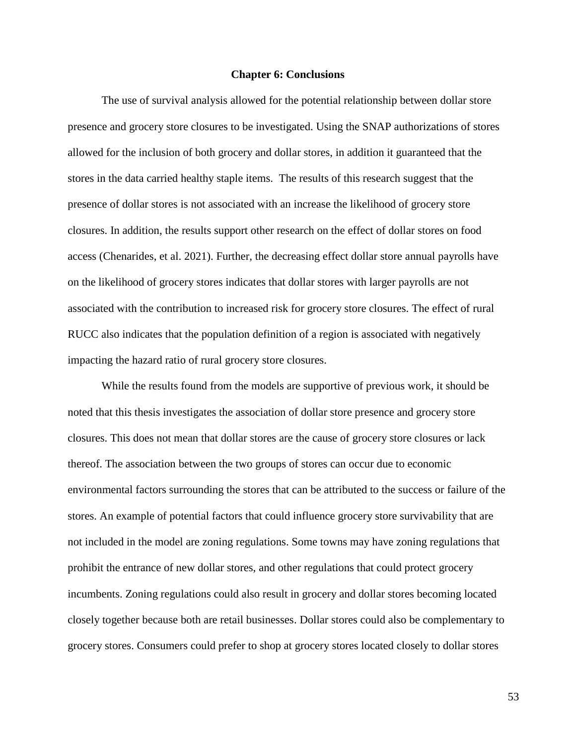#### **Chapter 6: Conclusions**

The use of survival analysis allowed for the potential relationship between dollar store presence and grocery store closures to be investigated. Using the SNAP authorizations of stores allowed for the inclusion of both grocery and dollar stores, in addition it guaranteed that the stores in the data carried healthy staple items. The results of this research suggest that the presence of dollar stores is not associated with an increase the likelihood of grocery store closures. In addition, the results support other research on the effect of dollar stores on food access (Chenarides, et al. 2021). Further, the decreasing effect dollar store annual payrolls have on the likelihood of grocery stores indicates that dollar stores with larger payrolls are not associated with the contribution to increased risk for grocery store closures. The effect of rural RUCC also indicates that the population definition of a region is associated with negatively impacting the hazard ratio of rural grocery store closures.

While the results found from the models are supportive of previous work, it should be noted that this thesis investigates the association of dollar store presence and grocery store closures. This does not mean that dollar stores are the cause of grocery store closures or lack thereof. The association between the two groups of stores can occur due to economic environmental factors surrounding the stores that can be attributed to the success or failure of the stores. An example of potential factors that could influence grocery store survivability that are not included in the model are zoning regulations. Some towns may have zoning regulations that prohibit the entrance of new dollar stores, and other regulations that could protect grocery incumbents. Zoning regulations could also result in grocery and dollar stores becoming located closely together because both are retail businesses. Dollar stores could also be complementary to grocery stores. Consumers could prefer to shop at grocery stores located closely to dollar stores

53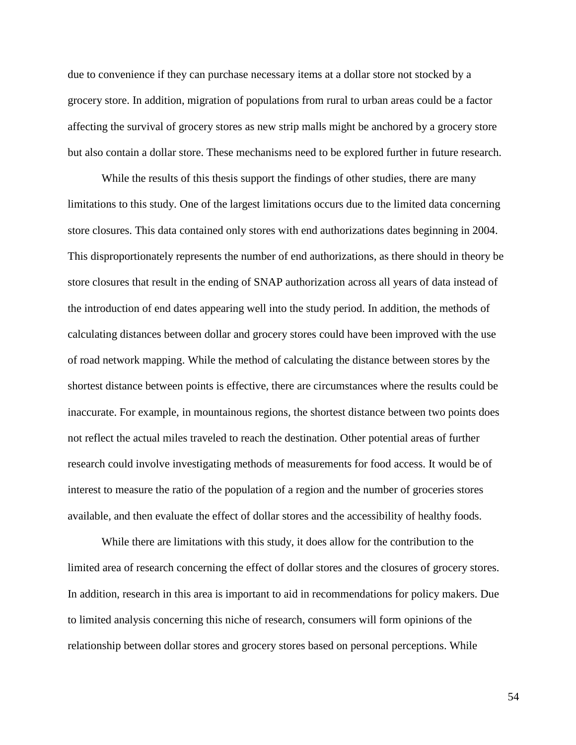due to convenience if they can purchase necessary items at a dollar store not stocked by a grocery store. In addition, migration of populations from rural to urban areas could be a factor affecting the survival of grocery stores as new strip malls might be anchored by a grocery store but also contain a dollar store. These mechanisms need to be explored further in future research.

While the results of this thesis support the findings of other studies, there are many limitations to this study. One of the largest limitations occurs due to the limited data concerning store closures. This data contained only stores with end authorizations dates beginning in 2004. This disproportionately represents the number of end authorizations, as there should in theory be store closures that result in the ending of SNAP authorization across all years of data instead of the introduction of end dates appearing well into the study period. In addition, the methods of calculating distances between dollar and grocery stores could have been improved with the use of road network mapping. While the method of calculating the distance between stores by the shortest distance between points is effective, there are circumstances where the results could be inaccurate. For example, in mountainous regions, the shortest distance between two points does not reflect the actual miles traveled to reach the destination. Other potential areas of further research could involve investigating methods of measurements for food access. It would be of interest to measure the ratio of the population of a region and the number of groceries stores available, and then evaluate the effect of dollar stores and the accessibility of healthy foods.

While there are limitations with this study, it does allow for the contribution to the limited area of research concerning the effect of dollar stores and the closures of grocery stores. In addition, research in this area is important to aid in recommendations for policy makers. Due to limited analysis concerning this niche of research, consumers will form opinions of the relationship between dollar stores and grocery stores based on personal perceptions. While

54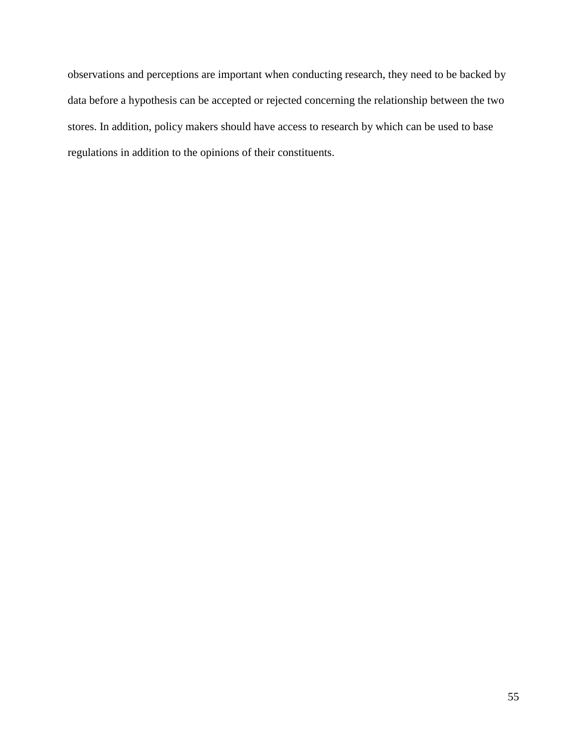observations and perceptions are important when conducting research, they need to be backed by data before a hypothesis can be accepted or rejected concerning the relationship between the two stores. In addition, policy makers should have access to research by which can be used to base regulations in addition to the opinions of their constituents.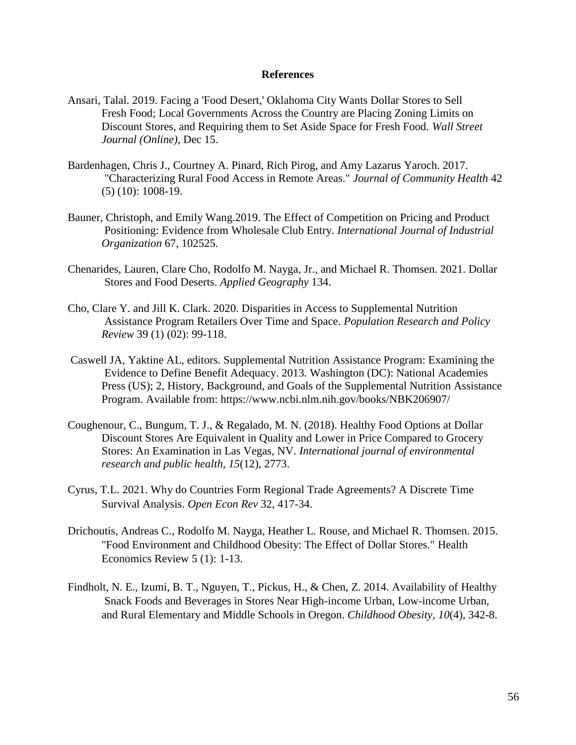### **References**

- Ansari, Talal. 2019. Facing a 'Food Desert,' Oklahoma City Wants Dollar Stores to Sell Fresh Food; Local Governments Across the Country are Placing Zoning Limits on Discount Stores, and Requiring them to Set Aside Space for Fresh Food. *Wall Street Journal (Online)*, Dec 15.
- Bardenhagen, Chris J., Courtney A. Pinard, Rich Pirog, and Amy Lazarus Yaroch. 2017. "Characterizing Rural Food Access in Remote Areas." *Journal of Community Health* 42 (5) (10): 1008-19.
- Bauner, Christoph, and Emily Wang.2019. The Effect of Competition on Pricing and Product Positioning: Evidence from Wholesale Club Entry. *International Journal of Industrial Organization* 67, 102525.
- Chenarides, Lauren, Clare Cho, Rodolfo M. Nayga, Jr., and Michael R. Thomsen. 2021. Dollar Stores and Food Deserts. *Applied Geography* 134.
- Cho, Clare Y. and Jill K. Clark. 2020. Disparities in Access to Supplemental Nutrition Assistance Program Retailers Over Time and Space. *Population Research and Policy Review* 39 (1) (02): 99-118.
- Caswell JA, Yaktine AL, editors. Supplemental Nutrition Assistance Program: Examining the Evidence to Define Benefit Adequacy. 2013. Washington (DC): National Academies Press (US); 2, History, Background, and Goals of the Supplemental Nutrition Assistance Program. Available from: https://www.ncbi.nlm.nih.gov/books/NBK206907/
- Coughenour, C., Bungum, T. J., & Regalado, M. N. (2018). Healthy Food Options at Dollar Discount Stores Are Equivalent in Quality and Lower in Price Compared to Grocery Stores: An Examination in Las Vegas, NV. *International journal of environmental research and public health*, *15*(12), 2773.
- Cyrus, T.L. 2021. Why do Countries Form Regional Trade Agreements? A Discrete Time Survival Analysis. *Open Econ Rev* 32, 417-34.
- Drichoutis, Andreas C., Rodolfo M. Nayga, Heather L. Rouse, and Michael R. Thomsen. 2015. "Food Environment and Childhood Obesity: The Effect of Dollar Stores." Health Economics Review 5 (1): 1-13.
- Findholt, N. E., Izumi, B. T., Nguyen, T., Pickus, H., & Chen, Z. 2014. Availability of Healthy Snack Foods and Beverages in Stores Near High-income Urban, Low-income Urban, and Rural Elementary and Middle Schools in Oregon. *Childhood Obesity, 10*(4), 342-8.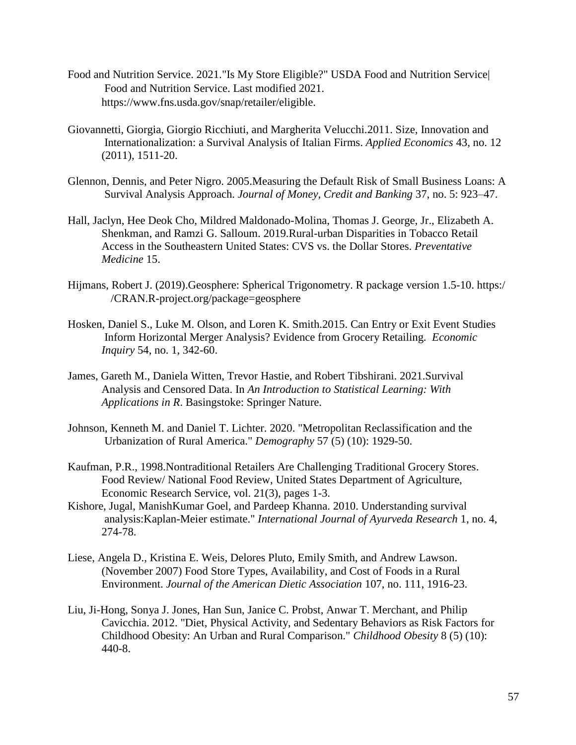- Food and Nutrition Service. 2021."Is My Store Eligible?" USDA Food and Nutrition Service| Food and Nutrition Service. Last modified 2021. https://www.fns.usda.gov/snap/retailer/eligible.
- Giovannetti, Giorgia, Giorgio Ricchiuti, and Margherita Velucchi.2011. Size, Innovation and Internationalization: a Survival Analysis of Italian Firms. *Applied Economics* 43, no. 12 (2011), 1511-20.
- Glennon, Dennis, and Peter Nigro. 2005.Measuring the Default Risk of Small Business Loans: A Survival Analysis Approach. *Journal of Money, Credit and Banking* 37, no. 5: 923–47.
- Hall, Jaclyn, Hee Deok Cho, Mildred Maldonado-Molina, Thomas J. George, Jr., Elizabeth A. Shenkman, and Ramzi G. Salloum. 2019.Rural-urban Disparities in Tobacco Retail Access in the Southeastern United States: CVS vs. the Dollar Stores. *Preventative Medicine* 15.
- Hijmans, Robert J. (2019).Geosphere: Spherical Trigonometry. R package version 1.5-10. https:/ /CRAN.R-project.org/package=geosphere
- Hosken, Daniel S., Luke M. Olson, and Loren K. Smith.2015. Can Entry or Exit Event Studies Inform Horizontal Merger Analysis? Evidence from Grocery Retailing. *Economic Inquiry* 54, no. 1, 342-60.
- James, Gareth M., Daniela Witten, Trevor Hastie, and Robert Tibshirani. 2021.Survival Analysis and Censored Data. In *An Introduction to Statistical Learning: With Applications in R*. Basingstoke: Springer Nature.
- Johnson, Kenneth M. and Daniel T. Lichter. 2020. "Metropolitan Reclassification and the Urbanization of Rural America." *Demography* 57 (5) (10): 1929-50.
- Kaufman, P.R., 1998[.Nontraditional Retailers Are Challenging Traditional Grocery Stores.](https://ideas.repec.org/a/ags/uersfr/234521.html) [Food Review/ National Food Review,](https://ideas.repec.org/s/ags/uersfr.html) United States Department of Agriculture, Economic Research Service, vol. 21(3), pages 1-3.
- Kishore, Jugal, ManishKumar Goel, and Pardeep Khanna. 2010. Understanding survival analysis:Kaplan-Meier estimate." *International Journal of Ayurveda Research* 1, no. 4, 274-78.
- Liese, Angela D., Kristina E. Weis, Delores Pluto, Emily Smith, and Andrew Lawson. (November 2007) Food Store Types, Availability, and Cost of Foods in a Rural Environment. *Journal of the American Dietic Association* 107, no. 111, 1916-23.
- Liu, Ji-Hong, Sonya J. Jones, Han Sun, Janice C. Probst, Anwar T. Merchant, and Philip Cavicchia. 2012. "Diet, Physical Activity, and Sedentary Behaviors as Risk Factors for Childhood Obesity: An Urban and Rural Comparison." *Childhood Obesity* 8 (5) (10): 440-8.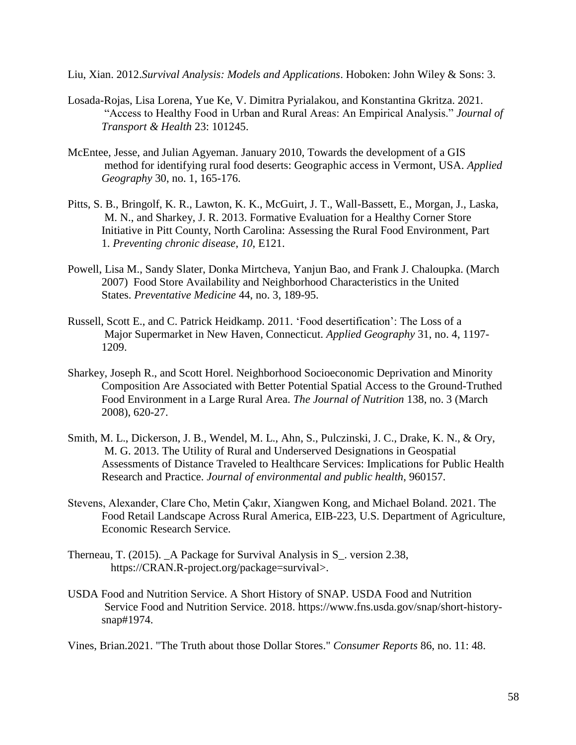Liu, Xian. 2012.*Survival Analysis: Models and Applications*. Hoboken: John Wiley & Sons: 3.

- Losada-Rojas, Lisa Lorena, Yue Ke, V. Dimitra Pyrialakou, and Konstantina Gkritza. 2021. "Access to Healthy Food in Urban and Rural Areas: An Empirical Analysis." *Journal of Transport & Health* 23: 101245.
- McEntee, Jesse, and Julian Agyeman. January 2010, Towards the development of a GIS method for identifying rural food deserts: Geographic access in Vermont, USA. *Applied Geography* 30, no. 1, 165-176.
- Pitts, S. B., Bringolf, K. R., Lawton, K. K., McGuirt, J. T., Wall-Bassett, E., Morgan, J., Laska, M. N., and Sharkey, J. R. 2013. Formative Evaluation for a Healthy Corner Store Initiative in Pitt County, North Carolina: Assessing the Rural Food Environment, Part 1. *Preventing chronic disease*, *10*, E121.
- Powell, Lisa M., Sandy Slater, Donka Mirtcheva, Yanjun Bao, and Frank J. Chaloupka. (March 2007) Food Store Availability and Neighborhood Characteristics in the United States. *Preventative Medicine* 44, no. 3, 189-95.
- Russell, Scott E., and C. Patrick Heidkamp. 2011. 'Food desertification': The Loss of a Major Supermarket in New Haven, Connecticut. *Applied Geography* 31, no. 4, 1197- 1209.
- Sharkey, Joseph R., and Scott Horel. Neighborhood Socioeconomic Deprivation and Minority Composition Are Associated with Better Potential Spatial Access to the Ground-Truthed Food Environment in a Large Rural Area. *The Journal of Nutrition* 138, no. 3 (March 2008), 620-27.
- Smith, M. L., Dickerson, J. B., Wendel, M. L., Ahn, S., Pulczinski, J. C., Drake, K. N., & Ory, M. G. 2013. The Utility of Rural and Underserved Designations in Geospatial Assessments of Distance Traveled to Healthcare Services: Implications for Public Health Research and Practice. *Journal of environmental and public health*, 960157.
- Stevens, Alexander, Clare Cho, Metin Çakır, Xiangwen Kong, and Michael Boland. 2021. The Food Retail Landscape Across Rural America, EIB-223, U.S. Department of Agriculture, Economic Research Service.
- Therneau, T. (2015). A Package for Survival Analysis in S. version 2.38, https://CRAN.R-project.org/package=survival>.
- USDA Food and Nutrition Service. A Short History of SNAP. USDA Food and Nutrition Service Food and Nutrition Service. 2018. [https://www.fns.usda.gov/snap/short-hi](ttps://www.fns.usda.gov/snap/short-h)storysnap#1974.

Vines, Brian.2021. "The Truth about those Dollar Stores." *Consumer Reports* 86, no. 11: 48.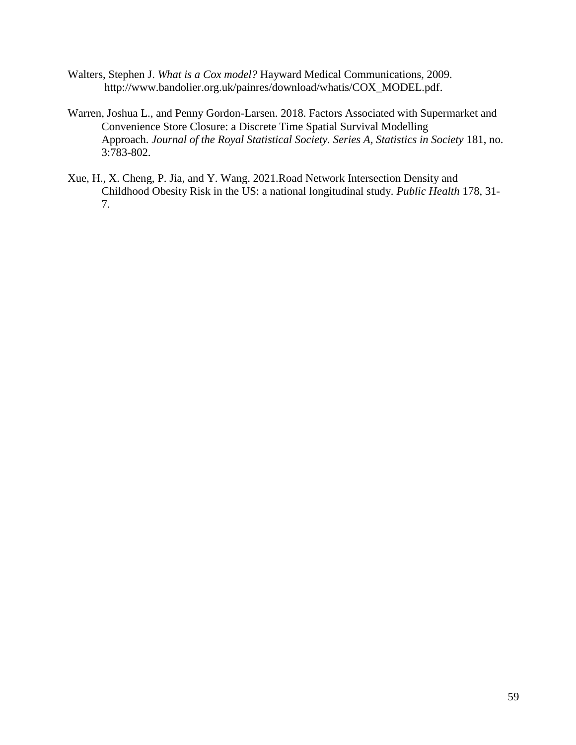- Walters, Stephen J. *What is a Cox model?* Hayward Medical Communications, 2009. [http://www.bandolier.org.uk/painres/download/whatis/COX\\_MODEL.pdf.](http://www.bandolier.org.uk/painres/download/whatis/COX_MODEL.pdf)
- Warren, Joshua L., and Penny Gordon-Larsen. 2018. Factors Associated with Supermarket and Convenience Store Closure: a Discrete Time Spatial Survival Modelling Approach. *Journal of the Royal Statistical Society. Series A, Statistics in Society* 181, no. 3:783-802.
- Xue, H., X. Cheng, P. Jia, and Y. Wang. 2021.Road Network Intersection Density and Childhood Obesity Risk in the US: a national longitudinal study. *Public Health* 178, 31- 7.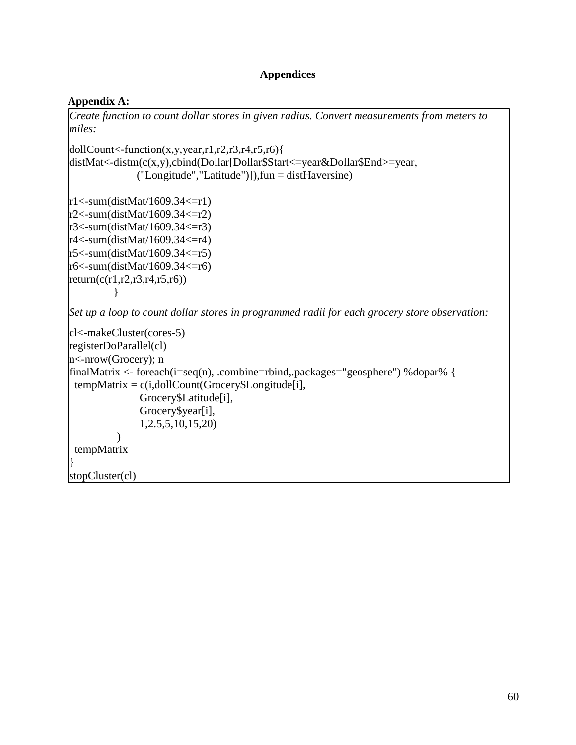## **Appendices**

## **Appendix A:**

*Create function to count dollar stores in given radius. Convert measurements from meters to miles:*

 $d$ ollCount<-function(x,y,year,r1,r2,r3,r4,r5,r6){ distMat<-distm(c(x,y),cbind(Dollar[Dollar\$Start<=year&Dollar\$End>=year, ("Longitude","Latitude")]),fun = distHaversine)

```
r1 <-sum(distMat/1609.34 <= r1)
r2 <-sum(distMat/1609.34 \leq -r2)
r3 < -sum(distMat/1609.34 < -r3)r4 < -sum(distMat/1609.34 < -r4)r5 < -sum(distMat/1609.34 < = r5)r6 < -sum(distMat/1609.34 < = r6)return (c(r1,r2,r3,r4,r5,r6)) }
```
*Set up a loop to count dollar stores in programmed radii for each grocery store observation:*

```
cl<-makeCluster(cores-5)
registerDoParallel(cl)
n<-nrow(Grocery); n
finalMatrix <- foreach(i=seq(n), .combine=rbind,.packages="geosphere") %dopar% {
tempMatrix = c(i, dollarCount(Grocery$Longitude[i]), Grocery$Latitude[i],
                Grocery$year[i],
                 1,2.5,5,10,15,20)
\overline{\phantom{a}} tempMatrix
}
stopCluster(cl)
```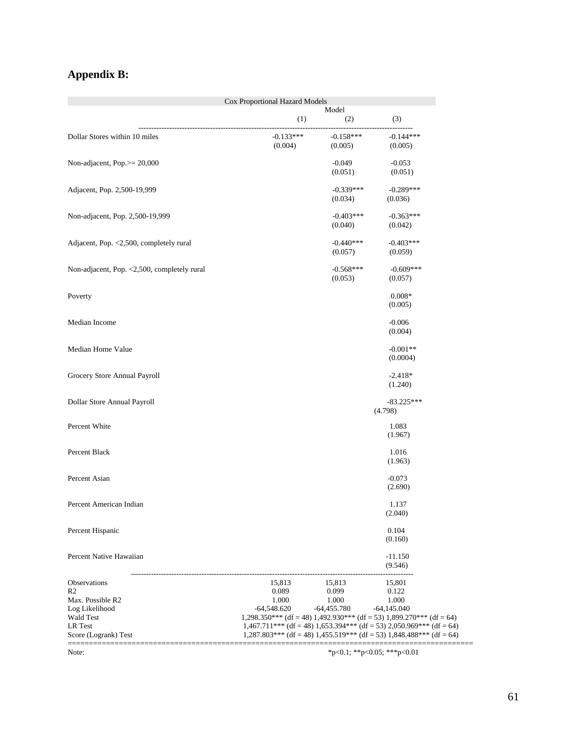# **Appendix B:**

|                                             | Cox Proportional Hazard Models |               |                                                                                                                                                          |  |
|---------------------------------------------|--------------------------------|---------------|----------------------------------------------------------------------------------------------------------------------------------------------------------|--|
|                                             |                                | Model         |                                                                                                                                                          |  |
|                                             | (1)                            | (2)           | (3)                                                                                                                                                      |  |
| Dollar Stores within 10 miles               | $-0.133***$                    | $-0.158***$   | $-0.144***$                                                                                                                                              |  |
|                                             | (0.004)                        | (0.005)       | (0.005)                                                                                                                                                  |  |
|                                             |                                |               |                                                                                                                                                          |  |
| Non-adjacent, Pop.>= 20,000                 |                                | $-0.049$      | $-0.053$                                                                                                                                                 |  |
|                                             |                                | (0.051)       | (0.051)                                                                                                                                                  |  |
| Adjacent, Pop. 2,500-19,999                 |                                | $-0.339***$   | $-0.289***$                                                                                                                                              |  |
|                                             |                                | (0.034)       | (0.036)                                                                                                                                                  |  |
|                                             |                                | $-0.403***$   | $-0.363***$                                                                                                                                              |  |
| Non-adjacent, Pop. 2,500-19,999             |                                | (0.040)       | (0.042)                                                                                                                                                  |  |
|                                             |                                |               |                                                                                                                                                          |  |
| Adjacent, Pop. <2,500, completely rural     |                                | $-0.440***$   | $-0.403***$                                                                                                                                              |  |
|                                             |                                | (0.057)       | (0.059)                                                                                                                                                  |  |
| Non-adjacent, Pop. <2,500, completely rural |                                | $-0.568***$   | $-0.609***$                                                                                                                                              |  |
|                                             |                                | (0.053)       | (0.057)                                                                                                                                                  |  |
|                                             |                                |               |                                                                                                                                                          |  |
| Poverty                                     |                                |               | $0.008*$                                                                                                                                                 |  |
|                                             |                                |               | (0.005)                                                                                                                                                  |  |
| Median Income                               |                                |               | $-0.006$                                                                                                                                                 |  |
|                                             |                                |               | (0.004)                                                                                                                                                  |  |
|                                             |                                |               |                                                                                                                                                          |  |
| Median Home Value                           |                                |               | $-0.001**$                                                                                                                                               |  |
|                                             |                                |               | (0.0004)                                                                                                                                                 |  |
| Grocery Store Annual Payroll                |                                |               | $-2.418*$                                                                                                                                                |  |
|                                             |                                |               | (1.240)                                                                                                                                                  |  |
|                                             |                                |               |                                                                                                                                                          |  |
| Dollar Store Annual Payroll                 |                                |               | $-83.225***$<br>(4.798)                                                                                                                                  |  |
|                                             |                                |               |                                                                                                                                                          |  |
| Percent White                               |                                |               | 1.083                                                                                                                                                    |  |
|                                             |                                |               | (1.967)                                                                                                                                                  |  |
| Percent Black                               |                                |               | 1.016                                                                                                                                                    |  |
|                                             |                                |               | (1.963)                                                                                                                                                  |  |
|                                             |                                |               |                                                                                                                                                          |  |
| Percent Asian                               |                                |               | $-0.073$                                                                                                                                                 |  |
|                                             |                                |               | (2.690)                                                                                                                                                  |  |
| Percent American Indian                     |                                |               | 1.137                                                                                                                                                    |  |
|                                             |                                |               | (2.040)                                                                                                                                                  |  |
| Percent Hispanic                            |                                |               |                                                                                                                                                          |  |
|                                             |                                |               | 0.104<br>(0.160)                                                                                                                                         |  |
|                                             |                                |               |                                                                                                                                                          |  |
| Percent Native Hawaiian                     |                                |               | $-11.150$                                                                                                                                                |  |
|                                             |                                |               | (9.546)                                                                                                                                                  |  |
| Observations                                | 15,813                         | 15,813        | 15,801                                                                                                                                                   |  |
| R <sub>2</sub>                              | 0.089                          | 0.099         | 0.122                                                                                                                                                    |  |
| Max. Possible R2                            | 1.000                          | 1.000         | 1.000                                                                                                                                                    |  |
| Log Likelihood                              | $-64,548.620$                  | $-64,455.780$ | $-64,145.040$                                                                                                                                            |  |
| Wald Test<br>LR Test                        |                                |               | $1,298.350***$ (df = 48) $1,492.930***$ (df = 53) $1,899.270***$ (df = 64)<br>$1,467.711***$ (df = 48) $1,653.394***$ (df = 53) $2,050.969***$ (df = 64) |  |
| Score (Logrank) Test                        |                                |               | $1,287.803***$ (df = 48) $1,455.519***$ (df = 53) $1,848.488***$ (df = 64)                                                                               |  |
|                                             |                                |               |                                                                                                                                                          |  |
| Note:                                       |                                |               | *p<0.1; **p<0.05; ***p<0.01                                                                                                                              |  |

61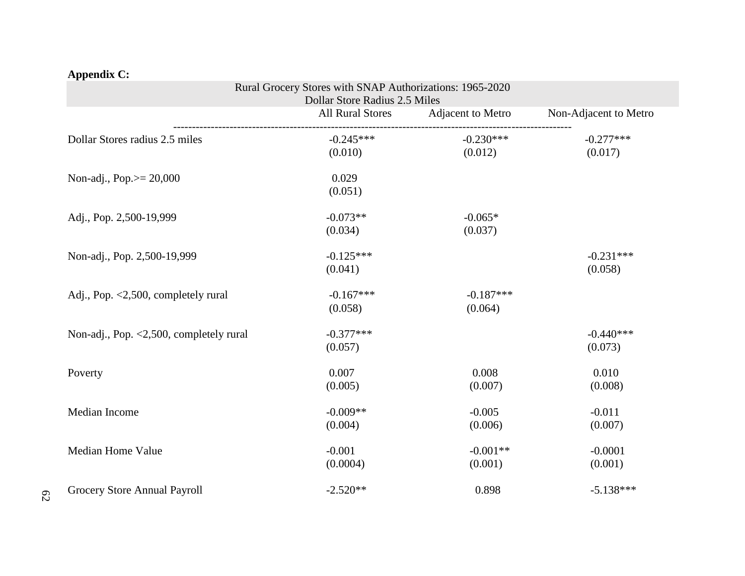|                                         | Rural Grocery Stores with SNAP Authorizations: 1965-2020<br>Dollar Store Radius 2.5 Miles |                        |                        |
|-----------------------------------------|-------------------------------------------------------------------------------------------|------------------------|------------------------|
|                                         | <b>All Rural Stores</b>                                                                   | Adjacent to Metro      | Non-Adjacent to Metro  |
| Dollar Stores radius 2.5 miles          | $-0.245***$<br>(0.010)                                                                    | $-0.230***$<br>(0.012) | $-0.277***$<br>(0.017) |
| Non-adj., Pop. $>= 20,000$              | 0.029<br>(0.051)                                                                          |                        |                        |
| Adj., Pop. 2,500-19,999                 | $-0.073**$<br>(0.034)                                                                     | $-0.065*$<br>(0.037)   |                        |
| Non-adj., Pop. 2,500-19,999             | $-0.125***$<br>(0.041)                                                                    |                        | $-0.231***$<br>(0.058) |
| Adj., Pop. <2,500, completely rural     | $-0.167***$<br>(0.058)                                                                    | $-0.187***$<br>(0.064) |                        |
| Non-adj., Pop. <2,500, completely rural | $-0.377***$<br>(0.057)                                                                    |                        | $-0.440***$<br>(0.073) |
| Poverty                                 | 0.007<br>(0.005)                                                                          | 0.008<br>(0.007)       | 0.010<br>(0.008)       |
| Median Income                           | $-0.009**$<br>(0.004)                                                                     | $-0.005$<br>(0.006)    | $-0.011$<br>(0.007)    |
| Median Home Value                       | $-0.001$<br>(0.0004)                                                                      | $-0.001**$<br>(0.001)  | $-0.0001$<br>(0.001)   |
| Grocery Store Annual Payroll            | $-2.520**$                                                                                | 0.898                  | $-5.138***$            |

# **Appendix C:**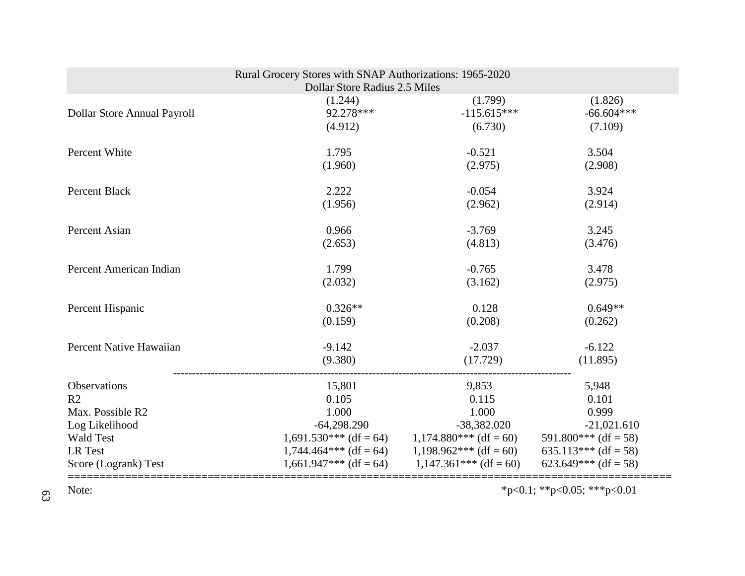| Rural Grocery Stores with SNAP Authorizations: 1965-2020<br>Dollar Store Radius 2.5 Miles |                          |                          |                             |  |
|-------------------------------------------------------------------------------------------|--------------------------|--------------------------|-----------------------------|--|
| Dollar Store Annual Payroll                                                               | (1.244)                  | (1.799)                  | (1.826)                     |  |
|                                                                                           | 92.278***                | $-115.615***$            | $-66.604***$                |  |
|                                                                                           | (4.912)                  | (6.730)                  | (7.109)                     |  |
| Percent White                                                                             | 1.795                    | $-0.521$                 | 3.504                       |  |
|                                                                                           | (1.960)                  | (2.975)                  | (2.908)                     |  |
| Percent Black                                                                             | 2.222                    | $-0.054$                 | 3.924                       |  |
|                                                                                           | (1.956)                  | (2.962)                  | (2.914)                     |  |
| Percent Asian                                                                             | 0.966                    | $-3.769$                 | 3.245                       |  |
|                                                                                           | (2.653)                  | (4.813)                  | (3.476)                     |  |
| Percent American Indian                                                                   | 1.799                    | $-0.765$                 | 3.478                       |  |
|                                                                                           | (2.032)                  | (3.162)                  | (2.975)                     |  |
| Percent Hispanic                                                                          | $0.326**$                | 0.128                    | $0.649**$                   |  |
|                                                                                           | (0.159)                  | (0.208)                  | (0.262)                     |  |
| Percent Native Hawaiian                                                                   | $-9.142$                 | $-2.037$                 | $-6.122$                    |  |
|                                                                                           | (9.380)                  | (17.729)                 | (11.895)                    |  |
| Observations                                                                              | 15,801                   | 9,853                    | 5,948                       |  |
| R <sub>2</sub>                                                                            | 0.105                    | 0.115                    | 0.101                       |  |
| Max. Possible R2                                                                          | 1.000                    | 1.000                    | 0.999                       |  |
| Log Likelihood                                                                            | $-64,298.290$            | $-38,382.020$            | $-21,021.610$               |  |
| <b>Wald Test</b>                                                                          | $1,691.530***$ (df = 64) | $1,174.880***$ (df = 60) | $591.800***$ (df = 58)      |  |
| LR Test                                                                                   | $1,744.464***$ (df = 64) | $1,198.962***$ (df = 60) | 635.113*** (df = 58)        |  |
| Score (Logrank) Test                                                                      | $1,661.947***$ (df = 64) | $1,147.361***$ (df = 60) | 623.649*** (df = 58)        |  |
| Note:                                                                                     |                          |                          | *p<0.1; **p<0.05; ***p<0.01 |  |

63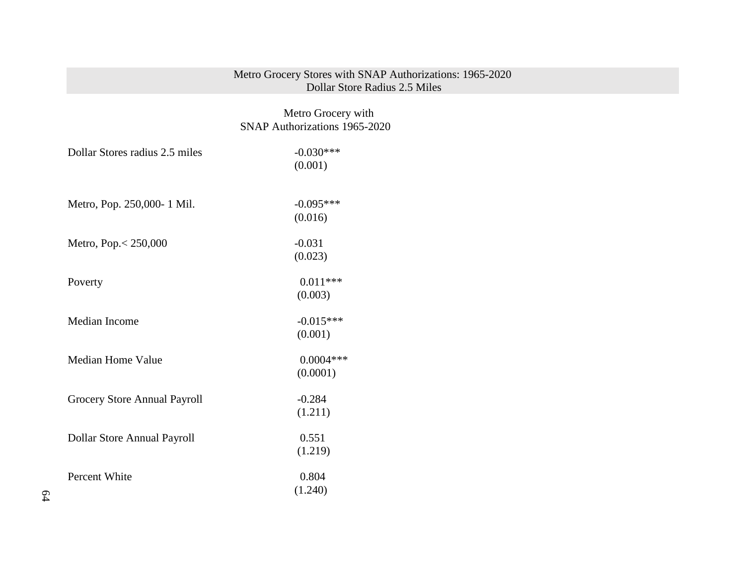## Metro Grocery Stores with SNAP Authorizations: 1965-2020 Dollar Store Radius 2.5 Miles

# Metro Grocery with SNAP Authorizations 1965-2020

| Dollar Stores radius 2.5 miles | $-0.030***$ |
|--------------------------------|-------------|
|                                | (0.001)     |
|                                |             |
| Metro, Pop. 250,000-1 Mil.     | $-0.095***$ |
|                                | (0.016)     |
| Metro, Pop. < 250,000          | $-0.031$    |
|                                | (0.023)     |
| Poverty                        | $0.011***$  |
|                                | (0.003)     |
| Median Income                  | $-0.015***$ |
|                                | (0.001)     |
| <b>Median Home Value</b>       | $0.0004***$ |
|                                | (0.0001)    |
| Grocery Store Annual Payroll   | $-0.284$    |
|                                | (1.211)     |
|                                |             |
| Dollar Store Annual Payroll    | 0.551       |
|                                | (1.219)     |
| Percent White                  | 0.804       |
|                                | (1.240)     |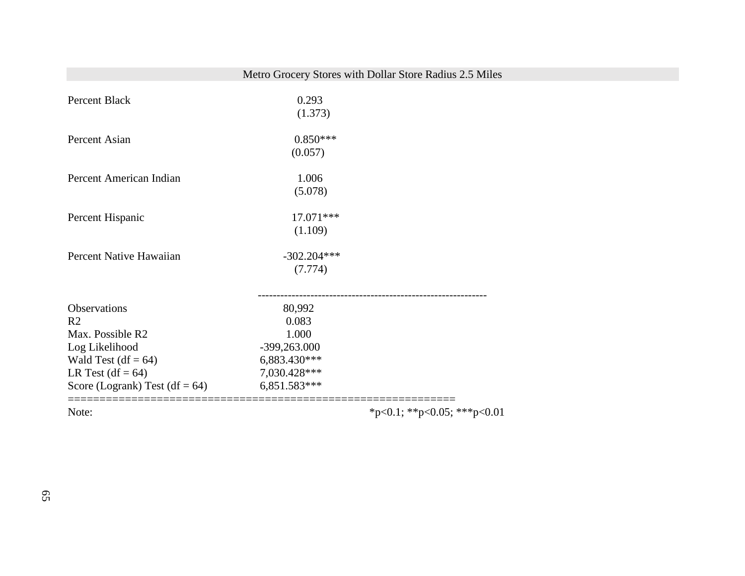# Metro Grocery Stores with Dollar Store Radius 2.5 Miles

| Percent Black                     | 0.293<br>(1.373) |                                                        |
|-----------------------------------|------------------|--------------------------------------------------------|
| Percent Asian                     | $0.850***$       |                                                        |
|                                   | (0.057)          |                                                        |
| Percent American Indian           | 1.006            |                                                        |
|                                   | (5.078)          |                                                        |
| Percent Hispanic                  | 17.071 ***       |                                                        |
|                                   | (1.109)          |                                                        |
| Percent Native Hawaiian           | $-302.204***$    |                                                        |
|                                   | (7.774)          |                                                        |
|                                   |                  |                                                        |
| Observations                      | 80,992           |                                                        |
| R <sub>2</sub>                    | 0.083            |                                                        |
| Max. Possible R2                  | 1.000            |                                                        |
| Log Likelihood                    | -399,263.000     |                                                        |
| Wald Test (df = $64$ )            | 6,883.430***     |                                                        |
| LR Test $(df = 64)$               | 7,030.428***     |                                                        |
| Score (Logrank) Test (df = $64$ ) | 6,851.583***     |                                                        |
| Note:                             |                  | =======================<br>*p<0.1; **p<0.05; ***p<0.01 |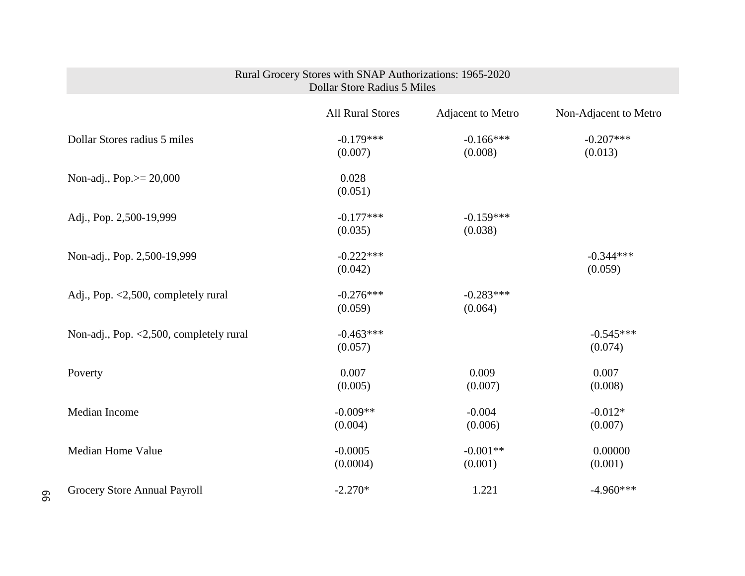|                                         | Rural Grocery Stores with SNAP Authorizations: 1965-2020<br>Dollar Store Radius 5 Miles |                        |                        |
|-----------------------------------------|-----------------------------------------------------------------------------------------|------------------------|------------------------|
|                                         | <b>All Rural Stores</b>                                                                 | Adjacent to Metro      | Non-Adjacent to Metro  |
| Dollar Stores radius 5 miles            | $-0.179***$<br>(0.007)                                                                  | $-0.166***$<br>(0.008) | $-0.207***$<br>(0.013) |
| Non-adj., Pop. $> = 20,000$             | 0.028<br>(0.051)                                                                        |                        |                        |
| Adj., Pop. 2,500-19,999                 | $-0.177***$<br>(0.035)                                                                  | $-0.159***$<br>(0.038) |                        |
| Non-adj., Pop. 2,500-19,999             | $-0.222***$<br>(0.042)                                                                  |                        | $-0.344***$<br>(0.059) |
| Adj., Pop. <2,500, completely rural     | $-0.276***$<br>(0.059)                                                                  | $-0.283***$<br>(0.064) |                        |
| Non-adj., Pop. <2,500, completely rural | $-0.463***$<br>(0.057)                                                                  |                        | $-0.545***$<br>(0.074) |
| Poverty                                 | 0.007<br>(0.005)                                                                        | 0.009<br>(0.007)       | 0.007<br>(0.008)       |
| Median Income                           | $-0.009**$<br>(0.004)                                                                   | $-0.004$<br>(0.006)    | $-0.012*$<br>(0.007)   |
| <b>Median Home Value</b>                | $-0.0005$<br>(0.0004)                                                                   | $-0.001**$<br>(0.001)  | 0.00000<br>(0.001)     |
| Grocery Store Annual Payroll            | $-2.270*$                                                                               | 1.221                  | $-4.960***$            |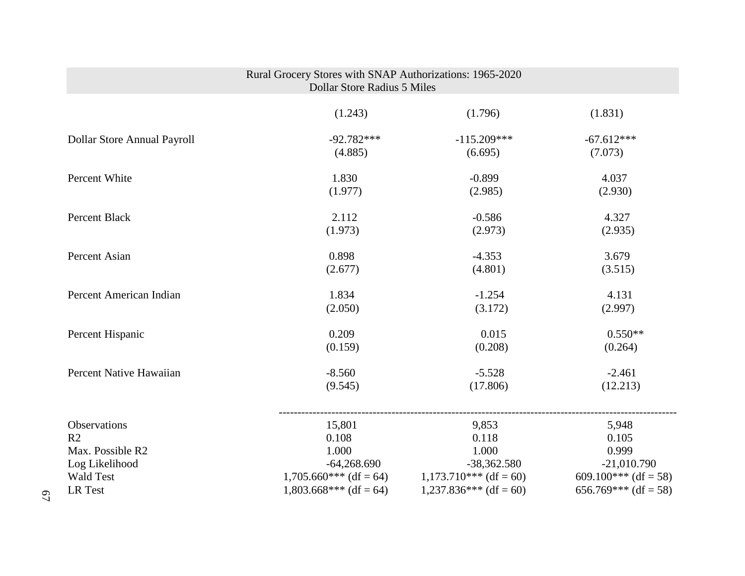|                             | Rural Grocery Stores with SNAP Authorizations: 1965-2020<br><b>Dollar Store Radius 5 Miles</b> |                                                   |                      |
|-----------------------------|------------------------------------------------------------------------------------------------|---------------------------------------------------|----------------------|
|                             | (1.243)                                                                                        | (1.796)                                           | (1.831)              |
| Dollar Store Annual Payroll | $-92.782***$                                                                                   | $-115.209***$                                     | $-67.612***$         |
|                             | (4.885)                                                                                        | (6.695)                                           | (7.073)              |
| Percent White               | 1.830                                                                                          | $-0.899$                                          | 4.037                |
|                             | (1.977)                                                                                        | (2.985)                                           | (2.930)              |
| Percent Black               | 2.112                                                                                          | $-0.586$                                          | 4.327                |
|                             | (1.973)                                                                                        | (2.973)                                           | (2.935)              |
| Percent Asian               | 0.898                                                                                          | $-4.353$                                          | 3.679                |
|                             | (2.677)                                                                                        | (4.801)                                           | (3.515)              |
| Percent American Indian     | 1.834                                                                                          | $-1.254$                                          | 4.131                |
|                             | (2.050)                                                                                        | (3.172)                                           | (2.997)              |
| Percent Hispanic            | 0.209                                                                                          | 0.015                                             | $0.550**$            |
|                             | (0.159)                                                                                        | (0.208)                                           | (0.264)              |
| Percent Native Hawaiian     | $-8.560$                                                                                       | $-5.528$                                          | $-2.461$             |
|                             | (9.545)                                                                                        | (17.806)                                          | (12.213)             |
| Observations                | 15,801                                                                                         | 9,853                                             | 5,948                |
| R <sub>2</sub>              | 0.108                                                                                          | 0.118                                             | 0.105                |
| Max. Possible R2            | 1.000                                                                                          | 1.000                                             | 0.999                |
| Log Likelihood              | $-64,268.690$                                                                                  | $-38,362.580$                                     | $-21,010.790$        |
| <b>Wald Test</b>            |                                                                                                | $1,705.660***$ (df = 64) $1,173.710***$ (df = 60) | 609.100*** (df = 58) |
| LR Test                     | $1,803.668***$ (df = 64)                                                                       | $1,237.836***$ (df = 60)                          | 656.769*** (df = 58) |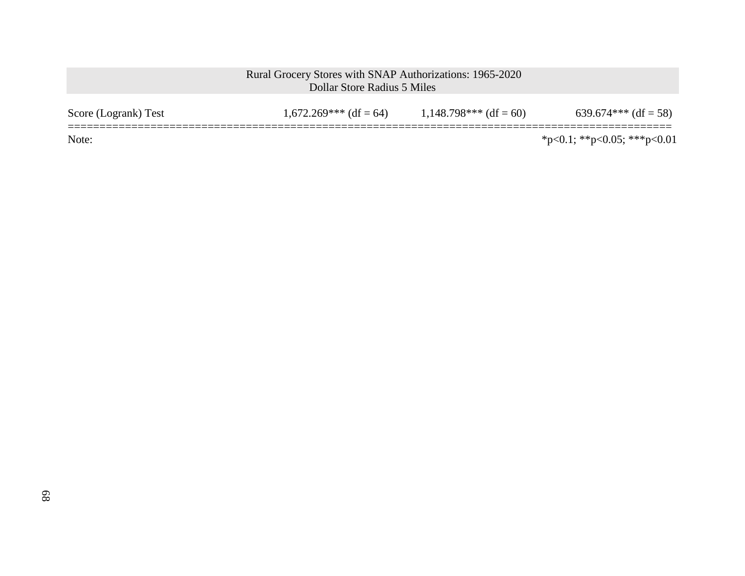| Score (Logrank) Test | $1,672.269***$ (df = 64) | $1,148.798***$ (df = 60) | $639.674***$ (df = 58)      |
|----------------------|--------------------------|--------------------------|-----------------------------|
| Note:                |                          |                          | *p<0.1; **p<0.05; ***p<0.01 |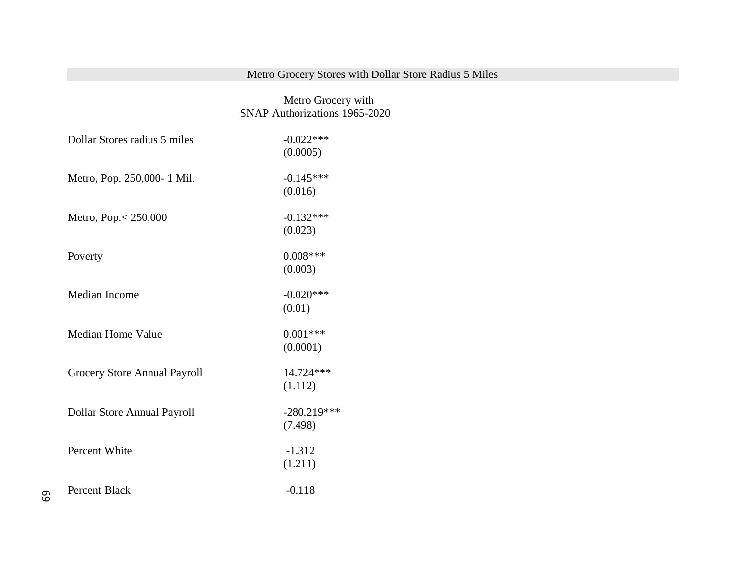# Metro Grocery Stores with Dollar Store Radius 5 Miles

 Metro Grocery with SNAP Authorizations 1965-2020

| Dollar Stores radius 5 miles | $-0.022***$   |
|------------------------------|---------------|
|                              | (0.0005)      |
| Metro, Pop. 250,000-1 Mil.   | $-0.145***$   |
|                              | (0.016)       |
| Metro, Pop. < 250,000        | $-0.132***$   |
|                              | (0.023)       |
| Poverty                      | $0.008***$    |
|                              | (0.003)       |
| Median Income                | $-0.020***$   |
|                              | (0.01)        |
| <b>Median Home Value</b>     | $0.001***$    |
|                              | (0.0001)      |
| Grocery Store Annual Payroll | 14.724***     |
|                              | (1.112)       |
| Dollar Store Annual Payroll  | $-280.219***$ |
|                              | (7.498)       |
| Percent White                | $-1.312$      |
|                              | (1.211)       |
| Percent Black                | $-0.118$      |
|                              |               |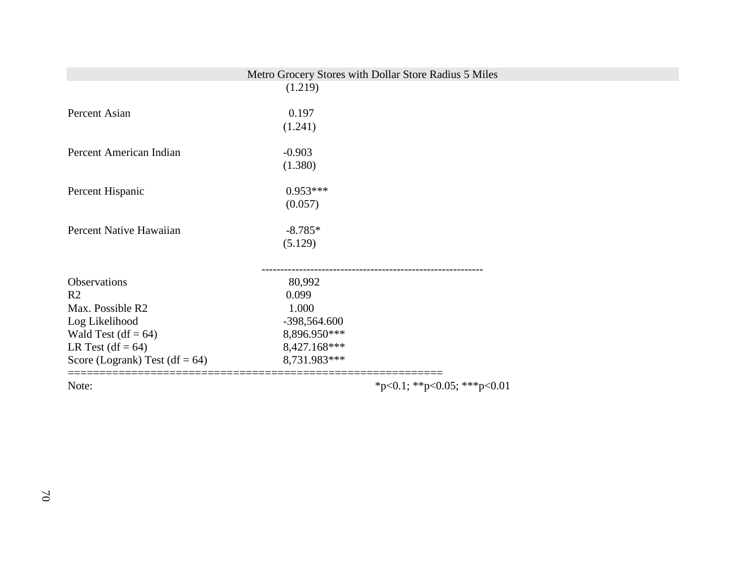|                                   | Metro Grocery Stores with Dollar Store Radius 5 Miles<br>(1.219) |  |
|-----------------------------------|------------------------------------------------------------------|--|
|                                   |                                                                  |  |
| Percent Asian                     | 0.197                                                            |  |
|                                   | (1.241)                                                          |  |
| Percent American Indian           | $-0.903$                                                         |  |
|                                   | (1.380)                                                          |  |
| Percent Hispanic                  | $0.953***$                                                       |  |
|                                   | (0.057)                                                          |  |
| Percent Native Hawaiian           | $-8.785*$                                                        |  |
|                                   | (5.129)                                                          |  |
|                                   |                                                                  |  |
| Observations                      | 80,992                                                           |  |
| R <sub>2</sub>                    | 0.099                                                            |  |
| Max. Possible R2                  | 1.000                                                            |  |
| Log Likelihood                    | -398,564.600                                                     |  |
| Wald Test (df = $64$ )            | 8,896.950***                                                     |  |
| LR Test $(df = 64)$               | 8,427.168***                                                     |  |
| Score (Logrank) Test (df = $64$ ) | 8,731.983***                                                     |  |
|                                   |                                                                  |  |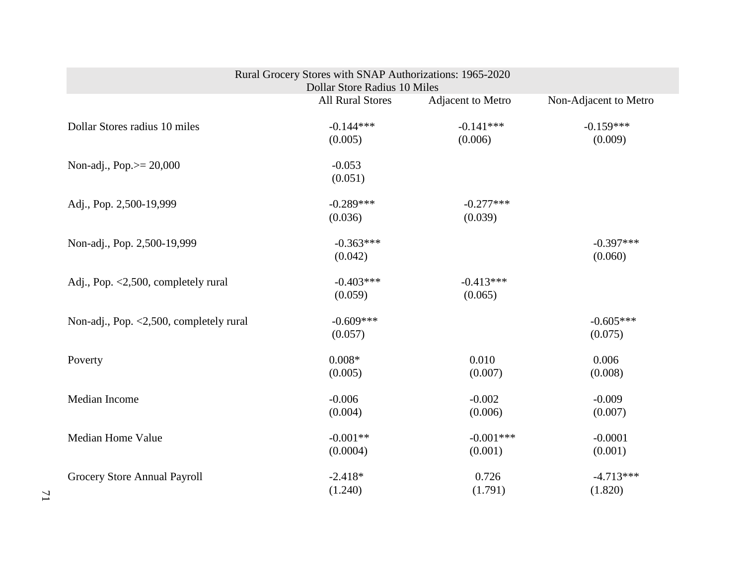| Rural Grocery Stores with SNAP Authorizations: 1965-2020<br>Dollar Store Radius 10 Miles |                         |                        |                        |
|------------------------------------------------------------------------------------------|-------------------------|------------------------|------------------------|
|                                                                                          | <b>All Rural Stores</b> | Adjacent to Metro      | Non-Adjacent to Metro  |
| Dollar Stores radius 10 miles                                                            | $-0.144***$<br>(0.005)  | $-0.141***$<br>(0.006) | $-0.159***$<br>(0.009) |
| Non-adj., Pop. $> = 20,000$                                                              | $-0.053$<br>(0.051)     |                        |                        |
| Adj., Pop. 2,500-19,999                                                                  | $-0.289***$<br>(0.036)  | $-0.277***$<br>(0.039) |                        |
| Non-adj., Pop. 2,500-19,999                                                              | $-0.363***$<br>(0.042)  |                        | $-0.397***$<br>(0.060) |
| Adj., Pop. <2,500, completely rural                                                      | $-0.403***$<br>(0.059)  | $-0.413***$<br>(0.065) |                        |
| Non-adj., Pop. <2,500, completely rural                                                  | $-0.609***$<br>(0.057)  |                        | $-0.605***$<br>(0.075) |
| Poverty                                                                                  | $0.008*$<br>(0.005)     | 0.010<br>(0.007)       | 0.006<br>(0.008)       |
| Median Income                                                                            | $-0.006$<br>(0.004)     | $-0.002$<br>(0.006)    | $-0.009$<br>(0.007)    |
| <b>Median Home Value</b>                                                                 | $-0.001**$<br>(0.0004)  | $-0.001***$<br>(0.001) | $-0.0001$<br>(0.001)   |
| Grocery Store Annual Payroll                                                             | $-2.418*$<br>(1.240)    | 0.726<br>(1.791)       | $-4.713***$<br>(1.820) |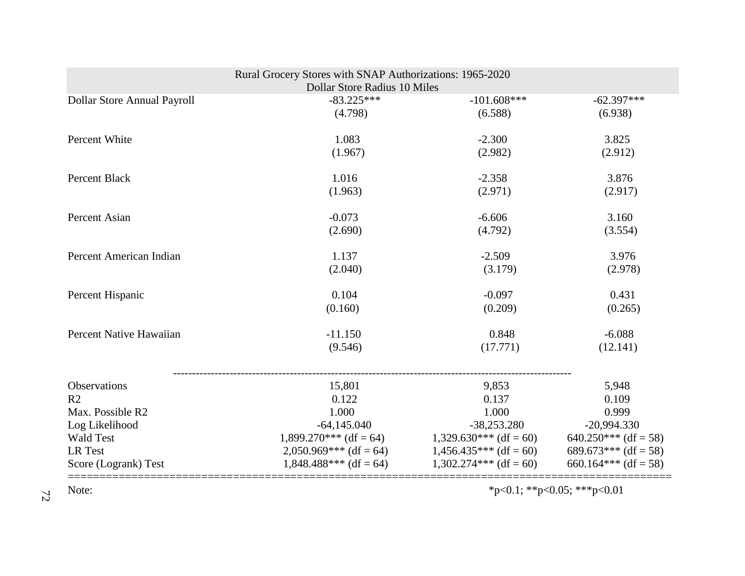| Rural Grocery Stores with SNAP Authorizations: 1965-2020<br><b>Dollar Store Radius 10 Miles</b> |                          |                          |                             |
|-------------------------------------------------------------------------------------------------|--------------------------|--------------------------|-----------------------------|
| Dollar Store Annual Payroll                                                                     | $-83.225***$             | $-101.608***$            | $-62.397***$                |
|                                                                                                 | (4.798)                  | (6.588)                  | (6.938)                     |
| Percent White                                                                                   | 1.083                    | $-2.300$                 | 3.825                       |
|                                                                                                 | (1.967)                  | (2.982)                  | (2.912)                     |
| Percent Black                                                                                   | 1.016                    | $-2.358$                 | 3.876                       |
|                                                                                                 | (1.963)                  | (2.971)                  | (2.917)                     |
| Percent Asian                                                                                   | $-0.073$                 | $-6.606$                 | 3.160                       |
|                                                                                                 | (2.690)                  | (4.792)                  | (3.554)                     |
| Percent American Indian                                                                         | 1.137                    | $-2.509$                 | 3.976                       |
|                                                                                                 | (2.040)                  | (3.179)                  | (2.978)                     |
| Percent Hispanic                                                                                | 0.104                    | $-0.097$                 | 0.431                       |
|                                                                                                 | (0.160)                  | (0.209)                  | (0.265)                     |
| Percent Native Hawaiian                                                                         | $-11.150$                | 0.848                    | $-6.088$                    |
|                                                                                                 | (9.546)                  | (17.771)                 | (12.141)                    |
|                                                                                                 |                          |                          |                             |
| Observations                                                                                    | 15,801                   | 9,853                    | 5,948                       |
| R <sub>2</sub>                                                                                  | 0.122                    | 0.137                    | 0.109                       |
| Max. Possible R2                                                                                | 1.000                    | 1.000                    | 0.999                       |
| Log Likelihood                                                                                  | $-64,145.040$            | $-38,253.280$            | $-20,994.330$               |
| <b>Wald Test</b>                                                                                | $1,899.270***$ (df = 64) | $1,329.630***$ (df = 60) | $640.250***$ (df = 58)      |
| LR Test                                                                                         | $2,050.969***$ (df = 64) | $1,456.435***$ (df = 60) | 689.673*** (df = 58)        |
| Score (Logrank) Test                                                                            | $1,848.488***$ (df = 64) | $1,302.274***$ (df = 60) | 660.164*** (df = 58)        |
| Note:                                                                                           |                          |                          | *p<0.1; **p<0.05; ***p<0.01 |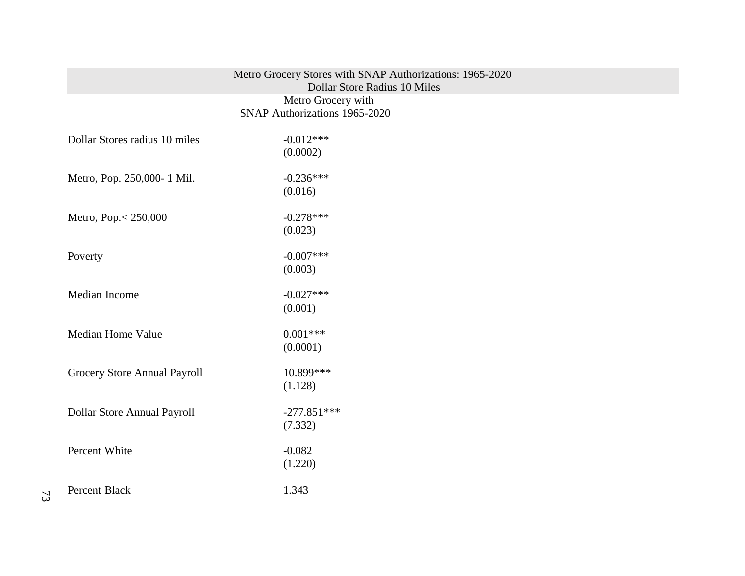| Metro Grocery Stores with SNAP Authorizations: 1965-2020 |  |
|----------------------------------------------------------|--|
| Dollar Store Radius 10 Miles                             |  |
| Metro Grocery with                                       |  |
| SNAP Authorizations 1965-2020                            |  |

| Dollar Stores radius 10 miles | $-0.012***$   |
|-------------------------------|---------------|
|                               | (0.0002)      |
| Metro, Pop. 250,000-1 Mil.    | $-0.236***$   |
|                               | (0.016)       |
| Metro, Pop. < 250,000         | $-0.278***$   |
|                               | (0.023)       |
| Poverty                       | $-0.007$ ***  |
|                               | (0.003)       |
| Median Income                 | $-0.027***$   |
|                               | (0.001)       |
| <b>Median Home Value</b>      | $0.001***$    |
|                               | (0.0001)      |
| Grocery Store Annual Payroll  | 10.899***     |
|                               | (1.128)       |
| Dollar Store Annual Payroll   | $-277.851***$ |
|                               | (7.332)       |
| Percent White                 | $-0.082$      |
|                               | (1.220)       |
| <b>Percent Black</b>          | 1.343         |
|                               |               |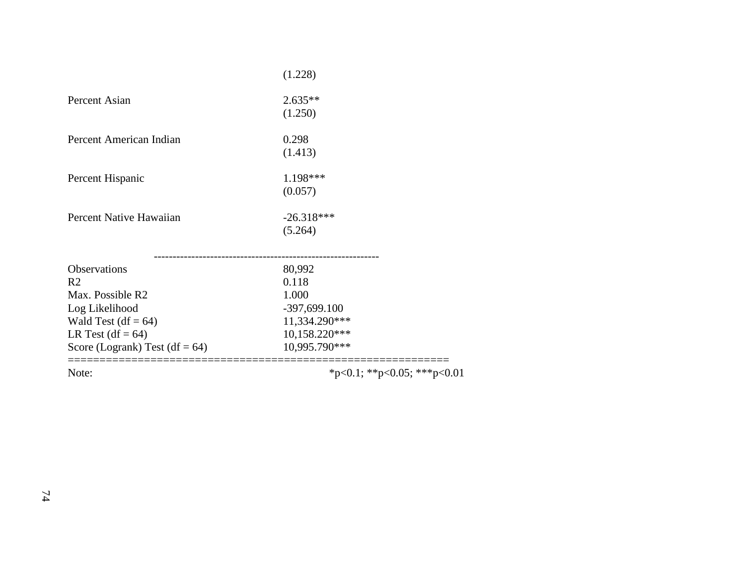| (1.228)         |
|-----------------|
| $2.635**$       |
| (1.250)         |
| 0.298           |
| (1.413)         |
| 1.198***        |
| (0.057)         |
| $-26.318***$    |
| (5.264)         |
|                 |
| 80,992<br>0.118 |
| 1.000           |
| $-397,699.100$  |
| 11,334.290***   |
| 10,158.220***   |
| 10,995.790***   |
|                 |

Note: \*\*\*p<0.1; \*\*p<0.05; \*\*\*p<0.01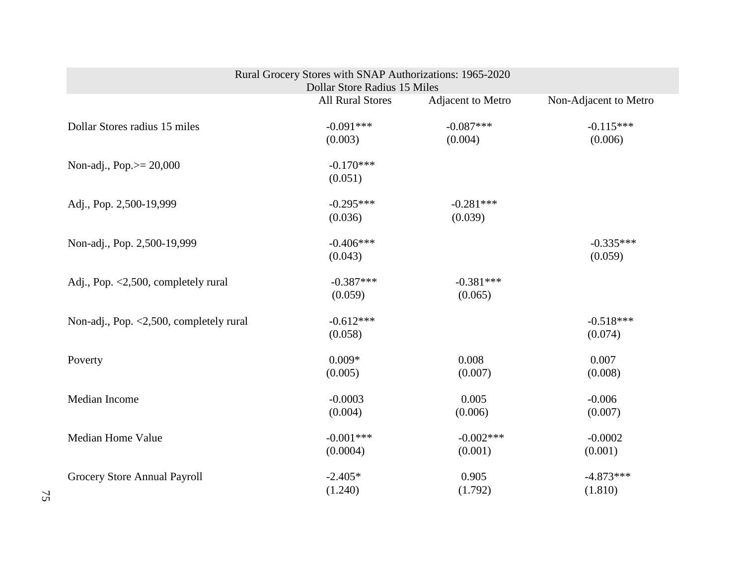| Rural Grocery Stores with SNAP Authorizations: 1965-2020<br>Dollar Store Radius 15 Miles |                         |                        |                        |
|------------------------------------------------------------------------------------------|-------------------------|------------------------|------------------------|
|                                                                                          | <b>All Rural Stores</b> | Adjacent to Metro      | Non-Adjacent to Metro  |
| Dollar Stores radius 15 miles                                                            | $-0.091***$<br>(0.003)  | $-0.087***$<br>(0.004) | $-0.115***$<br>(0.006) |
| Non-adj., Pop. $> = 20,000$                                                              | $-0.170***$<br>(0.051)  |                        |                        |
| Adj., Pop. 2,500-19,999                                                                  | $-0.295***$<br>(0.036)  | $-0.281***$<br>(0.039) |                        |
| Non-adj., Pop. 2,500-19,999                                                              | $-0.406***$<br>(0.043)  |                        | $-0.335***$<br>(0.059) |
| Adj., Pop. <2,500, completely rural                                                      | $-0.387***$<br>(0.059)  | $-0.381***$<br>(0.065) |                        |
| Non-adj., Pop. <2,500, completely rural                                                  | $-0.612***$<br>(0.058)  |                        | $-0.518***$<br>(0.074) |
| Poverty                                                                                  | $0.009*$<br>(0.005)     | 0.008<br>(0.007)       | 0.007<br>(0.008)       |
| Median Income                                                                            | $-0.0003$<br>(0.004)    | 0.005<br>(0.006)       | $-0.006$<br>(0.007)    |
| <b>Median Home Value</b>                                                                 | $-0.001***$<br>(0.0004) | $-0.002***$<br>(0.001) | $-0.0002$<br>(0.001)   |
| Grocery Store Annual Payroll                                                             | $-2.405*$<br>(1.240)    | 0.905<br>(1.792)       | $-4.873***$<br>(1.810) |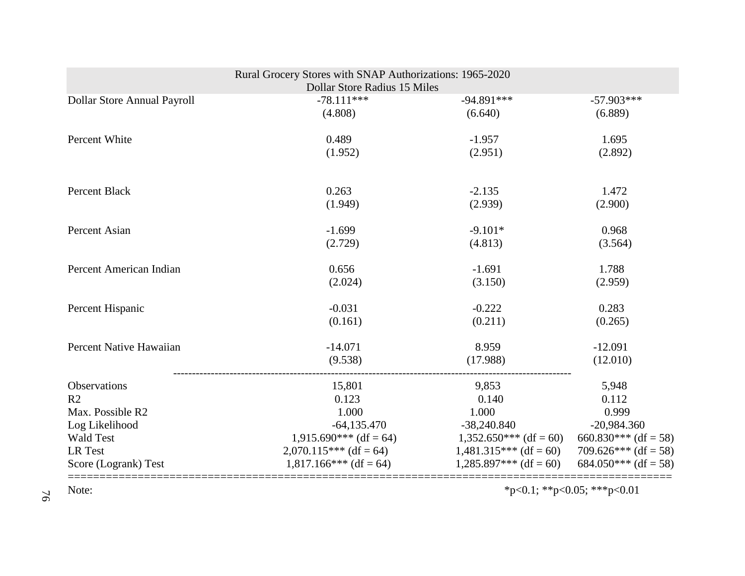|                             | Rural Grocery Stores with SNAP Authorizations: 1965-2020 |                          |                             |
|-----------------------------|----------------------------------------------------------|--------------------------|-----------------------------|
|                             | Dollar Store Radius 15 Miles                             |                          |                             |
| Dollar Store Annual Payroll | $-78.111***$                                             | $-94.891***$             | $-57.903***$                |
|                             | (4.808)                                                  | (6.640)                  | (6.889)                     |
| Percent White               | 0.489                                                    | $-1.957$                 | 1.695                       |
|                             | (1.952)                                                  | (2.951)                  | (2.892)                     |
| <b>Percent Black</b>        | 0.263                                                    | $-2.135$                 | 1.472                       |
|                             | (1.949)                                                  | (2.939)                  | (2.900)                     |
| Percent Asian               | $-1.699$                                                 | $-9.101*$                | 0.968                       |
|                             | (2.729)                                                  | (4.813)                  | (3.564)                     |
| Percent American Indian     | 0.656                                                    | $-1.691$                 | 1.788                       |
|                             | (2.024)                                                  | (3.150)                  | (2.959)                     |
| Percent Hispanic            | $-0.031$                                                 | $-0.222$                 | 0.283                       |
|                             | (0.161)                                                  | (0.211)                  | (0.265)                     |
| Percent Native Hawaiian     | $-14.071$                                                | 8.959                    | $-12.091$                   |
|                             | (9.538)                                                  | (17.988)                 | (12.010)                    |
| Observations                | 15,801                                                   | 9,853                    | 5,948                       |
| R <sub>2</sub>              | 0.123                                                    | 0.140                    | 0.112                       |
| Max. Possible R2            | 1.000                                                    | 1.000                    | 0.999                       |
| Log Likelihood              | $-64,135.470$                                            | $-38,240.840$            | $-20,984.360$               |
| <b>Wald Test</b>            | $1,915.690***$ (df = 64)                                 | $1,352.650***$ (df = 60) | 660.830*** (df = 58)        |
| LR Test                     | $2,070.115***$ (df = 64)                                 | $1,481.315***$ (df = 60) | 709.626*** (df = 58)        |
| Score (Logrank) Test        | $1,817.166***$ (df = 64)                                 | $1,285.897***$ (df = 60) | 684.050*** (df = 58)        |
| Note:                       |                                                          |                          | *p<0.1; **p<0.05; ***p<0.01 |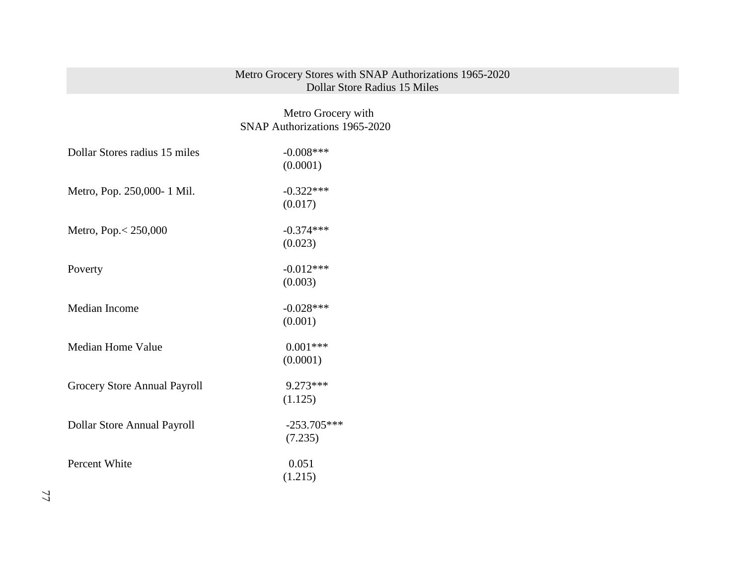## Metro Grocery Stores with SNAP Authorizations 1965-2020 Dollar Store Radius 15 Miles

# Metro Grocery with SNAP Authorizations 1965-2020

| Dollar Stores radius 15 miles | $-0.008$ ***  |
|-------------------------------|---------------|
|                               | (0.0001)      |
| Metro, Pop. 250,000-1 Mil.    | $-0.322***$   |
|                               | (0.017)       |
| Metro, Pop. $< 250,000$       | $-0.374***$   |
|                               | (0.023)       |
| Poverty                       | $-0.012***$   |
|                               | (0.003)       |
| Median Income                 | $-0.028***$   |
|                               | (0.001)       |
| <b>Median Home Value</b>      | $0.001***$    |
|                               | (0.0001)      |
| Grocery Store Annual Payroll  | 9.273***      |
|                               | (1.125)       |
| Dollar Store Annual Payroll   | $-253.705***$ |
|                               | (7.235)       |
| Percent White                 | 0.051         |
|                               | (1.215)       |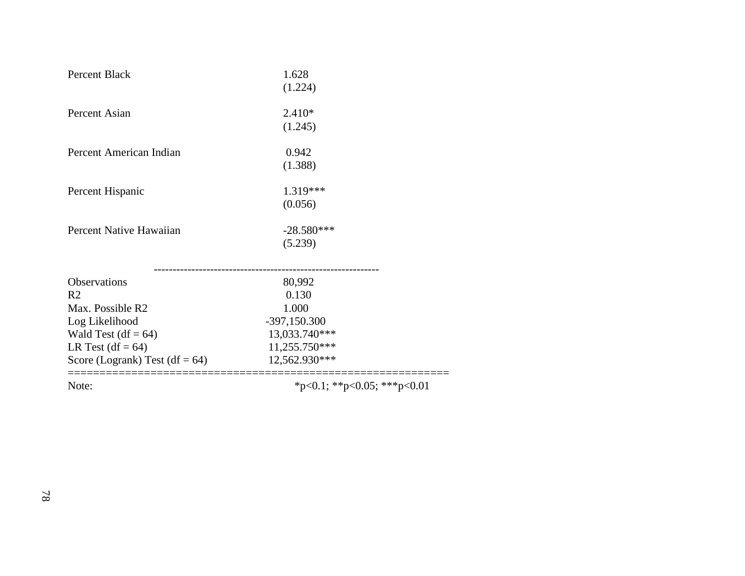| <b>AT</b>                         | $\mathcal{N}$ and $\mathcal{N}$ and $\mathcal{N}$ and $\mathcal{N}$ and $\mathcal{N}$ |  |
|-----------------------------------|---------------------------------------------------------------------------------------|--|
| Score (Logrank) Test (df = $64$ ) | 12,562.930***                                                                         |  |
| LR Test $(df = 64)$               | 11,255.750***                                                                         |  |
| Wald Test $(df = 64)$             | 13,033.740***                                                                         |  |
| Log Likelihood                    | $-397,150.300$                                                                        |  |
| Max. Possible R2                  | 1.000                                                                                 |  |
| R <sub>2</sub>                    | 0.130                                                                                 |  |
| Observations                      | 80,992                                                                                |  |
|                                   |                                                                                       |  |
|                                   | (5.239)                                                                               |  |
| Percent Native Hawaiian           | $-28.580***$                                                                          |  |
|                                   | (0.056)                                                                               |  |
| Percent Hispanic                  | 1.319***                                                                              |  |
|                                   |                                                                                       |  |
|                                   | (1.388)                                                                               |  |
| Percent American Indian           | 0.942                                                                                 |  |
|                                   | (1.245)                                                                               |  |
| Percent Asian                     | $2.410*$                                                                              |  |
|                                   | (1.224)                                                                               |  |
| Percent Black                     | 1.628                                                                                 |  |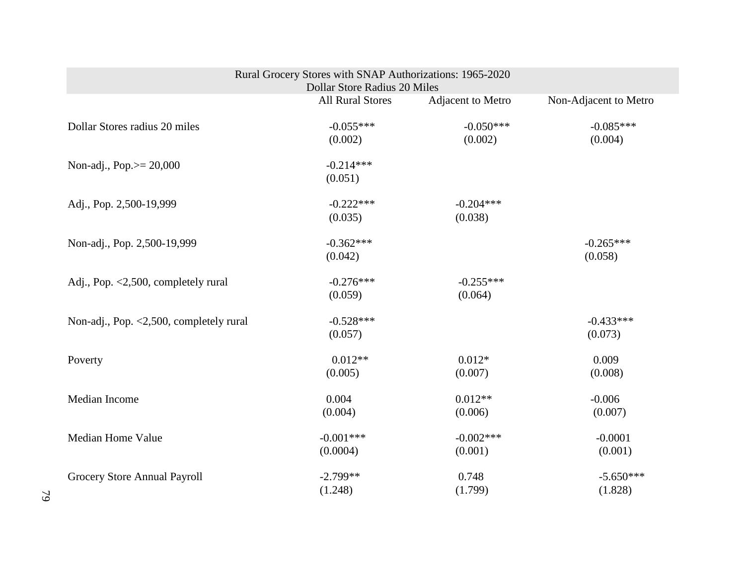| Rural Grocery Stores with SNAP Authorizations: 1965-2020<br><b>Dollar Store Radius 20 Miles</b> |                         |                        |                        |  |
|-------------------------------------------------------------------------------------------------|-------------------------|------------------------|------------------------|--|
|                                                                                                 | <b>All Rural Stores</b> | Adjacent to Metro      | Non-Adjacent to Metro  |  |
| Dollar Stores radius 20 miles                                                                   | $-0.055***$<br>(0.002)  | $-0.050***$<br>(0.002) | $-0.085***$<br>(0.004) |  |
| Non-adj., Pop.>= 20,000                                                                         | $-0.214***$<br>(0.051)  |                        |                        |  |
| Adj., Pop. 2,500-19,999                                                                         | $-0.222***$<br>(0.035)  | $-0.204***$<br>(0.038) |                        |  |
| Non-adj., Pop. 2,500-19,999                                                                     | $-0.362***$<br>(0.042)  |                        | $-0.265***$<br>(0.058) |  |
| Adj., Pop. <2,500, completely rural                                                             | $-0.276***$<br>(0.059)  | $-0.255***$<br>(0.064) |                        |  |
| Non-adj., Pop. $\langle 2, 500,$ completely rural                                               | $-0.528***$<br>(0.057)  |                        | $-0.433***$<br>(0.073) |  |
| Poverty                                                                                         | $0.012**$<br>(0.005)    | $0.012*$<br>(0.007)    | 0.009<br>(0.008)       |  |
| Median Income                                                                                   | 0.004<br>(0.004)        | $0.012**$<br>(0.006)   | $-0.006$<br>(0.007)    |  |
| <b>Median Home Value</b>                                                                        | $-0.001***$<br>(0.0004) | $-0.002***$<br>(0.001) | $-0.0001$<br>(0.001)   |  |
| Grocery Store Annual Payroll                                                                    | $-2.799**$<br>(1.248)   | 0.748<br>(1.799)       | $-5.650***$<br>(1.828) |  |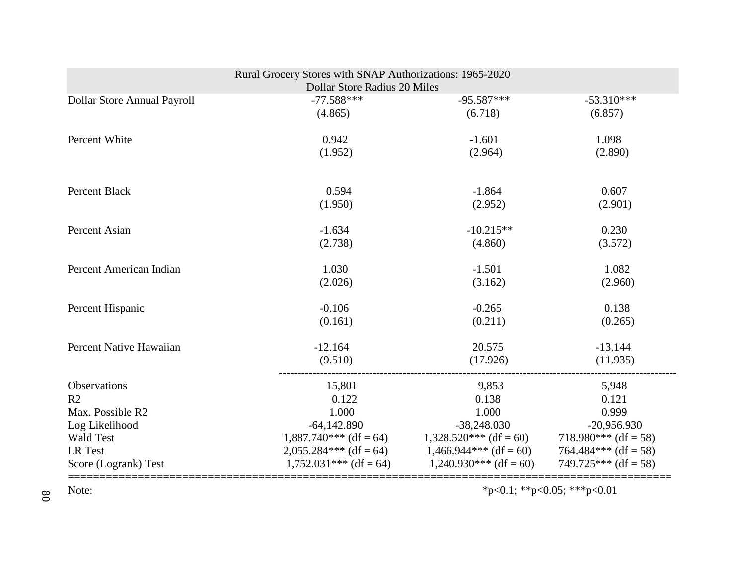|                                    | Rural Grocery Stores with SNAP Authorizations: 1965-2020<br>Dollar Store Radius 20 Miles |                                           |                                       |
|------------------------------------|------------------------------------------------------------------------------------------|-------------------------------------------|---------------------------------------|
| Dollar Store Annual Payroll        | $-77.588***$                                                                             | $-95.587***$                              | $-53.310***$                          |
|                                    | (4.865)                                                                                  | (6.718)                                   | (6.857)                               |
| Percent White                      | 0.942                                                                                    | $-1.601$                                  | 1.098                                 |
|                                    | (1.952)                                                                                  | (2.964)                                   | (2.890)                               |
| <b>Percent Black</b>               | 0.594                                                                                    | $-1.864$                                  | 0.607                                 |
|                                    | (1.950)                                                                                  | (2.952)                                   | (2.901)                               |
| Percent Asian                      | $-1.634$                                                                                 | $-10.215**$                               | 0.230                                 |
|                                    | (2.738)                                                                                  | (4.860)                                   | (3.572)                               |
| Percent American Indian            | 1.030                                                                                    | $-1.501$                                  | 1.082                                 |
|                                    | (2.026)                                                                                  | (3.162)                                   | (2.960)                               |
| Percent Hispanic                   | $-0.106$                                                                                 | $-0.265$                                  | 0.138                                 |
|                                    | (0.161)                                                                                  | (0.211)                                   | (0.265)                               |
| Percent Native Hawaiian            | $-12.164$                                                                                | 20.575                                    | $-13.144$                             |
|                                    | (9.510)                                                                                  | (17.926)                                  | (11.935)                              |
| Observations                       | 15,801                                                                                   | 9,853                                     | 5,948                                 |
| R <sub>2</sub>                     | 0.122                                                                                    | 0.138                                     | 0.121                                 |
| Max. Possible R2                   | 1.000                                                                                    | 1.000                                     | 0.999                                 |
| Log Likelihood<br><b>Wald Test</b> | $-64,142.890$<br>$1,887.740***$ (df = 64)                                                | $-38,248.030$<br>$1,328.520***$ (df = 60) | $-20,956.930$<br>718.980*** (df = 58) |
| LR Test                            | $2,055.284***$ (df = 64)                                                                 | $1,466.944***$ (df = 60)                  | $764.484***$ (df = 58)                |
| Score (Logrank) Test               | $1,752.031***$ (df = 64)                                                                 | $1,240.930***$ (df = 60)                  | $749.725***$ (df = 58)                |
| Note:                              |                                                                                          |                                           | *p<0.1; **p<0.05; ***p<0.01           |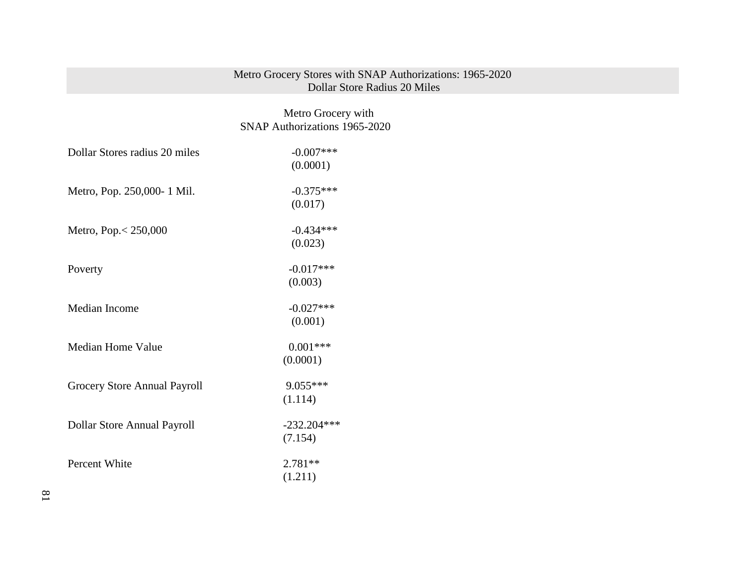#### Metro Grocery Stores with SNAP Authorizations: 1965-2020 Dollar Store Radius 20 Miles

# Metro Grocery with SNAP Authorizations 1965-2020

| Dollar Stores radius 20 miles | $-0.007$ ***  |
|-------------------------------|---------------|
|                               | (0.0001)      |
| Metro, Pop. 250,000-1 Mil.    | $-0.375***$   |
|                               | (0.017)       |
| Metro, Pop. $< 250,000$       | $-0.434***$   |
|                               | (0.023)       |
| Poverty                       | $-0.017***$   |
|                               | (0.003)       |
| Median Income                 | $-0.027***$   |
|                               | (0.001)       |
| <b>Median Home Value</b>      | $0.001***$    |
|                               | (0.0001)      |
| Grocery Store Annual Payroll  | 9.055***      |
|                               | (1.114)       |
| Dollar Store Annual Payroll   | $-232.204***$ |
|                               | (7.154)       |
| Percent White                 | $2.781**$     |
|                               | (1.211)       |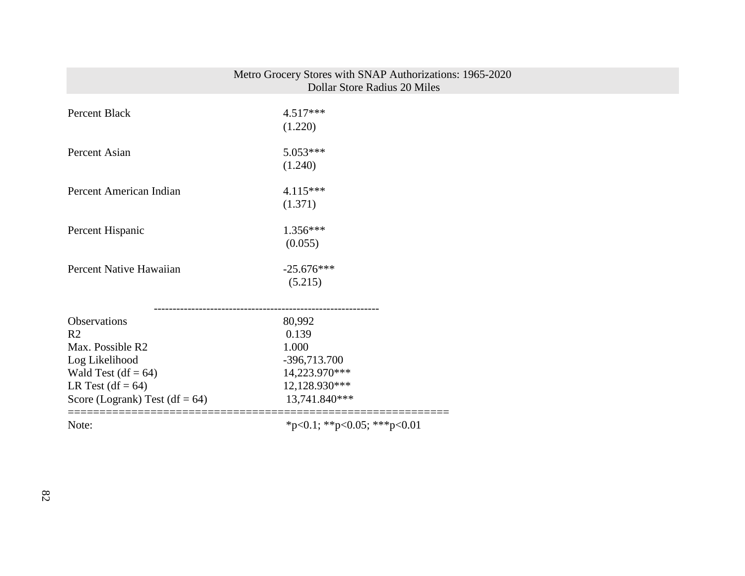|                                  | Metro Grocery Stores with SNAP Authorizations: 1965-2020<br><b>Dollar Store Radius 20 Miles</b> |
|----------------------------------|-------------------------------------------------------------------------------------------------|
|                                  |                                                                                                 |
| Percent Black                    | $4.517***$                                                                                      |
|                                  | (1.220)                                                                                         |
| Percent Asian                    | $5.053***$                                                                                      |
|                                  | (1.240)                                                                                         |
| Percent American Indian          | $4.115***$                                                                                      |
|                                  | (1.371)                                                                                         |
| Percent Hispanic                 | $1.356***$                                                                                      |
|                                  | (0.055)                                                                                         |
| Percent Native Hawaiian          | $-25.676***$                                                                                    |
|                                  | (5.215)                                                                                         |
|                                  |                                                                                                 |
| <b>Observations</b>              | 80,992                                                                                          |
| R <sub>2</sub>                   | 0.139                                                                                           |
| Max. Possible R2                 | 1.000                                                                                           |
| Log Likelihood                   | -396,713.700                                                                                    |
| Wald Test $(df = 64)$            | 14,223.970***                                                                                   |
| LR Test $(df = 64)$              | 12,128.930***                                                                                   |
| Score (Logrank) Test $(df = 64)$ | 13,741.840***                                                                                   |
| Note:                            | *p<0.1; **p<0.05; ***p<0.01                                                                     |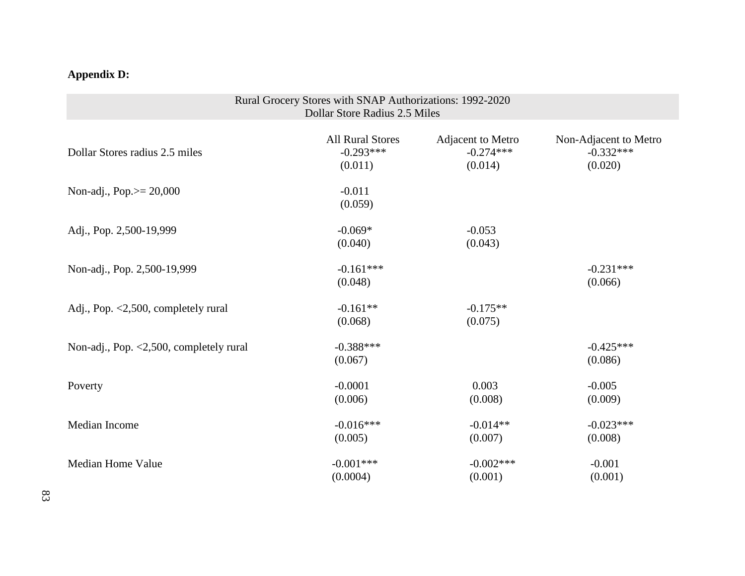# **Appendix D:**

| Rural Grocery Stores with SNAP Authorizations: 1992-2020<br>Dollar Store Radius 2.5 Miles |                                                   |                                             |                                                 |
|-------------------------------------------------------------------------------------------|---------------------------------------------------|---------------------------------------------|-------------------------------------------------|
| Dollar Stores radius 2.5 miles                                                            | <b>All Rural Stores</b><br>$-0.293***$<br>(0.011) | Adjacent to Metro<br>$-0.274***$<br>(0.014) | Non-Adjacent to Metro<br>$-0.332***$<br>(0.020) |
| Non-adj., Pop. $> = 20,000$                                                               | $-0.011$<br>(0.059)                               |                                             |                                                 |
| Adj., Pop. 2,500-19,999                                                                   | $-0.069*$<br>(0.040)                              | $-0.053$<br>(0.043)                         |                                                 |
| Non-adj., Pop. 2,500-19,999                                                               | $-0.161***$<br>(0.048)                            |                                             | $-0.231***$<br>(0.066)                          |
| Adj., Pop. <2,500, completely rural                                                       | $-0.161**$<br>(0.068)                             | $-0.175**$<br>(0.075)                       |                                                 |
| Non-adj., Pop. $\langle 2, 500,$ completely rural                                         | $-0.388***$<br>(0.067)                            |                                             | $-0.425***$<br>(0.086)                          |
| Poverty                                                                                   | $-0.0001$<br>(0.006)                              | 0.003<br>(0.008)                            | $-0.005$<br>(0.009)                             |
| Median Income                                                                             | $-0.016***$<br>(0.005)                            | $-0.014**$<br>(0.007)                       | $-0.023***$<br>(0.008)                          |
| <b>Median Home Value</b>                                                                  | $-0.001***$<br>(0.0004)                           | $-0.002***$<br>(0.001)                      | $-0.001$<br>(0.001)                             |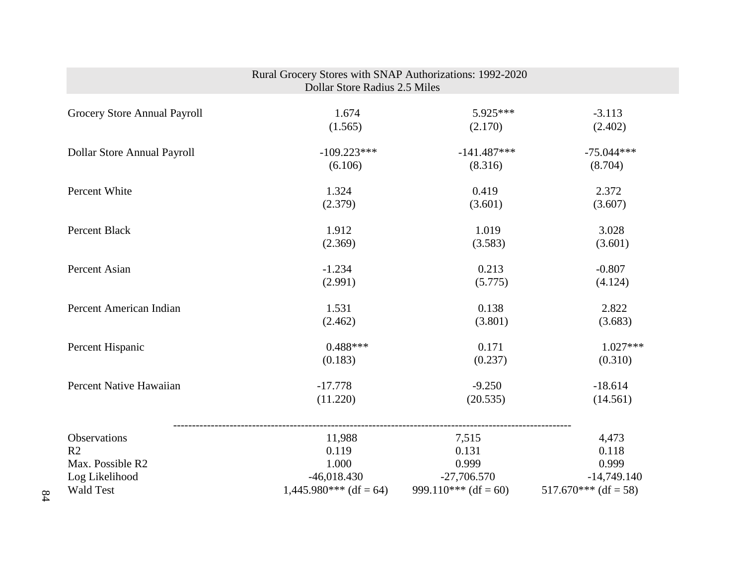|                                    | Rural Grocery Stores with SNAP Authorizations: 1992-2020<br>Dollar Store Radius 2.5 Miles |                      |                        |
|------------------------------------|-------------------------------------------------------------------------------------------|----------------------|------------------------|
| Grocery Store Annual Payroll       | 1.674                                                                                     | 5.925***             | $-3.113$               |
|                                    | (1.565)                                                                                   | (2.170)              | (2.402)                |
| <b>Dollar Store Annual Payroll</b> | $-109.223***$                                                                             | $-141.487***$        | $-75.044***$           |
|                                    | (6.106)                                                                                   | (8.316)              | (8.704)                |
| Percent White                      | 1.324                                                                                     | 0.419                | 2.372                  |
|                                    | (2.379)                                                                                   | (3.601)              | (3.607)                |
| Percent Black                      | 1.912                                                                                     | 1.019                | 3.028                  |
|                                    | (2.369)                                                                                   | (3.583)              | (3.601)                |
| Percent Asian                      | $-1.234$                                                                                  | 0.213                | $-0.807$               |
|                                    | (2.991)                                                                                   | (5.775)              | (4.124)                |
| Percent American Indian            | 1.531                                                                                     | 0.138                | 2.822                  |
|                                    | (2.462)                                                                                   | (3.801)              | (3.683)                |
| Percent Hispanic                   | $0.488***$                                                                                | 0.171                | $1.027***$             |
|                                    | (0.183)                                                                                   | (0.237)              | (0.310)                |
| Percent Native Hawaiian            | $-17.778$                                                                                 | $-9.250$             | $-18.614$              |
|                                    | (11.220)                                                                                  | (20.535)             | (14.561)               |
| Observations                       | 11,988                                                                                    | 7,515                | 4,473                  |
| R <sub>2</sub>                     | 0.119                                                                                     | 0.131                | 0.118                  |
| Max. Possible R2                   | 1.000                                                                                     | 0.999                | 0.999                  |
| Log Likelihood                     | $-46,018.430$                                                                             | $-27,706.570$        | $-14,749.140$          |
| <b>Wald Test</b>                   | $1,445.980***$ (df = 64)                                                                  | 999.110*** (df = 60) | $517.670***$ (df = 58) |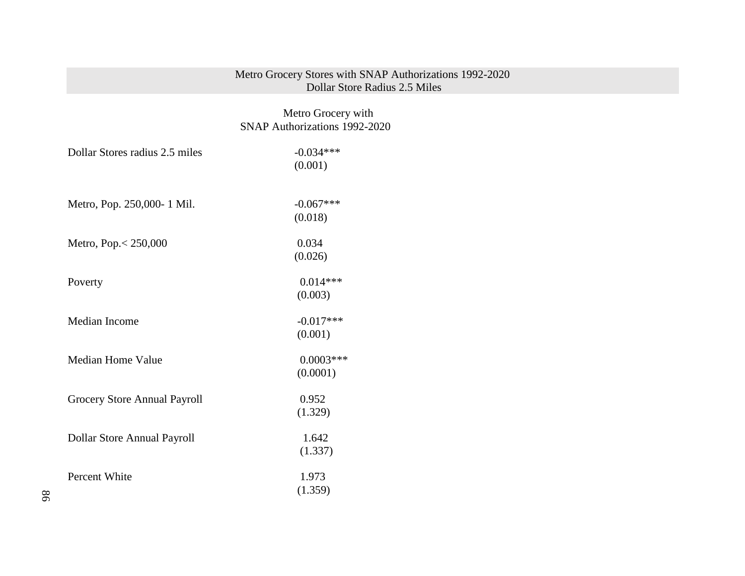#### Metro Grocery Stores with SNAP Authorizations 1992-2020 Dollar Store Radius 2.5 Miles

 Metro Grocery with SNAP Authorizations 1992-2020

| Dollar Stores radius 2.5 miles | $-0.034***$<br>(0.001) |
|--------------------------------|------------------------|
| Metro, Pop. 250,000-1 Mil.     | $-0.067***$            |
|                                | (0.018)                |
| Metro, Pop. < 250,000          | 0.034                  |
|                                | (0.026)                |
| Poverty                        | $0.014***$             |
|                                | (0.003)                |
| Median Income                  | $-0.017***$            |
|                                | (0.001)                |
| <b>Median Home Value</b>       | $0.0003***$            |
|                                | (0.0001)               |
| Grocery Store Annual Payroll   | 0.952                  |
|                                | (1.329)                |
| Dollar Store Annual Payroll    | 1.642                  |
|                                | (1.337)                |
| Percent White                  | 1.973                  |
|                                | (1.359)                |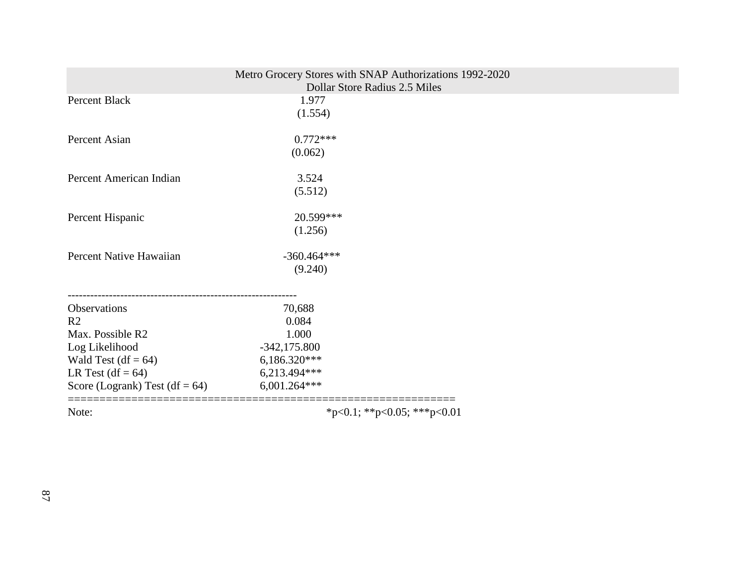|                                   | Metro Grocery Stores with SNAP Authorizations 1992-2020<br>Dollar Store Radius 2.5 Miles |  |
|-----------------------------------|------------------------------------------------------------------------------------------|--|
| Percent Black                     | 1.977                                                                                    |  |
|                                   | (1.554)                                                                                  |  |
|                                   |                                                                                          |  |
| Percent Asian                     | $0.772***$                                                                               |  |
|                                   | (0.062)                                                                                  |  |
|                                   |                                                                                          |  |
| Percent American Indian           | 3.524                                                                                    |  |
|                                   | (5.512)                                                                                  |  |
| Percent Hispanic                  | 20.599***                                                                                |  |
|                                   | (1.256)                                                                                  |  |
| Percent Native Hawaiian           | $-360.464***$                                                                            |  |
|                                   | (9.240)                                                                                  |  |
|                                   |                                                                                          |  |
| Observations                      | 70,688                                                                                   |  |
| R <sub>2</sub>                    | 0.084                                                                                    |  |
| Max. Possible R2                  | 1.000                                                                                    |  |
| Log Likelihood                    | $-342,175.800$                                                                           |  |
| Wald Test $(df = 64)$             | 6,186.320***                                                                             |  |
| LR Test $(df = 64)$               | 6,213.494***                                                                             |  |
| Score (Logrank) Test (df = $64$ ) | 6,001.264***                                                                             |  |
| Note:                             | *p<0.1; **p<0.05; ***p<0.01                                                              |  |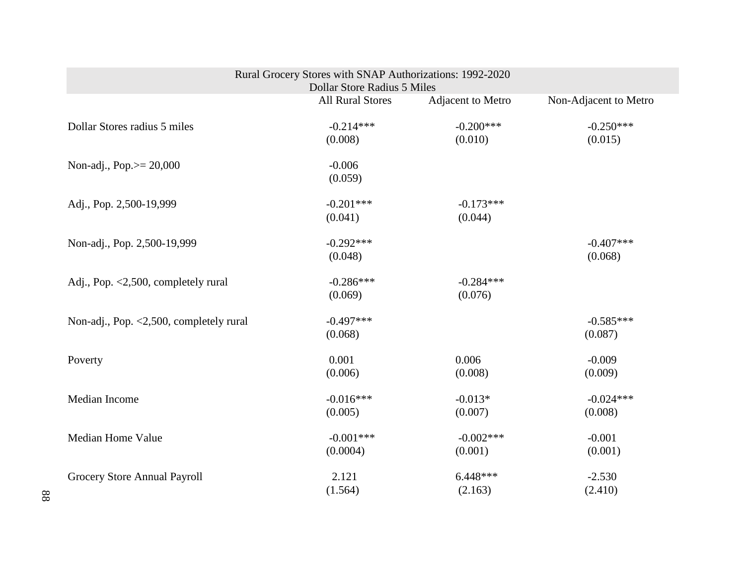| Rural Grocery Stores with SNAP Authorizations: 1992-2020<br><b>Dollar Store Radius 5 Miles</b> |                         |                        |                        |
|------------------------------------------------------------------------------------------------|-------------------------|------------------------|------------------------|
|                                                                                                | <b>All Rural Stores</b> | Adjacent to Metro      | Non-Adjacent to Metro  |
| Dollar Stores radius 5 miles                                                                   | $-0.214***$<br>(0.008)  | $-0.200***$<br>(0.010) | $-0.250***$<br>(0.015) |
| Non-adj., Pop.>= 20,000                                                                        | $-0.006$<br>(0.059)     |                        |                        |
| Adj., Pop. 2,500-19,999                                                                        | $-0.201***$<br>(0.041)  | $-0.173***$<br>(0.044) |                        |
| Non-adj., Pop. 2,500-19,999                                                                    | $-0.292***$<br>(0.048)  |                        | $-0.407***$<br>(0.068) |
| Adj., Pop. <2,500, completely rural                                                            | $-0.286***$<br>(0.069)  | $-0.284***$<br>(0.076) |                        |
| Non-adj., Pop. $\langle 2,500,$ completely rural                                               | $-0.497***$<br>(0.068)  |                        | $-0.585***$<br>(0.087) |
| Poverty                                                                                        | 0.001<br>(0.006)        | 0.006<br>(0.008)       | $-0.009$<br>(0.009)    |
| Median Income                                                                                  | $-0.016***$<br>(0.005)  | $-0.013*$<br>(0.007)   | $-0.024***$<br>(0.008) |
| Median Home Value                                                                              | $-0.001***$<br>(0.0004) | $-0.002***$<br>(0.001) | $-0.001$<br>(0.001)    |
| Grocery Store Annual Payroll                                                                   | 2.121<br>(1.564)        | $6.448***$<br>(2.163)  | $-2.530$<br>(2.410)    |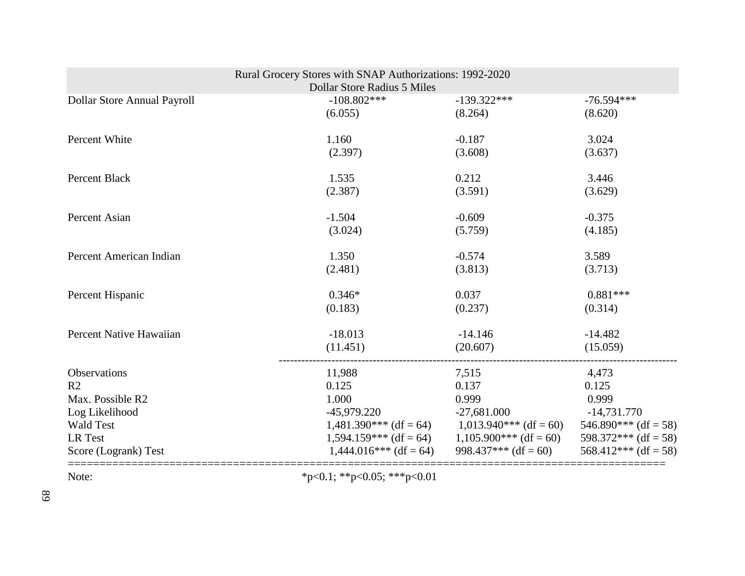|                             | Rural Grocery Stores with SNAP Authorizations: 1992-2020 |                                                   |                        |
|-----------------------------|----------------------------------------------------------|---------------------------------------------------|------------------------|
|                             | <b>Dollar Store Radius 5 Miles</b>                       |                                                   |                        |
| Dollar Store Annual Payroll | $-108.802***$                                            | $-139.322***$                                     | $-76.594***$           |
|                             | (6.055)                                                  | (8.264)                                           | (8.620)                |
| Percent White               | 1.160                                                    | $-0.187$                                          | 3.024                  |
|                             | (2.397)                                                  | (3.608)                                           | (3.637)                |
| <b>Percent Black</b>        | 1.535                                                    | 0.212                                             | 3.446                  |
|                             | (2.387)                                                  | (3.591)                                           | (3.629)                |
| Percent Asian               | $-1.504$                                                 | $-0.609$                                          | $-0.375$               |
|                             | (3.024)                                                  | (5.759)                                           | (4.185)                |
| Percent American Indian     | 1.350                                                    | $-0.574$                                          | 3.589                  |
|                             | (2.481)                                                  | (3.813)                                           | (3.713)                |
| Percent Hispanic            | $0.346*$                                                 | 0.037                                             | $0.881***$             |
|                             | (0.183)                                                  | (0.237)                                           | (0.314)                |
| Percent Native Hawaiian     | $-18.013$                                                | $-14.146$                                         | $-14.482$              |
|                             | (11.451)                                                 | (20.607)                                          | (15.059)               |
| Observations                | 11,988                                                   | 7,515                                             | 4,473                  |
| R <sub>2</sub>              | 0.125                                                    | 0.137                                             | 0.125                  |
| Max. Possible R2            | 1.000                                                    | 0.999                                             | 0.999                  |
| Log Likelihood              | $-45,979.220$                                            | $-27,681.000$                                     | $-14,731.770$          |
| <b>Wald Test</b>            |                                                          | $1,481.390***$ (df = 64) $1,013.940***$ (df = 60) | $546.890***$ (df = 58) |
| LR Test                     |                                                          | $1,594.159***$ (df = 64) $1,105.900***$ (df = 60) | 598.372*** (df = 58)   |
| Score (Logrank) Test        | $1,444.016***$ (df = 64)                                 | 998.437*** $(df = 60)$                            | $568.412***$ (df = 58) |
| Note:                       | *p<0.1; **p<0.05; ***p<0.01                              |                                                   |                        |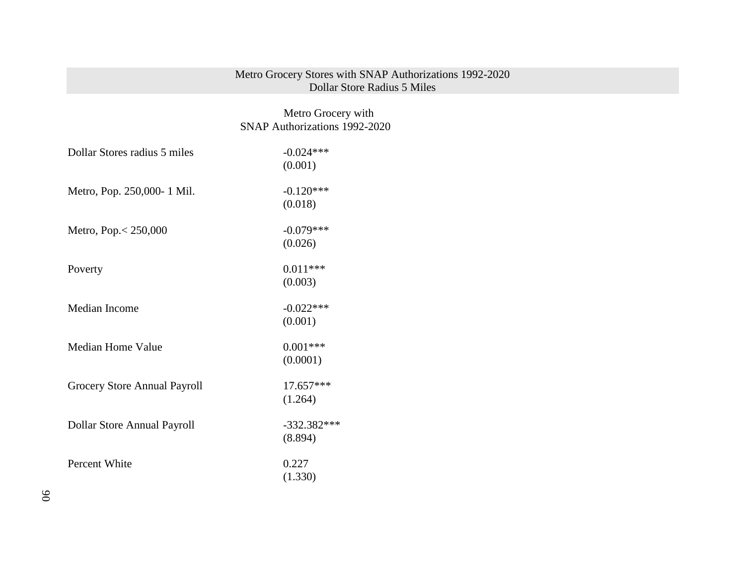## Metro Grocery Stores with SNAP Authorizations 1992-2020 Dollar Store Radius 5 Miles

# Metro Grocery with SNAP Authorizations 1992-2020

| Dollar Stores radius 5 miles | $-0.024***$   |
|------------------------------|---------------|
|                              | (0.001)       |
| Metro, Pop. 250,000-1 Mil.   | $-0.120***$   |
|                              | (0.018)       |
| Metro, Pop. < 250,000        | $-0.079***$   |
|                              | (0.026)       |
| Poverty                      | $0.011***$    |
|                              | (0.003)       |
| Median Income                | $-0.022***$   |
|                              | (0.001)       |
| Median Home Value            | $0.001***$    |
|                              | (0.0001)      |
| Grocery Store Annual Payroll | $17.657***$   |
|                              | (1.264)       |
| Dollar Store Annual Payroll  | $-332.382***$ |
|                              | (8.894)       |
| Percent White                | 0.227         |
|                              | (1.330)       |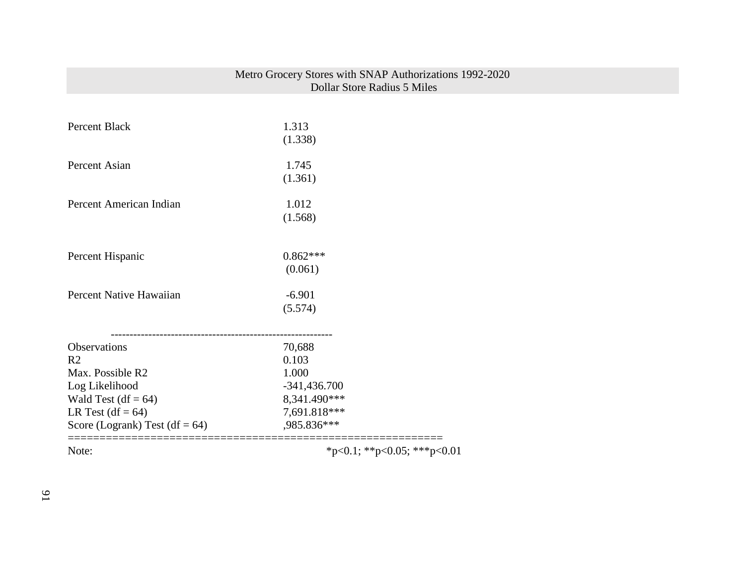|                                   | Metro Grocery Stores with SNAP Authorizations 1992-2020<br>Dollar Store Radius 5 Miles |
|-----------------------------------|----------------------------------------------------------------------------------------|
|                                   |                                                                                        |
| Percent Black                     | 1.313                                                                                  |
|                                   | (1.338)                                                                                |
| Percent Asian                     | 1.745                                                                                  |
|                                   | (1.361)                                                                                |
| Percent American Indian           | 1.012                                                                                  |
|                                   | (1.568)                                                                                |
|                                   |                                                                                        |
| Percent Hispanic                  | $0.862***$                                                                             |
|                                   | (0.061)                                                                                |
| Percent Native Hawaiian           | $-6.901$                                                                               |
|                                   | (5.574)                                                                                |
|                                   |                                                                                        |
| Observations                      | 70,688                                                                                 |
| R <sub>2</sub>                    | 0.103                                                                                  |
| Max. Possible R2                  | 1.000                                                                                  |
| Log Likelihood                    | $-341,436.700$                                                                         |
| Wald Test $(df = 64)$             | 8,341.490***                                                                           |
| LR Test $(df = 64)$               | 7,691.818***                                                                           |
| Score (Logrank) Test (df = $64$ ) | ,985.836***                                                                            |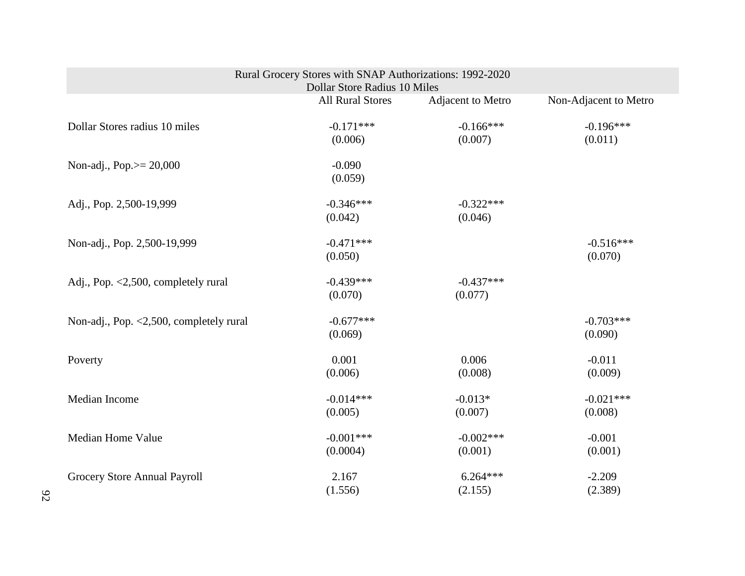| Rural Grocery Stores with SNAP Authorizations: 1992-2020<br>Dollar Store Radius 10 Miles |                         |                        |                        |  |
|------------------------------------------------------------------------------------------|-------------------------|------------------------|------------------------|--|
|                                                                                          | <b>All Rural Stores</b> | Adjacent to Metro      | Non-Adjacent to Metro  |  |
| Dollar Stores radius 10 miles                                                            | $-0.171***$<br>(0.006)  | $-0.166***$<br>(0.007) | $-0.196***$<br>(0.011) |  |
| Non-adj., Pop. $> = 20,000$                                                              | $-0.090$<br>(0.059)     |                        |                        |  |
| Adj., Pop. 2,500-19,999                                                                  | $-0.346***$<br>(0.042)  | $-0.322***$<br>(0.046) |                        |  |
| Non-adj., Pop. 2,500-19,999                                                              | $-0.471***$<br>(0.050)  |                        | $-0.516***$<br>(0.070) |  |
| Adj., Pop. <2,500, completely rural                                                      | $-0.439***$<br>(0.070)  | $-0.437***$<br>(0.077) |                        |  |
| Non-adj., Pop. <2,500, completely rural                                                  | $-0.677***$<br>(0.069)  |                        | $-0.703***$<br>(0.090) |  |
| Poverty                                                                                  | 0.001<br>(0.006)        | 0.006<br>(0.008)       | $-0.011$<br>(0.009)    |  |
| Median Income                                                                            | $-0.014***$<br>(0.005)  | $-0.013*$<br>(0.007)   | $-0.021***$<br>(0.008) |  |
| <b>Median Home Value</b>                                                                 | $-0.001***$<br>(0.0004) | $-0.002***$<br>(0.001) | $-0.001$<br>(0.001)    |  |
| Grocery Store Annual Payroll                                                             | 2.167<br>(1.556)        | $6.264***$<br>(2.155)  | $-2.209$<br>(2.389)    |  |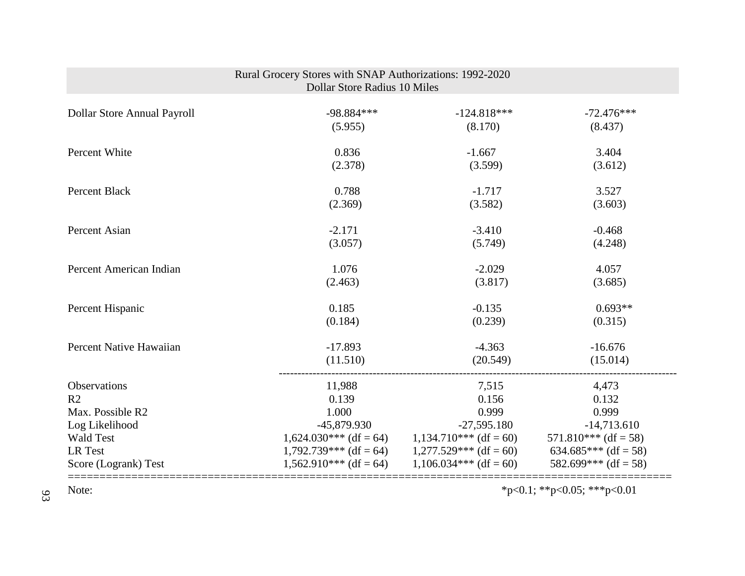| Rural Grocery Stores with SNAP Authorizations: 1992-2020<br><b>Dollar Store Radius 10 Miles</b> |                          |                          |                        |  |
|-------------------------------------------------------------------------------------------------|--------------------------|--------------------------|------------------------|--|
| Dollar Store Annual Payroll                                                                     | $-98.884***$             | $-124.818***$            | $-72.476***$           |  |
|                                                                                                 | (5.955)                  | (8.170)                  | (8.437)                |  |
| Percent White                                                                                   | 0.836                    | $-1.667$                 | 3.404                  |  |
|                                                                                                 | (2.378)                  | (3.599)                  | (3.612)                |  |
| <b>Percent Black</b>                                                                            | 0.788                    | $-1.717$                 | 3.527                  |  |
|                                                                                                 | (2.369)                  | (3.582)                  | (3.603)                |  |
| Percent Asian                                                                                   | $-2.171$                 | $-3.410$                 | $-0.468$               |  |
|                                                                                                 | (3.057)                  | (5.749)                  | (4.248)                |  |
| Percent American Indian                                                                         | 1.076                    | $-2.029$                 | 4.057                  |  |
|                                                                                                 | (2.463)                  | (3.817)                  | (3.685)                |  |
| Percent Hispanic                                                                                | 0.185                    | $-0.135$                 | $0.693**$              |  |
|                                                                                                 | (0.184)                  | (0.239)                  | (0.315)                |  |
| Percent Native Hawaiian                                                                         | $-17.893$                | $-4.363$                 | $-16.676$              |  |
|                                                                                                 | (11.510)                 | (20.549)                 | (15.014)               |  |
| Observations                                                                                    | 11,988                   | 7,515                    | 4,473                  |  |
| R <sub>2</sub>                                                                                  | 0.139                    | 0.156                    | 0.132                  |  |
| Max. Possible R2                                                                                | 1.000                    | 0.999                    | 0.999                  |  |
| Log Likelihood                                                                                  | -45,879.930              | $-27,595.180$            | $-14,713.610$          |  |
| <b>Wald Test</b>                                                                                | $1,624.030***$ (df = 64) | $1,134.710***$ (df = 60) | $571.810***$ (df = 58) |  |
| LR Test                                                                                         | $1,792.739***$ (df = 64) | $1,277.529***$ (df = 60) | 634.685*** (df = 58)   |  |
| Score (Logrank) Test                                                                            | $1,562.910***$ (df = 64) | $1,106.034***$ (df = 60) | 582.699*** (df = 58)   |  |
| *p<0.1; **p<0.05; ***p<0.01<br>Note:                                                            |                          |                          |                        |  |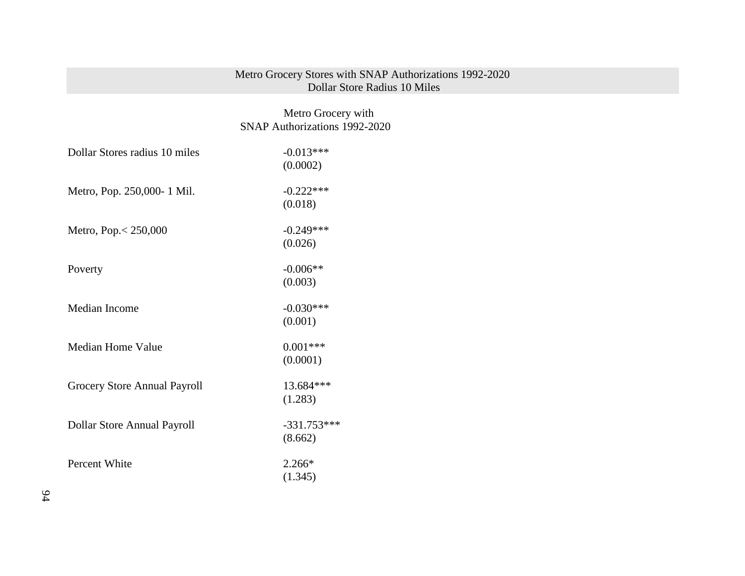#### Metro Grocery Stores with SNAP Authorizations 1992-2020 Dollar Store Radius 10 Miles

# Metro Grocery with SNAP Authorizations 1992-2020

| Dollar Stores radius 10 miles | $-0.013***$   |
|-------------------------------|---------------|
|                               | (0.0002)      |
| Metro, Pop. 250,000-1 Mil.    | $-0.222***$   |
|                               | (0.018)       |
| Metro, Pop. < 250,000         | $-0.249***$   |
|                               | (0.026)       |
| Poverty                       | $-0.006**$    |
|                               | (0.003)       |
| Median Income                 | $-0.030***$   |
|                               | (0.001)       |
| <b>Median Home Value</b>      | $0.001***$    |
|                               | (0.0001)      |
| Grocery Store Annual Payroll  | 13.684***     |
|                               | (1.283)       |
| Dollar Store Annual Payroll   | $-331.753***$ |
|                               | (8.662)       |
| Percent White                 | $2.266*$      |
|                               | (1.345)       |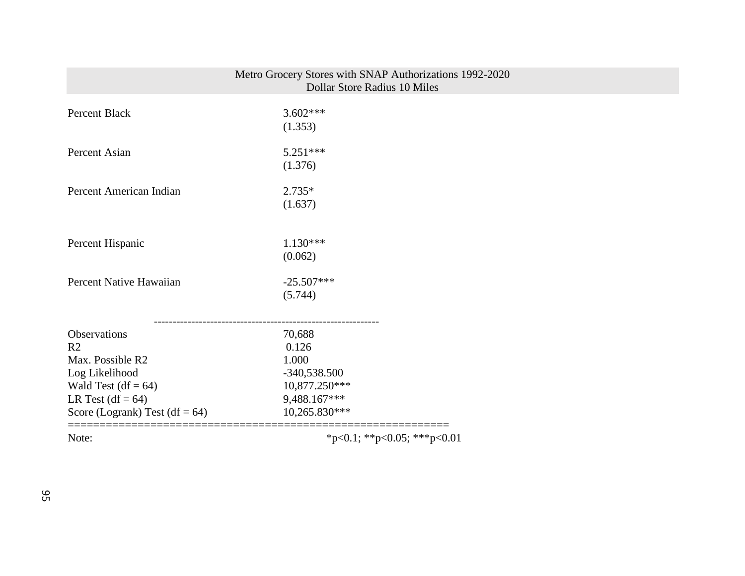|                                                                                                                                                           | Metro Grocery Stores with SNAP Authorizations 1992-2020<br><b>Dollar Store Radius 10 Miles</b> |  |
|-----------------------------------------------------------------------------------------------------------------------------------------------------------|------------------------------------------------------------------------------------------------|--|
| Percent Black                                                                                                                                             | $3.602***$<br>(1.353)                                                                          |  |
| Percent Asian                                                                                                                                             | $5.251***$<br>(1.376)                                                                          |  |
| Percent American Indian                                                                                                                                   | $2.735*$<br>(1.637)                                                                            |  |
| Percent Hispanic                                                                                                                                          | $1.130***$<br>(0.062)                                                                          |  |
| Percent Native Hawaiian                                                                                                                                   | $-25.507***$<br>(5.744)                                                                        |  |
| Observations<br>R <sub>2</sub><br>Max. Possible R2<br>Log Likelihood<br>Wald Test $(df = 64)$<br>LR Test $(df = 64)$<br>Score (Logrank) Test (df = $64$ ) | 70,688<br>0.126<br>1.000<br>$-340,538.500$<br>10,877.250***<br>9,488.167***<br>10,265.830***   |  |
| Note:                                                                                                                                                     | *p<0.1; **p<0.05; ***p<0.01                                                                    |  |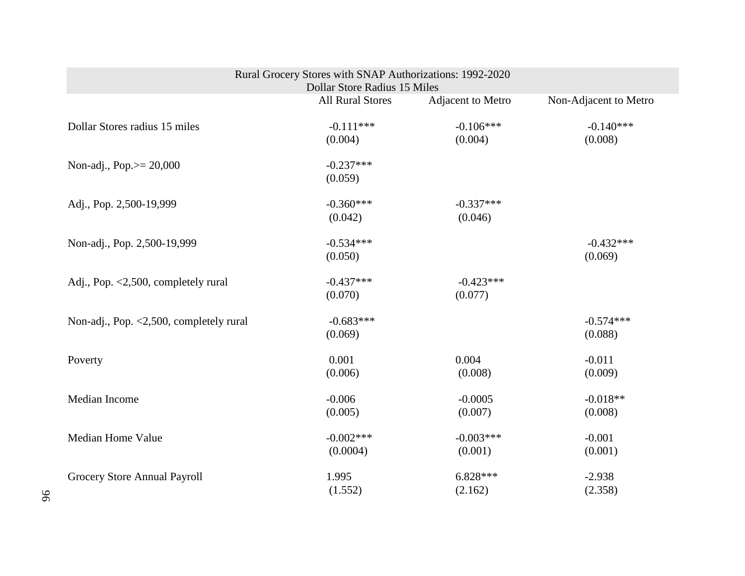| Rural Grocery Stores with SNAP Authorizations: 1992-2020<br>Dollar Store Radius 15 Miles |                         |                        |                        |  |
|------------------------------------------------------------------------------------------|-------------------------|------------------------|------------------------|--|
|                                                                                          | <b>All Rural Stores</b> | Adjacent to Metro      | Non-Adjacent to Metro  |  |
| Dollar Stores radius 15 miles                                                            | $-0.111***$<br>(0.004)  | $-0.106***$<br>(0.004) | $-0.140***$<br>(0.008) |  |
| Non-adj., Pop. $> = 20,000$                                                              | $-0.237***$<br>(0.059)  |                        |                        |  |
| Adj., Pop. 2,500-19,999                                                                  | $-0.360***$<br>(0.042)  | $-0.337***$<br>(0.046) |                        |  |
| Non-adj., Pop. 2,500-19,999                                                              | $-0.534***$<br>(0.050)  |                        | $-0.432***$<br>(0.069) |  |
| Adj., Pop. <2,500, completely rural                                                      | $-0.437***$<br>(0.070)  | $-0.423***$<br>(0.077) |                        |  |
| Non-adj., Pop. $\langle 2, 500,$ completely rural                                        | $-0.683***$<br>(0.069)  |                        | $-0.574***$<br>(0.088) |  |
| Poverty                                                                                  | 0.001<br>(0.006)        | 0.004<br>(0.008)       | $-0.011$<br>(0.009)    |  |
| Median Income                                                                            | $-0.006$<br>(0.005)     | $-0.0005$<br>(0.007)   | $-0.018**$<br>(0.008)  |  |
| <b>Median Home Value</b>                                                                 | $-0.002***$<br>(0.0004) | $-0.003***$<br>(0.001) | $-0.001$<br>(0.001)    |  |
| Grocery Store Annual Payroll                                                             | 1.995<br>(1.552)        | $6.828***$<br>(2.162)  | $-2.938$<br>(2.358)    |  |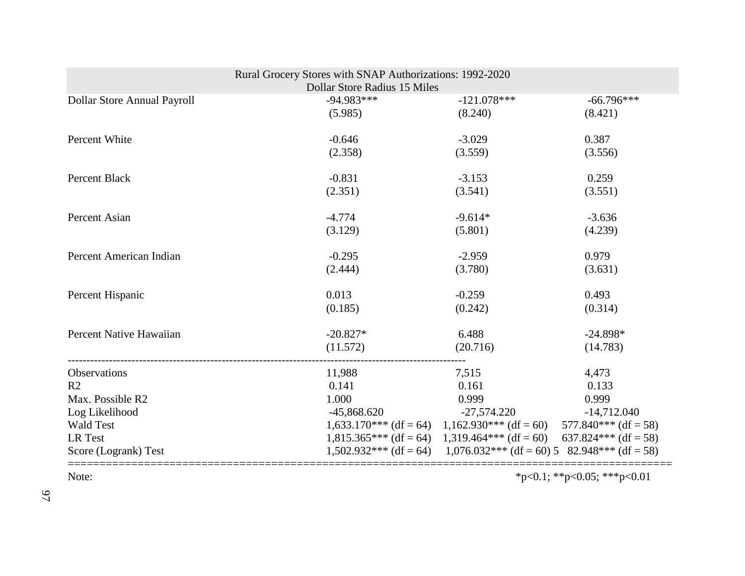| Rural Grocery Stores with SNAP Authorizations: 1992-2020<br>Dollar Store Radius 15 Miles |               |                                                                          |                             |  |  |
|------------------------------------------------------------------------------------------|---------------|--------------------------------------------------------------------------|-----------------------------|--|--|
| Dollar Store Annual Payroll                                                              | $-94.983***$  | $-121.078***$                                                            | $-66.796***$                |  |  |
|                                                                                          | (5.985)       | (8.240)                                                                  | (8.421)                     |  |  |
| Percent White                                                                            | $-0.646$      | $-3.029$                                                                 | 0.387                       |  |  |
|                                                                                          | (2.358)       | (3.559)                                                                  | (3.556)                     |  |  |
| <b>Percent Black</b>                                                                     | $-0.831$      | $-3.153$                                                                 | 0.259                       |  |  |
|                                                                                          | (2.351)       | (3.541)                                                                  | (3.551)                     |  |  |
| Percent Asian                                                                            | $-4.774$      | $-9.614*$                                                                | $-3.636$                    |  |  |
|                                                                                          | (3.129)       | (5.801)                                                                  | (4.239)                     |  |  |
| Percent American Indian                                                                  | $-0.295$      | $-2.959$                                                                 | 0.979                       |  |  |
|                                                                                          | (2.444)       | (3.780)                                                                  | (3.631)                     |  |  |
| Percent Hispanic                                                                         | 0.013         | $-0.259$                                                                 | 0.493                       |  |  |
|                                                                                          | (0.185)       | (0.242)                                                                  | (0.314)                     |  |  |
| Percent Native Hawaiian                                                                  | $-20.827*$    | 6.488                                                                    | $-24.898*$                  |  |  |
|                                                                                          | (11.572)      | (20.716)                                                                 | (14.783)                    |  |  |
| Observations                                                                             | 11,988        | 7,515                                                                    | 4,473                       |  |  |
| R <sub>2</sub>                                                                           | 0.141         | 0.161                                                                    | 0.133                       |  |  |
| Max. Possible R2                                                                         | 1.000         | 0.999                                                                    | 0.999                       |  |  |
| Log Likelihood                                                                           | $-45,868.620$ | $-27,574.220$                                                            | $-14,712.040$               |  |  |
| <b>Wald Test</b>                                                                         |               | $1,633.170***$ (df = 64) $1,162.930***$ (df = 60) $577.840***$ (df = 58) |                             |  |  |
| LR Test                                                                                  |               | $1,815.365***$ (df = 64) $1,319.464***$ (df = 60) $637.824***$ (df = 58) |                             |  |  |
| Score (Logrank) Test                                                                     |               | $1,502.932***$ (df = 64) $1,076.032***$ (df = 60) 5 82.948*** (df = 58)  |                             |  |  |
| Note:                                                                                    |               |                                                                          | *p<0.1; **p<0.05; ***p<0.01 |  |  |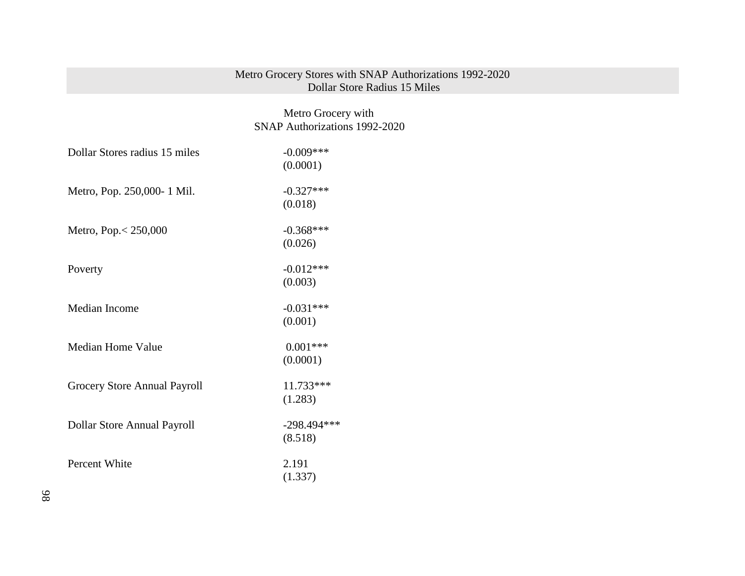## Metro Grocery Stores with SNAP Authorizations 1992-2020 Dollar Store Radius 15 Miles

 Metro Grocery with SNAP Authorizations 1992-2020

| Dollar Stores radius 15 miles | $-0.009***$   |
|-------------------------------|---------------|
|                               | (0.0001)      |
| Metro, Pop. 250,000- 1 Mil.   | $-0.327***$   |
|                               | (0.018)       |
| Metro, Pop. < 250,000         | $-0.368***$   |
|                               | (0.026)       |
| Poverty                       | $-0.012***$   |
|                               | (0.003)       |
| Median Income                 | $-0.031***$   |
|                               | (0.001)       |
| Median Home Value             | $0.001***$    |
|                               | (0.0001)      |
| Grocery Store Annual Payroll  | 11.733***     |
|                               | (1.283)       |
| Dollar Store Annual Payroll   | $-298.494***$ |
|                               | (8.518)       |
| Percent White                 | 2.191         |
|                               | (1.337)       |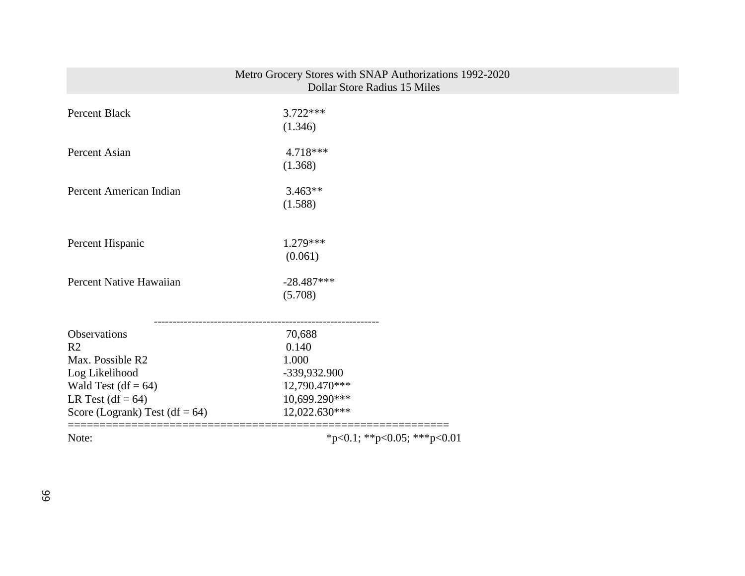| Note:                             | *p<0.1; **p<0.05; ***p<0.01                             |  |
|-----------------------------------|---------------------------------------------------------|--|
| Score (Logrank) Test (df = $64$ ) | 12,022.630***                                           |  |
| LR Test $(df = 64)$               | 10,699.290***                                           |  |
| Wald Test $(df = 64)$             | 12,790.470***                                           |  |
| Log Likelihood                    | -339,932.900                                            |  |
| Max. Possible R2                  | 1.000                                                   |  |
| R <sub>2</sub>                    | 0.140                                                   |  |
| Observations                      | 70,688                                                  |  |
|                                   | (5.708)                                                 |  |
| Percent Native Hawaiian           | $-28.487***$                                            |  |
|                                   | (0.061)                                                 |  |
| Percent Hispanic                  | $1.279***$                                              |  |
|                                   |                                                         |  |
| Percent American Indian           | $3.463**$<br>(1.588)                                    |  |
|                                   | (1.368)                                                 |  |
| Percent Asian                     | 4.718***                                                |  |
|                                   | (1.346)                                                 |  |
| <b>Percent Black</b>              | $3.722***$                                              |  |
|                                   | Dollar Store Radius 15 Miles                            |  |
|                                   | Metro Grocery Stores with SNAP Authorizations 1992-2020 |  |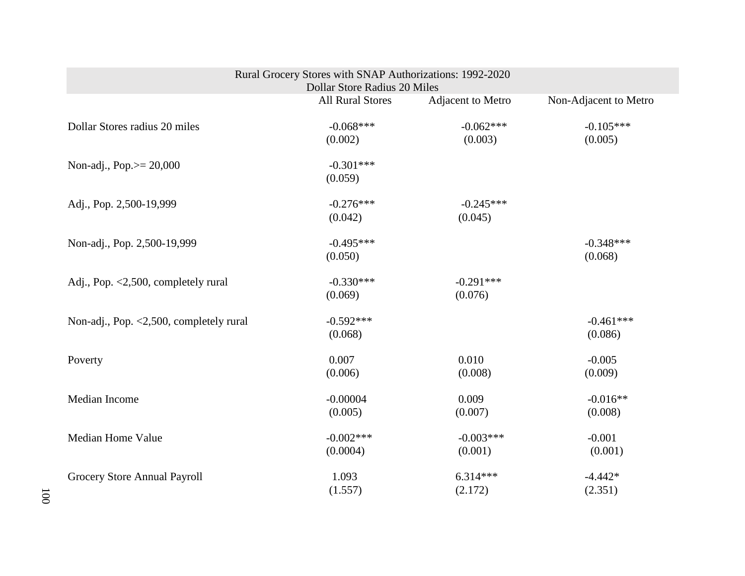| Rural Grocery Stores with SNAP Authorizations: 1992-2020<br>Dollar Store Radius 20 Miles |                         |                        |                        |  |
|------------------------------------------------------------------------------------------|-------------------------|------------------------|------------------------|--|
|                                                                                          | <b>All Rural Stores</b> | Adjacent to Metro      | Non-Adjacent to Metro  |  |
| Dollar Stores radius 20 miles                                                            | $-0.068***$<br>(0.002)  | $-0.062***$<br>(0.003) | $-0.105***$<br>(0.005) |  |
| Non-adj., Pop. $> = 20,000$                                                              | $-0.301***$<br>(0.059)  |                        |                        |  |
| Adj., Pop. 2,500-19,999                                                                  | $-0.276***$<br>(0.042)  | $-0.245***$<br>(0.045) |                        |  |
| Non-adj., Pop. 2,500-19,999                                                              | $-0.495***$<br>(0.050)  |                        | $-0.348***$<br>(0.068) |  |
| Adj., Pop. <2,500, completely rural                                                      | $-0.330***$<br>(0.069)  | $-0.291***$<br>(0.076) |                        |  |
| Non-adj., Pop. <2,500, completely rural                                                  | $-0.592***$<br>(0.068)  |                        | $-0.461***$<br>(0.086) |  |
| Poverty                                                                                  | 0.007<br>(0.006)        | 0.010<br>(0.008)       | $-0.005$<br>(0.009)    |  |
| Median Income                                                                            | $-0.00004$<br>(0.005)   | 0.009<br>(0.007)       | $-0.016**$<br>(0.008)  |  |
| Median Home Value                                                                        | $-0.002***$<br>(0.0004) | $-0.003***$<br>(0.001) | $-0.001$<br>(0.001)    |  |
| Grocery Store Annual Payroll                                                             | 1.093<br>(1.557)        | $6.314***$<br>(2.172)  | $-4.442*$<br>(2.351)   |  |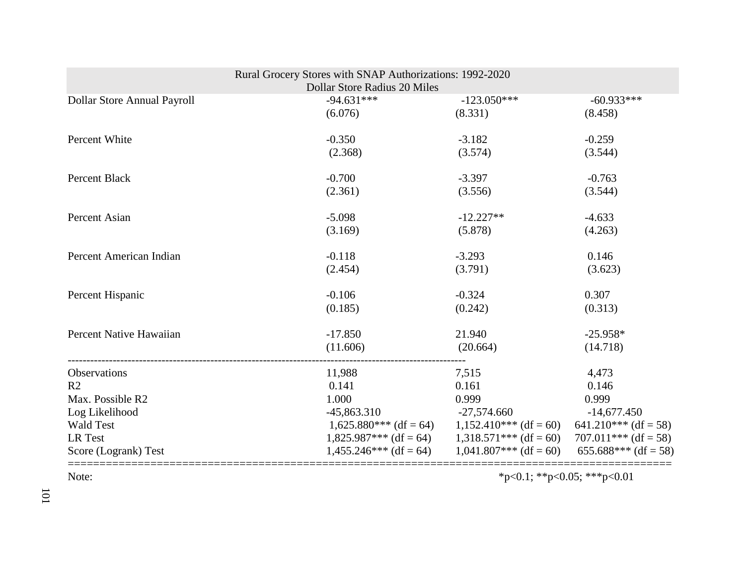|                             | Rural Grocery Stores with SNAP Authorizations: 1992-2020 |                                                                          |                        |
|-----------------------------|----------------------------------------------------------|--------------------------------------------------------------------------|------------------------|
|                             | <b>Dollar Store Radius 20 Miles</b>                      |                                                                          |                        |
| Dollar Store Annual Payroll | $-94.631***$                                             | $-123.050***$                                                            | $-60.933***$           |
|                             | (6.076)                                                  | (8.331)                                                                  | (8.458)                |
| Percent White               | $-0.350$                                                 | $-3.182$                                                                 | $-0.259$               |
|                             | (2.368)                                                  | (3.574)                                                                  | (3.544)                |
| Percent Black               | $-0.700$                                                 | $-3.397$                                                                 | $-0.763$               |
|                             | (2.361)                                                  | (3.556)                                                                  | (3.544)                |
| Percent Asian               | $-5.098$                                                 | $-12.227**$                                                              | $-4.633$               |
|                             | (3.169)                                                  | (5.878)                                                                  | (4.263)                |
| Percent American Indian     | $-0.118$                                                 | $-3.293$                                                                 | 0.146                  |
|                             | (2.454)                                                  | (3.791)                                                                  | (3.623)                |
| Percent Hispanic            | $-0.106$                                                 | $-0.324$                                                                 | 0.307                  |
|                             | (0.185)                                                  | (0.242)                                                                  | (0.313)                |
| Percent Native Hawaiian     | $-17.850$                                                | 21.940                                                                   | $-25.958*$             |
|                             | (11.606)                                                 | (20.664)                                                                 | (14.718)               |
| Observations                | 11,988                                                   | 7,515                                                                    | 4,473                  |
| R <sub>2</sub>              | 0.141                                                    | 0.161                                                                    | 0.146                  |
| Max. Possible R2            | 1.000                                                    | 0.999                                                                    | 0.999                  |
| Log Likelihood              | $-45,863.310$                                            | -27,574.660                                                              | $-14,677.450$          |
| <b>Wald Test</b>            |                                                          | $1,625.880***$ (df = 64) $1,152.410***$ (df = 60)                        | $641.210***$ (df = 58) |
| LR Test                     |                                                          | $1,825.987***$ (df = 64) $1,318.571***$ (df = 60) $707.011***$ (df = 58) |                        |
| Score (Logrank) Test        |                                                          | $1,455.246***$ (df = 64) $1,041.807***$ (df = 60)                        | 655.688*** (df = 58)   |
|                             |                                                          |                                                                          |                        |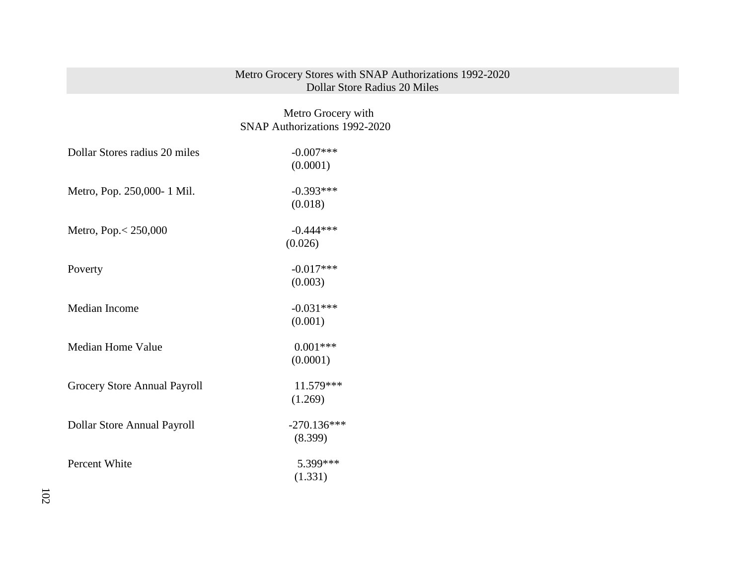#### Metro Grocery Stores with SNAP Authorizations 1992-2020 Dollar Store Radius 20 Miles

 Metro Grocery with SNAP Authorizations 1992-2020

| Dollar Stores radius 20 miles | $-0.007$ ***<br>(0.0001) |
|-------------------------------|--------------------------|
| Metro, Pop. 250,000-1 Mil.    | $-0.393***$<br>(0.018)   |
| Metro, Pop. < 250,000         | $-0.444***$<br>(0.026)   |
| Poverty                       | $-0.017***$<br>(0.003)   |
| Median Income                 | $-0.031***$<br>(0.001)   |
| Median Home Value             | $0.001***$<br>(0.0001)   |
| Grocery Store Annual Payroll  | 11.579***<br>(1.269)     |
| Dollar Store Annual Payroll   | $-270.136***$<br>(8.399) |
| Percent White                 | 5.399***<br>(1.331)      |